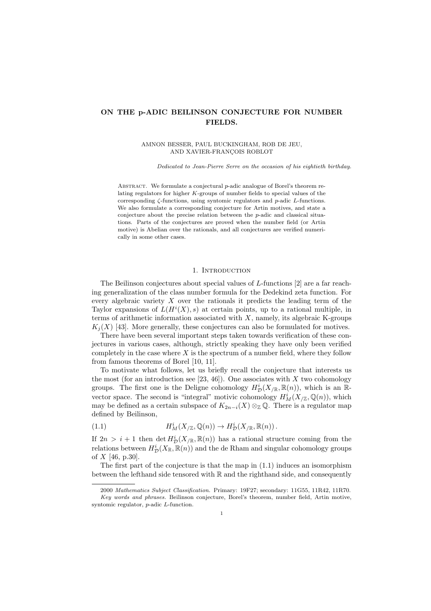# ON THE p-ADIC BEILINSON CONJECTURE FOR NUMBER FIELDS.

### AMNON BESSER, PAUL BUCKINGHAM, ROB DE JEU, AND XAVIER-FRANCOIS ROBLOT

*Dedicated to Jean-Pierre Serre on the occasion of his eightieth birthday.*

ABSTRACT. We formulate a conjectural  $p$ -adic analogue of Borel's theorem relating regulators for higher K-groups of number fields to special values of the corresponding ζ-functions, using syntomic regulators and p-adic L-functions. We also formulate a corresponding conjecture for Artin motives, and state a conjecture about the precise relation between the p-adic and classical situations. Parts of the conjectures are proved when the number field (or Artin motive) is Abelian over the rationals, and all conjectures are verified numerically in some other cases.

### 1. INTRODUCTION

The Beilinson conjectures about special values of L-functions [2] are a far reaching generalization of the class number formula for the Dedekind zeta function. For every algebraic variety  $X$  over the rationals it predicts the leading term of the Taylor expansions of  $L(H^{i}(X), s)$  at certain points, up to a rational multiple, in terms of arithmetic information associated with  $X$ , namely, its algebraic K-groups  $K_i(X)$  [43]. More generally, these conjectures can also be formulated for motives.

There have been several important steps taken towards verification of these conjectures in various cases, although, strictly speaking they have only been verified completely in the case where  $X$  is the spectrum of a number field, where they follow from famous theorems of Borel [10, 11].

To motivate what follows, let us briefly recall the conjecture that interests us the most (for an introduction see [23, 46]). One associates with  $X$  two cohomology groups. The first one is the Deligne cohomology  $H^i_{\mathcal{D}}(X_{/\mathbb{R}}, \mathbb{R}(n))$ , which is an  $\mathbb{R}$ vector space. The second is "integral" motivic cohomology  $H_M^i(X_{\mathbb{Z}}\mathbb{Q}(n))$ , which may be defined as a certain subspace of  $K_{2n-i}(X) \otimes_{\mathbb{Z}} \mathbb{Q}$ . There is a regulator map defined by Beilinson,

(1.1) 
$$
H_M^i(X_{/\mathbb{Z}}, \mathbb{Q}(n)) \to H_D^i(X_{/\mathbb{R}}, \mathbb{R}(n)).
$$

If  $2n > i + 1$  then  $\det H^i_{\mathcal{D}}(X_{/\mathbb{R}}, \mathbb{R}(n))$  has a rational structure coming from the relations between  $H^i_{\mathcal{D}}(X_{\mathbb{R}}, \mathbb{R}(n))$  and the de Rham and singular cohomology groups of  $X$  [46, p.30].

The first part of the conjecture is that the map in (1.1) induces an isomorphism between the lefthand side tensored with  $\mathbb R$  and the righthand side, and consequently

<sup>2000</sup> *Mathematics Subject Classification.* Primary: 19F27; secondary: 11G55, 11R42, 11R70. *Key words and phrases.* Beilinson conjecture, Borel's theorem, number field, Artin motive, syntomic regulator, p-adic L-function.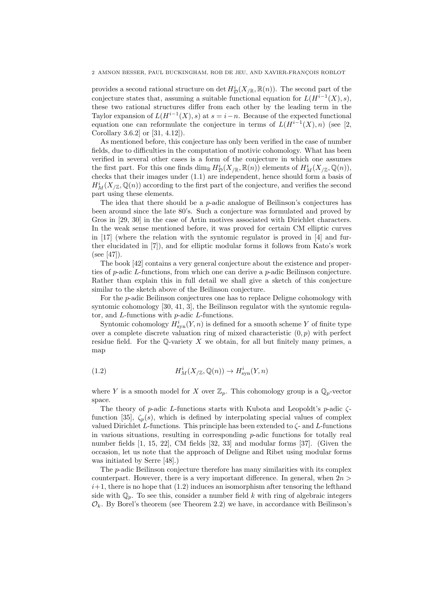provides a second rational structure on det  $H^i_{\mathcal{D}}(X_{/\mathbb{R}}, \mathbb{R}(n)$ . The second part of the conjecture states that, assuming a suitable functional equation for  $L(H^{i-1}(X), s)$ , these two rational structures differ from each other by the leading term in the Taylor expansion of  $L(H^{i-1}(X), s)$  at  $s = i-n$ . Because of the expected functional equation one can reformulate the conjecture in terms of  $L(H^{i-1}(X), n)$  (see [2, Corollary 3.6.2] or [31, 4.12]).

As mentioned before, this conjecture has only been verified in the case of number fields, due to difficulties in the computation of motivic cohomology. What has been verified in several other cases is a form of the conjecture in which one assumes the first part. For this one finds  $\dim_{\mathbb{R}} H^i_{\mathcal{D}}(X_{/\mathbb{R}}, \mathbb{R}(n))$  elements of  $H^i_M(X_{/\mathbb{Z}}, \mathbb{Q}(n)),$ checks that their images under (1.1) are independent, hence should form a basis of  $H_M^i(X_{\mathbb{Z}},\mathbb{Q}(n))$  according to the first part of the conjecture, and verifies the second part using these elements.

The idea that there should be a p-adic analogue of Beilinson's conjectures has been around since the late 80's. Such a conjecture was formulated and proved by Gros in [29, 30] in the case of Artin motives associated with Dirichlet characters. In the weak sense mentioned before, it was proved for certain CM elliptic curves in [17] (where the relation with the syntomic regulator is proved in [4] and further elucidated in [7]), and for elliptic modular forms it follows from Kato's work (see [47]).

The book [42] contains a very general conjecture about the existence and properties of p-adic L-functions, from which one can derive a p-adic Beilinson conjecture. Rather than explain this in full detail we shall give a sketch of this conjecture similar to the sketch above of the Beilinson conjecture.

For the p-adic Beilinson conjectures one has to replace Deligne cohomology with syntomic cohomology [30, 41, 3], the Beilinson regulator with the syntomic regulator, and L-functions with p-adic L-functions.

Syntomic cohomology  $H^i_{syn}(Y,n)$  is defined for a smooth scheme Y of finite type over a complete discrete valuation ring of mixed characteristic  $(0, p)$  with perfect residue field. For the  $\mathbb Q$ -variety X we obtain, for all but finitely many primes, a map

(1.2) 
$$
H_M^i(X_{/\mathbb{Z}}, \mathbb{Q}(n)) \to H_{\text{syn}}^i(Y, n)
$$

where Y is a smooth model for X over  $\mathbb{Z}_p$ . This cohomology group is a  $\mathbb{Q}_p$ -vector space.

The theory of p-adic L-functions starts with Kubota and Leopoldt's p-adic  $\zeta$ function [35],  $\zeta_p(s)$ , which is defined by interpolating special values of complex valued Dirichlet L-functions. This principle has been extended to  $\zeta$ - and L-functions in various situations, resulting in corresponding  $p$ -adic functions for totally real number fields [1, 15, 22], CM fields [32, 33] and modular forms [37]. (Given the occasion, let us note that the approach of Deligne and Ribet using modular forms was initiated by Serre [48].)

The p-adic Beilinson conjecture therefore has many similarities with its complex counterpart. However, there is a very important difference. In general, when  $2n >$  $i+1$ , there is no hope that  $(1.2)$  induces an isomorphism after tensoring the lefthand side with  $\mathbb{Q}_p$ . To see this, consider a number field k with ring of algebraic integers  $\mathcal{O}_k$ . By Borel's theorem (see Theorem 2.2) we have, in accordance with Beilinson's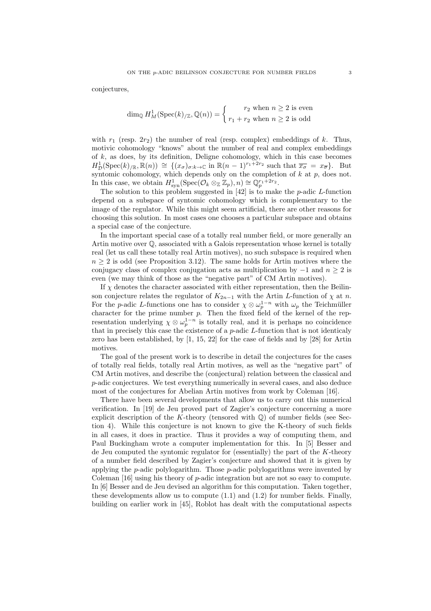conjectures,

$$
\dim_{\mathbb{Q}} H^1_M(\operatorname{Spec}(k)_{/\mathbb{Z}}, \mathbb{Q}(n)) = \begin{cases} r_2 & \text{when } n \ge 2 \text{ is even} \\ r_1 + r_2 & \text{when } n \ge 2 \text{ is odd} \end{cases}
$$

with  $r_1$  (resp.  $2r_2$ ) the number of real (resp. complex) embeddings of k. Thus, motivic cohomology "knows" about the number of real and complex embeddings of  $k$ , as does, by its definition, Deligne cohomology, which in this case becomes  $H_D^1(\text{Spec}(k)_{/\mathbb{R}}, \mathbb{R}(n)) \cong \{(x_\sigma)_{\sigma:k\to\mathbb{C}} \text{ in } \mathbb{R}(n-1)^{r_1+2r_2} \text{ such that } \overline{x_\sigma} = x_{\overline{\sigma}}\}.$  But syntomic cohomology, which depends only on the completion of  $k$  at  $p$ , does not. In this case, we obtain  $H^1_{syn}(\text{Spec}(\mathcal{O}_k \otimes_{\mathbb{Z}} \mathbb{Z}_p), n) \cong \mathbb{Q}_p^{r_1+2r_2}$ .

The solution to this problem suggested in  $[42]$  is to make the p-adic L-function depend on a subspace of syntomic cohomology which is complementary to the image of the regulator. While this might seem artificial, there are other reasons for choosing this solution. In most cases one chooses a particular subspace and obtains a special case of the conjecture.

In the important special case of a totally real number field, or more generally an Artin motive over  $\mathbb{Q}$ , associated with a Galois representation whose kernel is totally real (let us call these totally real Artin motives), no such subspace is required when  $n \geq 2$  is odd (see Proposition 3.12). The same holds for Artin motives where the conjugacy class of complex conjugation acts as multiplication by  $-1$  and  $n \geq 2$  is even (we may think of those as the "negative part" of CM Artin motives).

If  $\chi$  denotes the character associated with either representation, then the Beilinson conjecture relates the regulator of  $K_{2n-1}$  with the Artin L-function of  $\chi$  at n. For the *p*-adic L-functions one has to consider  $\chi \otimes \omega_p^{1-n}$  with  $\omega_p$  the Teichmüller character for the prime number  $p$ . Then the fixed field of the kernel of the representation underlying  $\chi \otimes \omega_p^{1-n}$  is totally real, and it is perhaps no coincidence that in precisely this case the existence of a  $p$ -adic  $L$ -function that is not identicaly zero has been established, by [1, 15, 22] for the case of fields and by [28] for Artin motives.

The goal of the present work is to describe in detail the conjectures for the cases of totally real fields, totally real Artin motives, as well as the "negative part" of CM Artin motives, and describe the (conjectural) relation between the classical and p-adic conjectures. We test everything numerically in several cases, and also deduce most of the conjectures for Abelian Artin motives from work by Coleman [16].

There have been several developments that allow us to carry out this numerical verification. In [19] de Jeu proved part of Zagier's conjecture concerning a more explicit description of the K-theory (tensored with  $\mathbb{Q}$ ) of number fields (see Section 4). While this conjecture is not known to give the K-theory of such fields in all cases, it does in practice. Thus it provides a way of computing them, and Paul Buckingham wrote a computer implementation for this. In [5] Besser and de Jeu computed the syntomic regulator for (essentially) the part of the K-theory of a number field described by Zagier's conjecture and showed that it is given by applying the p-adic polylogarithm. Those p-adic polylogarithms were invented by Coleman  $[16]$  using his theory of p-adic integration but are not so easy to compute. In [6] Besser and de Jeu devised an algorithm for this computation. Taken together, these developments allow us to compute (1.1) and (1.2) for number fields. Finally, building on earlier work in [45], Roblot has dealt with the computational aspects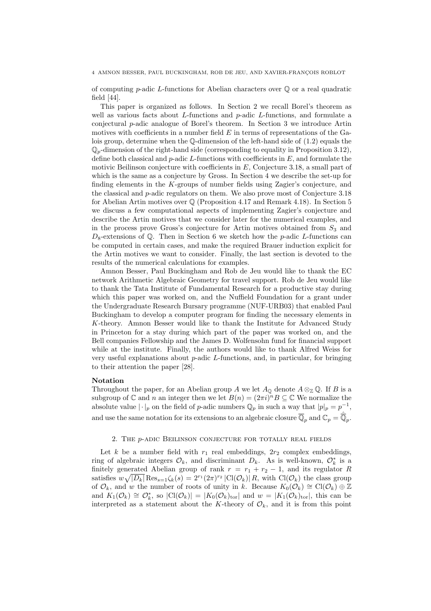4 AMNON BESSER, PAUL BUCKINGHAM, ROB DE JEU, AND XAVIER-FRANÇOIS ROBLOT

of computing p-adic L-functions for Abelian characters over  $\mathbb Q$  or a real quadratic field [44].

This paper is organized as follows. In Section 2 we recall Borel's theorem as well as various facts about  $L$ -functions and  $p$ -adic  $L$ -functions, and formulate a conjectural p-adic analogue of Borel's theorem. In Section 3 we introduce Artin motives with coefficients in a number field  $E$  in terms of representations of the Galois group, determine when the Q-dimension of the left-hand side of (1.2) equals the  $\mathbb{Q}_p$ -dimension of the right-hand side (corresponding to equality in Proposition 3.12), define both classical and  $p$ -adic L-functions with coefficients in  $E$ , and formulate the motivic Beilinson conjecture with coefficients in E, Conjecture 3.18, a small part of which is the same as a conjecture by Gross. In Section 4 we describe the set-up for finding elements in the K-groups of number fields using Zagier's conjecture, and the classical and  $p$ -adic regulators on them. We also prove most of Conjecture 3.18 for Abelian Artin motives over Q (Proposition 4.17 and Remark 4.18). In Section 5 we discuss a few computational aspects of implementing Zagier's conjecture and describe the Artin motives that we consider later for the numerical examples, and in the process prove Gross's conjecture for Artin motives obtained from  $S_3$  and  $D_8$ -extensions of  $\mathbb Q$ . Then in Section 6 we sketch how the p-adic L-functions can be computed in certain cases, and make the required Brauer induction explicit for the Artin motives we want to consider. Finally, the last section is devoted to the results of the numerical calculations for examples.

Amnon Besser, Paul Buckingham and Rob de Jeu would like to thank the EC network Arithmetic Algebraic Geometry for travel support. Rob de Jeu would like to thank the Tata Institute of Fundamental Research for a productive stay during which this paper was worked on, and the Nuffield Foundation for a grant under the Undergraduate Research Bursary programme (NUF-URB03) that enabled Paul Buckingham to develop a computer program for finding the necessary elements in K-theory. Amnon Besser would like to thank the Institute for Advanced Study in Princeton for a stay during which part of the paper was worked on, and the Bell companies Fellowship and the James D. Wolfensohn fund for financial support while at the institute. Finally, the authors would like to thank Alfred Weiss for very useful explanations about p-adic L-functions, and, in particular, for bringing to their attention the paper [28].

### Notation

Throughout the paper, for an Abelian group A we let  $A_{\mathbb{Q}}$  denote  $A \otimes_{\mathbb{Z}} \mathbb{Q}$ . If B is a subgroup of  $\mathbb C$  and n an integer then we let  $B(n) = (2\pi i)^n B \subseteq \mathbb C$  We normalize the absolute value  $|\cdot|_p$  on the field of p-adic numbers  $\mathbb{Q}_p$  in such a way that  $|p|_p = p^{-1}$ , and use the same notation for its extensions to an algebraic closure  $\overline{\mathbb{Q}}_p$  and  $\mathbb{C}_p = \hat{\overline{\mathbb{Q}}}_p$ .

#### 2. The p-adic Beilinson conjecture for totally real fields

Let k be a number field with  $r_1$  real embeddings,  $2r_2$  complex embeddings, ring of algebraic integers  $\mathcal{O}_k$ , and discriminant  $D_k$ . As is well-known,  $\mathcal{O}_k^*$  is a finitely generated Abelian group of rank  $r = r_1 + r_2 - 1$ , and its regulator R satisfies  $w\sqrt{|D_k|} \operatorname{Res}_{s=1}\zeta_k(s) = 2^{r_1}(2\pi)^{r_2} |\text{Cl}(\mathcal{O}_k)| R$ , with  $\text{Cl}(\mathcal{O}_k)$  the class group of  $\mathcal{O}_k$ , and w the number of roots of unity in k. Because  $K_0(\mathcal{O}_k) \cong \text{Cl}(\mathcal{O}_k) \oplus \mathbb{Z}$ and  $K_1(\mathcal{O}_k) \cong \mathcal{O}_k^*$ , so  $|\text{Cl}(\mathcal{O}_k)| = |K_0(\mathcal{O}_k)_{\text{tor}}|$  and  $w = |K_1(\mathcal{O}_k)_{\text{tor}}|$ , this can be interpreted as a statement about the K-theory of  $\mathcal{O}_k$ , and it is from this point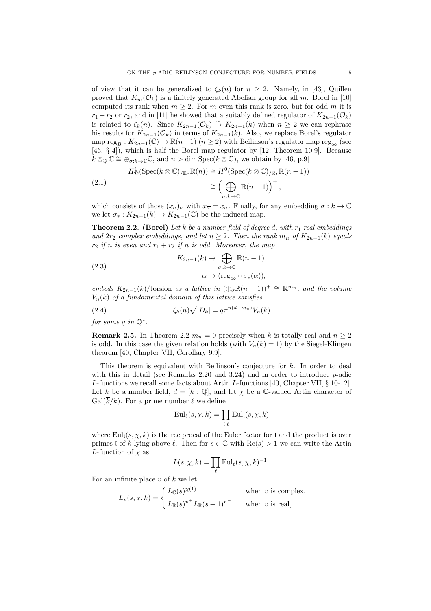of view that it can be generalized to  $\zeta_k(n)$  for  $n \geq 2$ . Namely, in [43], Quillen proved that  $K_m(\mathcal{O}_k)$  is a finitely generated Abelian group for all m. Borel in [10] computed its rank when  $m \geq 2$ . For m even this rank is zero, but for odd m it is  $r_1 + r_2$  or  $r_2$ , and in [11] he showed that a suitably defined regulator of  $K_{2n-1}(\mathcal{O}_k)$ is related to  $\zeta_k(n)$ . Since  $K_{2n-1}(\mathcal{O}_k) \stackrel{\sim}{\to} K_{2n-1}(k)$  when  $n \geq 2$  we can rephrase his results for  $K_{2n-1}(\mathcal{O}_k)$  in terms of  $K_{2n-1}(k)$ . Also, we replace Borel's regulator map reg<sub>B</sub> :  $K_{2n-1}(\mathbb{C}) \to \mathbb{R}(n-1)$   $(n \geq 2)$  with Beilinson's regulator map reg<sub>∞</sub> (see [46, § 4]), which is half the Borel map regulator by [12, Theorem 10.9]. Because  $k \otimes_{\mathbb{Q}} \mathbb{C} \cong \bigoplus_{\sigma:k\to\mathbb{C}} \mathbb{C}$ , and  $n > \dim \text{Spec}(k \otimes \mathbb{C})$ , we obtain by [46, p.9]

(2.1)  

$$
H_D^1(\operatorname{Spec}(k \otimes \mathbb{C})_{/\mathbb{R}}, \mathbb{R}(n)) \cong H^0(\operatorname{Spec}(k \otimes \mathbb{C})_{/\mathbb{R}}, \mathbb{R}(n-1))
$$

$$
\cong \left(\bigoplus_{\sigma:k \to \mathbb{C}} \mathbb{R}(n-1)\right)^+,
$$

which consists of those  $(x_{\sigma})_{\sigma}$  with  $x_{\overline{\sigma}} = \overline{x_{\sigma}}$ . Finally, for any embedding  $\sigma : k \to \mathbb{C}$ we let  $\sigma_*: K_{2n-1}(k) \to K_{2n-1}(\mathbb{C})$  be the induced map.

**Theorem 2.2.** (Borel) Let k be a number field of degree d, with  $r_1$  real embeddings *and*  $2r_2$  *complex embeddings, and let*  $n \geq 2$ *. Then the rank*  $m_n$  *of*  $K_{2n-1}(k)$  *equals*  $r_2$  *if* n *is even and*  $r_1 + r_2$  *if* n *is odd. Moreover, the map* 

(2.3) 
$$
K_{2n-1}(k) \to \bigoplus_{\sigma:k\to\mathbb{C}} \mathbb{R}(n-1)
$$

$$
\alpha \mapsto (\text{reg}_{\infty} \circ \sigma_*(\alpha))_{\sigma}
$$

*embeds*  $K_{2n-1}(k)/$  *torsion as a lattice in*  $(\bigoplus_{\sigma} \mathbb{R}(n-1))^+ \cong \mathbb{R}^{m_n}$ *, and the volume* Vn(k) *of a fundamental domain of this lattice satisfies*

(2.4) 
$$
\zeta_k(n)\sqrt{|D_k|} = q\pi^{n(d-m_n)}V_n(k)
$$

*for some*  $q$  *in*  $\mathbb{Q}^*$ *.* 

**Remark 2.5.** In Theorem 2.2  $m_n = 0$  precisely when k is totally real and  $n \geq 2$ is odd. In this case the given relation holds (with  $V_n(k) = 1$ ) by the Siegel-Klingen theorem [40, Chapter VII, Corollary 9.9].

This theorem is equivalent with Beilinson's conjecture for k. In order to deal with this in detail (see Remarks 2.20 and 3.24) and in order to introduce  $p$ -adic L-functions we recall some facts about Artin L-functions [40, Chapter VII, § 10-12]. Let k be a number field,  $d = [k : \mathbb{Q}]$ , and let  $\chi$  be a C-valued Artin character of  $Gal(\overline{k}/k)$ . For a prime number  $\ell$  we define

$$
\operatorname{Eul}_{\ell}(s,\chi,k)=\prod_{\mathfrak{l}|\ell}\operatorname{Eul}_{\mathfrak{l}}(s,\chi,k)
$$

where  $\text{Eul}_1(s, \chi, k)$  is the reciprocal of the Euler factor for l and the product is over primes I of k lying above  $\ell$ . Then for  $s \in \mathbb{C}$  with  $\text{Re}(s) > 1$  we can write the Artin L-function of  $\chi$  as

$$
L(s,\chi,k)=\prod_{\ell}\mathrm{Eul}_\ell(s,\chi,k)^{-1}\,.
$$

For an infinite place  $v$  of  $k$  we let

$$
L_v(s, \chi, k) = \begin{cases} L_{\mathbb{C}}(s)^{\chi(1)} & \text{when } v \text{ is complex,} \\ L_{\mathbb{R}}(s)^{n^+} L_{\mathbb{R}}(s+1)^{n^-} & \text{when } v \text{ is real,} \end{cases}
$$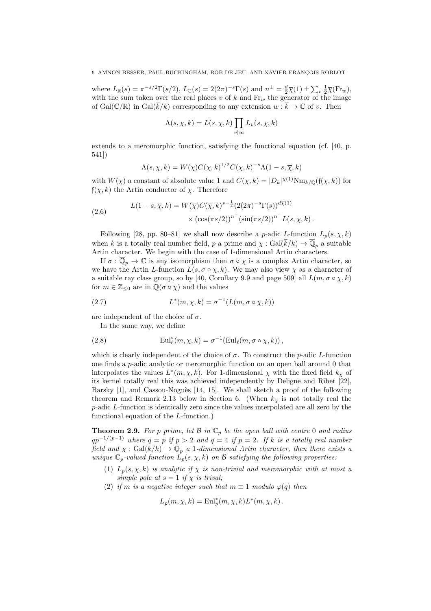where  $L_{\mathbb{R}}(s) = \pi^{-s/2} \Gamma(s/2)$ ,  $L_{\mathbb{C}}(s) = 2(2\pi)^{-s} \Gamma(s)$  and  $n^{\pm} = \frac{d}{2} \overline{\chi}(1) \pm \sum_{v} \frac{1}{2} \overline{\chi}(\text{Fr}_w)$ , with the sum taken over the real places v of k and  $\text{Fr}_w$  the generator of the image of Gal( $\mathbb{C}/\mathbb{R}$ ) in Gal( $\bar{k}/k$ ) corresponding to any extension  $w : \bar{k} \to \mathbb{C}$  of v. Then

$$
\Lambda(s, \chi, k) = L(s, \chi, k) \prod_{v | \infty} L_v(s, \chi, k)
$$

extends to a meromorphic function, satisfying the functional equation (cf. [40, p. 541])

$$
\Lambda(s, \chi, k) = W(\chi)C(\chi, k)^{1/2}C(\chi, k)^{-s}\Lambda(1-s, \overline{\chi}, k)
$$

with  $W(\chi)$  a constant of absolute value 1 and  $C(\chi, k) = |D_k|^{\chi(1)} \text{Nm}_{k/\mathbb{Q}}(\mathfrak{f}(\chi, k))$  for  $f(\chi, k)$  the Artin conductor of  $\chi$ . Therefore

(2.6) 
$$
L(1-s,\overline{\chi},k) = W(\overline{\chi})C(\overline{\chi},k)^{s-\frac{1}{2}}(2(2\pi)^{-s}\Gamma(s))^{d\overline{\chi}(1)} \times (\cos(\pi s/2))^{n^+}(\sin(\pi s/2))^{n^-}L(s,\chi,k).
$$

Following [28, pp. 80–81] we shall now describe a p-adic L-function  $L_p(s, \chi, k)$ when k is a totally real number field, p a prime and  $\chi : \text{Gal}(\overline{k}/k) \to \overline{\mathbb{Q}}_n$  a suitable Artin character. We begin with the case of 1-dimensional Artin characters.

If  $\sigma : \overline{\mathbb{Q}}_p \to \mathbb{C}$  is any isomorphism then  $\sigma \circ \chi$  is a complex Artin character, so we have the Artin L-function  $L(s, \sigma \circ \chi, k)$ . We may also view  $\chi$  as a character of a suitable ray class group, so by [40, Corollary 9.9 and page 509] all  $L(m, \sigma \circ \chi, k)$ for  $m \in \mathbb{Z}_{\leq 0}$  are in  $\mathbb{Q}(\sigma \circ \chi)$  and the values

(2.7) 
$$
L^*(m, \chi, k) = \sigma^{-1}(L(m, \sigma \circ \chi, k))
$$

are independent of the choice of  $\sigma$ .

In the same way, we define

(2.8) 
$$
\mathrm{Eul}_{\ell}^*(m, \chi, k) = \sigma^{-1}(\mathrm{Eul}_{\ell}(m, \sigma \circ \chi, k)),
$$

which is clearly independent of the choice of  $\sigma$ . To construct the p-adic L-function one finds a p-adic analytic or meromorphic function on an open ball around 0 that interpolates the values  $L^*(m, \chi, k)$ . For 1-dimensional  $\chi$  with the fixed field  $k_{\chi}$  of its kernel totally real this was achieved independently by Deligne and Ribet [22], Barsky [1], and Cassou-Noguès [14, 15]. We shall sketch a proof of the following theorem and Remark 2.13 below in Section 6. (When  $k_x$  is not totally real the p-adic L-function is identically zero since the values interpolated are all zero by the functional equation of the L-function.)

**Theorem 2.9.** For p prime, let  $\mathcal{B}$  in  $\mathbb{C}_p$  be the open ball with centre 0 and radius  $qp^{-1/(p-1)}$  *where*  $q = p$  *if*  $p > 2$  *and*  $q = 4$  *if*  $p = 2$ *. If* k *is a totally real number field and*  $\chi : \text{Gal}(\overline{k}/k) \to \overline{\mathbb{Q}}_p$  *a* 1*-dimensional Artin character, then there exists a unique*  $\mathbb{C}_p$ -valued function  $\hat{L}_p(s, \chi, k)$  on B satisfying the following properties:

- (1)  $L_p(s, \chi, k)$  *is analytic if*  $\chi$  *is non-trivial and meromorphic with at most a simple pole at*  $s = 1$  *if*  $\chi$  *is trival*;
- (2) *if* m *is a negative integer such that*  $m \equiv 1$  *modulo*  $\varphi(q)$  *then*

$$
L_p(m, \chi, k) = \mathrm{Eul}_p^*(m, \chi, k) L^*(m, \chi, k).
$$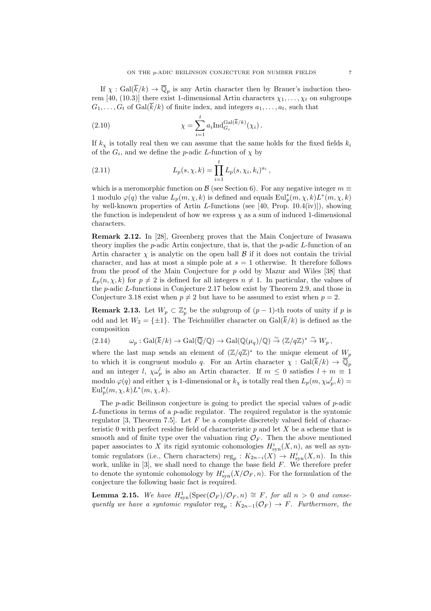If  $\chi : \text{Gal}(k/k) \to \mathbb{Q}_p$  is any Artin character then by Brauer's induction theorem [40, (10.3)] there exist 1-dimensional Artin characters  $\chi_1, \ldots, \chi_t$  on subgroups  $G_1, \ldots, G_t$  of  $\text{Gal}(\overline{k}/k)$  of finite index, and integers  $a_1, \ldots, a_t$ , such that

(2.10) 
$$
\chi = \sum_{i=1}^{t} a_i \operatorname{Ind}_{G_i}^{\operatorname{Gal}(\overline{k}/k)}(\chi_i).
$$

If  $k_{\chi}$  is totally real then we can assume that the same holds for the fixed fields  $k_i$ of the  $G_i$ , and we define the *p*-adic *L*-function of  $\chi$  by

(2.11) 
$$
L_p(s, \chi, k) = \prod_{i=1}^t L_p(s, \chi_i, k_i)^{a_i},
$$

which is a meromorphic function on B (see Section 6). For any negative integer  $m \equiv$ 1 modulo  $\varphi(q)$  the value  $L_p(m, \chi, k)$  is defined and equals  $\mathrm{Eul}_p^*(m, \chi, k)L^*(m, \chi, k)$ by well-known properties of Artin L-functions (see [40, Prop. 10.4(iv)]), showing the function is independent of how we express  $\chi$  as a sum of induced 1-dimensional characters.

Remark 2.12. In [28], Greenberg proves that the Main Conjecture of Iwasawa theory implies the  $p$ -adic Artin conjecture, that is, that the  $p$ -adic  $L$ -function of an Artin character  $\chi$  is analytic on the open ball  $\beta$  if it does not contain the trivial character, and has at most a simple pole at  $s = 1$  otherwise. It therefore follows from the proof of the Main Conjecture for  $p$  odd by Mazur and Wiles [38] that  $L_p(n, \chi, k)$  for  $p \neq 2$  is defined for all integers  $n \neq 1$ . In particular, the values of the p-adic L-functions in Conjecture 2.17 below exist by Theorem 2.9, and those in Conjecture 3.18 exist when  $p \neq 2$  but have to be assumed to exist when  $p = 2$ .

**Remark 2.13.** Let  $W_p \subset \mathbb{Z}_p^*$  be the subgroup of  $(p-1)$ -th roots of unity if p is odd and let  $W_2 = {\pm 1}$ . The Teichmüller character on  $Gal(\overline{k}/k)$  is defined as the composition

$$
(2.14) \qquad \omega_p: \operatorname{Gal}(\overline{k}/k) \to \operatorname{Gal}(\overline{\mathbb{Q}}/\mathbb{Q}) \to \operatorname{Gal}(\mathbb{Q}(\mu_q)/\mathbb{Q}) \stackrel{\sim}{\to} (\mathbb{Z}/q\mathbb{Z})^* \stackrel{\sim}{\to} W_p,
$$

where the last map sends an element of  $(\mathbb{Z}/q\mathbb{Z})^*$  to the unique element of  $W_p$ to which it is congruent modulo q. For an Artin character  $\chi : \text{Gal}(\overline{k}/k) \to \overline{\mathbb{Q}}_p$ and an integer l,  $\chi \omega_p^l$  is also an Artin character. If  $m \leq 0$  satisfies  $l + m \equiv 1$ modulo  $\varphi(q)$  and either  $\chi$  is 1-dimensional or  $k_{\chi}$  is totally real then  $L_p(m, \chi \omega_p^l, k) =$  $\mathrm{Eul}_p^*(m, \chi, k)L^*(m, \chi, k).$ 

The *p*-adic Beilinson conjecture is going to predict the special values of *p*-adic  $L$ -functions in terms of a  $p$ -adic regulator. The required regulator is the syntomic regulator [3, Theorem 7.5]. Let  $F$  be a complete discretely valued field of characteristic 0 with perfect residue field of characteristic  $p$  and let  $X$  be a scheme that is smooth and of finite type over the valuation ring  $\mathcal{O}_F$ . Then the above mentioned paper associates to X its rigid syntomic cohomologies  $H^i_{syn}(X, n)$ , as well as syntomic regulators (i.e., Chern characters)  $reg_p: K_{2n-i}(X) \to H^i_{syn}(X,n)$ . In this work, unlike in [3], we shall need to change the base field F. We therefore prefer to denote the syntomic cohomology by  $H^i_{\text{syn}}(X/\mathcal{O}_F, n)$ . For the formulation of the conjecture the following basic fact is required.

**Lemma 2.15.** We have  $H_{syn}^1(\text{Spec}(\mathcal{O}_F)/\mathcal{O}_F, n) \cong F$ , for all  $n > 0$  and conse*quently we have a syntomic regulator* reg<sub>p</sub> :  $K_{2n-1}(\mathcal{O}_F) \to F$ . Furthermore, the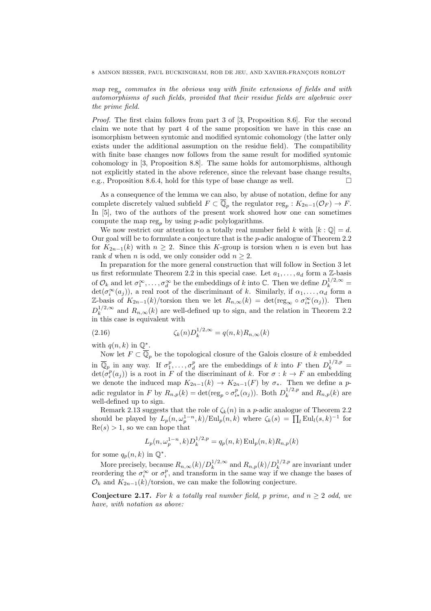8 AMNON BESSER, PAUL BUCKINGHAM, ROB DE JEU, AND XAVIER-FRANCOIS ROBLOT

map reg<sub>p</sub> commutes in the obvious way with finite extensions of fields and with *automorphisms of such fields, provided that their residue fields are algebraic over the prime field.*

*Proof.* The first claim follows from part 3 of [3, Proposition 8.6]. For the second claim we note that by part 4 of the same proposition we have in this case an isomorphism between syntomic and modified syntomic cohomology (the latter only exists under the additional assumption on the residue field). The compatibility with finite base changes now follows from the same result for modified syntomic cohomology in [3, Proposition 8.8]. The same holds for automorphisms, although not explicitly stated in the above reference, since the relevant base change results, e.g., Proposition 8.6.4, hold for this type of base change as well.  $\Box$ 

As a consequence of the lemma we can also, by abuse of notation, define for any complete discretely valued subfield  $F \subset \mathbb{Q}_p$  the regulator  $reg_p : K_{2n-1}(\mathcal{O}_F) \to F$ . In [5], two of the authors of the present work showed how one can sometimes compute the map reg<sub>n</sub> by using p-adic polylogarithms.

We now restrict our attention to a totally real number field k with  $[k : \mathbb{Q}] = d$ . Our goal will be to formulate a conjecture that is the p-adic analogue of Theorem 2.2 for  $K_{2n-1}(k)$  with  $n \geq 2$ . Since this K-group is torsion when n is even but has rank d when n is odd, we only consider odd  $n \geq 2$ .

In preparation for the more general construction that will follow in Section 3 let us first reformulate Theorem 2.2 in this special case. Let  $a_1, \ldots, a_d$  form a Z-basis of  $\mathcal{O}_k$  and let  $\sigma_1^{\infty}, \ldots, \sigma_d^{\infty}$  be the embeddings of k into  $\mathbb{C}$ . Then we define  $D_k^{1/2,\infty} =$  $\det(\sigma_i^{\infty}(a_j))$ , a real root of the discriminant of k. Similarly, if  $\alpha_1, \ldots, \alpha_d$  form a  $\mathbb{Z}$ -basis of  $K_{2n-1}(k)/$  torsion then we let  $R_{n,\infty}(k) = \det(\text{reg}_∞ ∘ σ_{i*}^∞(α_j)).$  Then  $D_k^{1/2,\infty}$  $k_k^{1/2,\infty}$  and  $R_{n,\infty}(k)$  are well-defined up to sign, and the relation in Theorem 2.2 in this case is equivalent with

(2.16) 
$$
\zeta_k(n)D_k^{1/2,\infty} = q(n,k)R_{n,\infty}(k)
$$

with  $q(n, k)$  in  $\mathbb{Q}^*$ .

Now let  $F \subset \overline{\mathbb{Q}}_p$  be the topological closure of the Galois closure of k embedded in  $\overline{\mathbb{Q}}_p$  in any way. If  $\sigma_1^p, \ldots, \sigma_d^p$  are the embeddings of k into F then  $D_k^{1/2,p}$  =  $\det(\sigma_i^p(a_j))$  is a root in F of the discriminant of k. For  $\sigma : k \to F$  an embedding we denote the induced map  $K_{2n-1}(k) \to K_{2n-1}(F)$  by  $\sigma_*$ . Then we define a padic regulator in F by  $R_{n,p}(k) = \det(\text{reg}_p \circ \sigma_{i*}^p(\alpha_j))$ . Both  $D_k^{1/2,p}$  $k^{1/2,p}$  and  $R_{n,p}(k)$  are well-defined up to sign.

Remark 2.13 suggests that the role of  $\zeta_k(n)$  in a p-adic analogue of Theorem 2.2 should be played by  $L_p(n, \omega_p^{1-n}, k) / \text{Eul}_p(n, k)$  where  $\zeta_k(s) = \prod_l \text{Eul}_l(s, k)^{-1}$  for  $Re(s) > 1$ , so we can hope that

$$
L_p(n, \omega_p^{1-n}, k) D_k^{1/2,p} = q_p(n, k) \operatorname{Eul}_p(n, k) R_{n, p}(k)
$$

for some  $q_p(n,k)$  in  $\mathbb{Q}^*$ .

More precisely, because  $R_{n,\infty}(k)/D_k^{1/2,\infty}$  and  $R_{n,p}(k)/D_k^{1/2,p}$  are invariant under reordering the  $\sigma_i^{\infty}$  or  $\sigma_i^{p}$ , and transform in the same way if we change the bases of  $\mathcal{O}_k$  and  $K_{2n-1}(k)/\text{torsion}$ , we can make the following conjecture.

**Conjecture 2.17.** For k a totally real number field, p prime, and  $n \geq 2$  odd, we *have, with notation as above:*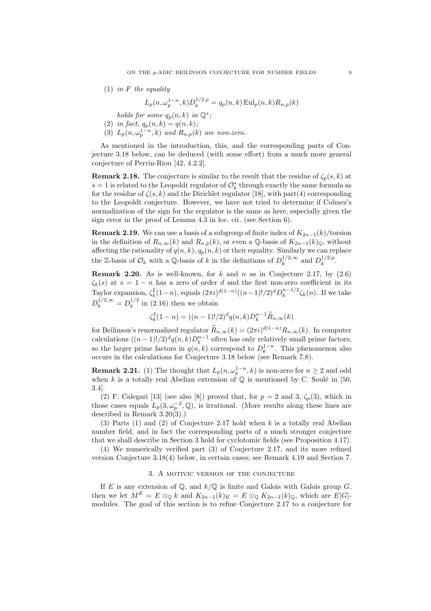(1) *in* F *the equality*

$$
L_p(n, \omega_p^{1-n}, k) D_k^{1/2, p} = q_p(n, k) \operatorname{Eul}_p(n, k) R_{n, p}(k)
$$

- *holds for some*  $q_p(n, k)$  *in*  $\mathbb{Q}^*$ ;
- (2) *in fact*,  $q_p(n, k) = q(n, k)$ ;
- (3)  $L_p(n, \omega_p^{1-n}, k)$  and  $R_{n,p}(k)$  are non-zero.

As mentioned in the introduction, this, and the corresponding parts of Conjecture 3.18 below, can be deduced (with some effort) from a much more general conjecture of Perrin-Riou [42, 4.2.2].

**Remark 2.18.** The conjecture is similar to the result that the residue of  $\zeta_p(s, k)$  at  $s = 1$  is related to the Leopoldt regulator of  $\mathcal{O}_{k}^{*}$  through exactly the same formula as for the residue of  $\zeta(s, k)$  and the Dirichlet regulator [18], with part(4) corresponding to the Leopoldt conjecture. However, we have not tried to determine if Colmez's normalization of the sign for the regulator is the same as here, especially given the sign error in the proof of Lemma 4.3 in loc. cit. (see Section 6).

**Remark 2.19.** We can use a basis of a subgroup of finite index of  $K_{2n-1}(k)/\text{torsion}$ in the definition of  $R_{n,\infty}(k)$  and  $R_{n,p}(k)$ , or even a Q-basis of  $K_{2n-1}(k)_{\mathbb{Q}}$ , without affecting the rationality of  $q(n, k)$ ,  $q_p(n, k)$  or their equality. Similarly we can replace the Z-basis of  $\mathcal{O}_k$  with a Q-basis of k in the definitions of  $D_k^{1/2,\infty}$  $\frac{1}{k}^{1/2,\infty}$  and  $D_k^{1/2,p}$  $\frac{1}{k}$ .

**Remark 2.20.** As is well-known, for k and n as in Conjecture 2.17, by  $(2.6)$  $\zeta_k(s)$  at  $s = 1 - n$  has a zero of order d and the first non-zero coefficient in its Taylor expansion,  $\zeta_k^{\sharp}(1-n)$ , equals  $(2\pi i)^{d(1-n)}((n-1)!/2)^d D_k^{n-1/2}$  $\int_k^{n-1/2} \zeta_k(n)$ . If we take  $D_k^{1/2,\infty} = D_k^{1/2}$  $\frac{1}{k}$  in (2.16) then we obtain

$$
\zeta_k^{\sharp}(1-n) = ((n-1)!/2)^d q(n,k) D_k^{n-1} \widetilde{R}_{n,\infty}(k)
$$

for Beilinson's renormalized regulator  $\hat{R}_{n,\infty}(k) = (2\pi i)^{d(1-n)} R_{n,\infty}(k)$ . In computer calculations  $((n-1)!/2)^d q(n,k) D_k^{n-1}$  often has only relatively small prime factors, so the larger prime factors in  $q(n, k)$  correspond to  $D_k^{1-n}$ . This phenomenon also occurs in the calculations for Conjecture 3.18 below (see Remark 7.8).

**Remark 2.21.** (1) The thought that  $L_p(n, \omega_p^{1-n}, k)$  is non-zero for  $n \geq 2$  and odd when k is a totally real Abelian extension of  $\mathbb Q$  is mentioned by C. Soulé in [50, 3.4].

(2) F. Calegari [13] (see also [8]) proved that, for  $p = 2$  and 3,  $\zeta_p(3)$ , which in those cases equals  $L_p(3, \omega_p^{-2}, \mathbb{Q})$ , is irrational. (More results along these lines are described in Remark  $3.20(3)$ .)

(3) Parts  $(1)$  and  $(2)$  of Conjecture 2.17 hold when k is a totally real Abelian number field, and in fact the corresponding parts of a much stronger conjecture that we shall describe in Section 3 hold for cyclotomic fields (see Proposition 4.17).

(4) We numerically verified part (3) of Conjecture 2.17, and its more refined version Conjecture 3.18(4) below, in certain cases; see Remark 4.19 and Section 7.

## 3. A motivic version of the conjecture

If E is any extension of Q, and  $k/\mathbb{Q}$  is finite and Galois with Galois group G, then we let  $M^E = E \otimes_{\mathbb{Q}} k$  and  $K_{2n-1}(k)_E = E \otimes_{\mathbb{Q}} K_{2n-1}(k)_\mathbb{Q}$ , which are  $E[G]$ modules. The goal of this section is to refine Conjecture 2.17 to a conjecture for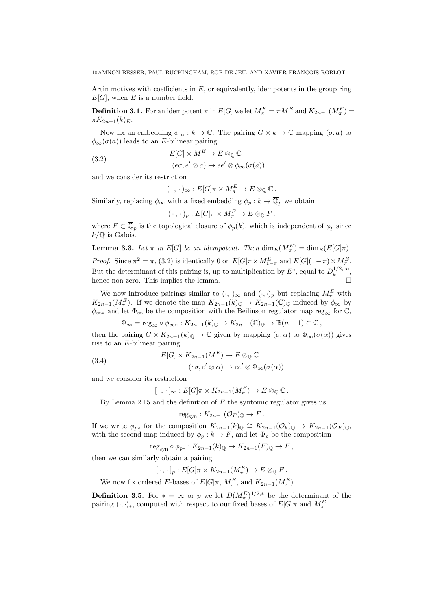Artin motives with coefficients in  $E$ , or equivalently, idempotents in the group ring  $E[G]$ , when E is a number field.

**Definition 3.1.** For an idempotent  $\pi$  in  $E[G]$  we let  $M_{\pi}^{E} = \pi M^{E}$  and  $K_{2n-1}(M_{\pi}^{E}) =$  $\pi K_{2n-1}(k)_{E}$ .

Now fix an embedding  $\phi_{\infty}: k \to \mathbb{C}$ . The pairing  $G \times k \to \mathbb{C}$  mapping  $(\sigma, a)$  to  $\phi_{\infty}(\sigma(a))$  leads to an E-bilinear pairing

(3.2) 
$$
E[G] \times M^E \to E \otimes_{\mathbb{Q}} \mathbb{C}
$$

$$
(e\sigma, e' \otimes a) \mapsto ee' \otimes \phi_{\infty}(\sigma(a)).
$$

and we consider its restriction

$$
(\,\cdot\,,\,\cdot\,)_\infty: E[G]\pi \times M^E_\pi \to E \otimes_{\mathbb{Q}} \mathbb{C}.
$$

Similarly, replacing  $\phi_{\infty}$  with a fixed embedding  $\phi_p : k \to \overline{\mathbb{Q}}_p$  we obtain

$$
(\,\cdot\,,\,\cdot\,)_{p}:E[G]\pi\times M_{\pi}^{E}\to E\otimes_{\mathbb{Q}} F.
$$

where  $F \subset \overline{\mathbb{Q}}_p$  is the topological closure of  $\phi_p(k)$ , which is independent of  $\phi_p$  since  $k/\mathbb{O}$  is Galois.

**Lemma 3.3.** Let  $\pi$  in E[G] be an idempotent. Then  $\dim_E(M_{\pi}^E) = \dim_E(E[G]\pi)$ . *Proof.* Since  $\pi^2 = \pi$ , (3.2) is identically 0 on  $E[G] \pi \times M_{1-\pi}^E$  and  $E[G](1-\pi) \times M_{\pi}^E$ . But the determinant of this pairing is, up to multiplication by  $E^*$ , equal to  $D_k^{1/2,\infty}$  $\frac{1}{k}$ ,  $\infty$ , hence non-zero. This implies the lemma.  $\square$ 

We now introduce pairings similar to  $(\cdot, \cdot)_{\infty}$  and  $(\cdot, \cdot)_p$  but replacing  $M_{\pi}^E$  with  $K_{2n-1}(M_{\pi}^E)$ . If we denote the map  $K_{2n-1}(k)_{\mathbb{Q}} \to K_{2n-1}(\mathbb{C})_{\mathbb{Q}}$  induced by  $\phi_{\infty}$  by  $\phi_{\infty}$ ∗ and let  $\Phi_{\infty}$  be the composition with the Beilinson regulator map reg<sub>∞</sub> for  $\mathbb{C}$ ,

$$
\Phi_{\infty} = \operatorname{reg}_{\infty} \circ \phi_{\infty *} : K_{2n-1}(k)_{\mathbb{Q}} \to K_{2n-1}(\mathbb{C})_{\mathbb{Q}} \to \mathbb{R}(n-1) \subset \mathbb{C},
$$

then the pairing  $G \times K_{2n-1}(k)_{\mathbb{Q}} \to \mathbb{C}$  given by mapping  $(\sigma, \alpha)$  to  $\Phi_{\infty}(\sigma(\alpha))$  gives rise to an E-bilinear pairing

(3.4) 
$$
E[G] \times K_{2n-1}(M^E) \to E \otimes_{\mathbb{Q}} \mathbb{C}
$$

$$
(e\sigma,e'\otimes\alpha)\mapsto ee'\otimes\Phi_\infty(\sigma(\alpha))
$$

and we consider its restriction

$$
[\cdot,\cdot]_{\infty}:E[G]\pi\times K_{2n-1}(M_{\pi}^E)\to E\otimes_{\mathbb{Q}}\mathbb{C}.
$$

By Lemma 2.15 and the definition of  $F$  the syntomic regulator gives us

$$
reg_{syn}: K_{2n-1}(\mathcal{O}_F)_{\mathbb{Q}} \to F.
$$

If we write  $\phi_{p*}$  for the composition  $K_{2n-1}(k)_{\mathbb{Q}} \cong K_{2n-1}(\mathcal{O}_k)_{\mathbb{Q}} \to K_{2n-1}(\mathcal{O}_F)_{\mathbb{Q}},$ with the second map induced by  $\phi_p : k \to F$ , and let  $\Phi_p$  be the composition

$$
reg_{syn} \circ \phi_{p*} : K_{2n-1}(k)_{\mathbb{Q}} \to K_{2n-1}(F)_{\mathbb{Q}} \to F,
$$

then we can similarly obtain a pairing

$$
[\cdot,\cdot]_p: E[G] \pi \times K_{2n-1}(M^E_{\pi}) \to E \otimes_{\mathbb{Q}} F.
$$

We now fix ordered *E*-bases of 
$$
E[G]\pi
$$
,  $M_{\pi}^{E}$ , and  $K_{2n-1}(M_{\pi}^{E})$ .

**Definition 3.5.** For  $* = \infty$  or p we let  $D(M_{\pi}^E)^{1/2,*}$  be the determinant of the pairing  $(\cdot, \cdot)_*$ , computed with respect to our fixed bases of  $E[G]\pi$  and  $M_{\pi}^E$ .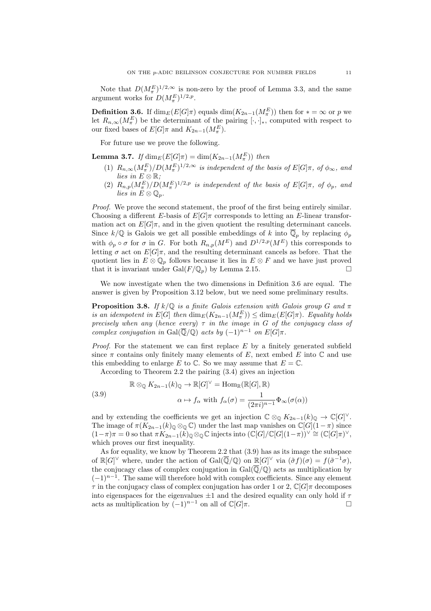Note that  $D(M_\pi^E)^{1/2,\infty}$  is non-zero by the proof of Lemma 3.3, and the same argument works for  $D(M_\pi^E)^{1/2,p}$ .

**Definition 3.6.** If  $\dim_E(E[G]\pi)$  equals  $\dim(K_{2n-1}(M^E_{\pi}))$  then for  $* = \infty$  or p we let  $R_{n,\infty}(M_\pi^E)$  be the determinant of the pairing  $[\cdot,\cdot]_*$ , computed with respect to our fixed bases of  $E[G]\pi$  and  $K_{2n-1}(M_{\pi}^E)$ .

For future use we prove the following.

**Lemma 3.7.** *If*  $\dim_E(E[G]\pi) = \dim(K_{2n-1}(M^E_{\pi}))$  *then* 

- (1)  $R_{n,\infty}(M_\pi^E)/D(M_\pi^E)^{1/2,\infty}$  *is independent of the basis of*  $E[G]\pi$ *, of*  $\phi_\infty$ *, and lies in*  $E \otimes \mathbb{R}$ ;
- (2)  $R_{n,p}(M_\pi^E)/D(M_\pi^E)^{1/2,p}$  *is independent of the basis of*  $E[G]\pi$ *, of*  $\phi_p$ *, and lies in*  $E \otimes \mathbb{Q}_p$ *.*

*Proof.* We prove the second statement, the proof of the first being entirely similar. Choosing a different E-basis of  $E[G]$ π corresponds to letting an E-linear transformation act on  $E[G]$ π, and in the given quotient the resulting determinant cancels. Since  $k/\mathbb{Q}$  is Galois we get all possible embeddings of k into  $\overline{\mathbb{Q}}_p$  by replacing  $\phi_p$ with  $\phi_p \circ \sigma$  for  $\sigma$  in G. For both  $R_{n,p}(M^E)$  and  $D^{1/2,p}(M^E)$  this corresponds to letting  $\sigma$  act on  $E[G]\pi$ , and the resulting determinant cancels as before. That the quotient lies in  $E \otimes \mathbb{Q}_p$  follows because it lies in  $E \otimes F$  and we have just proved that it is invariant under Gal $(F/\mathbb{Q}_p)$  by Lemma 2.15.

We now investigate when the two dimensions in Definition 3.6 are equal. The answer is given by Proposition 3.12 below, but we need some preliminary results.

**Proposition 3.8.** *If*  $k/\mathbb{Q}$  *is a finite Galois extension with Galois group G and*  $\pi$ *is an idempotent in*  $E[G]$  *then*  $\dim_E(K_{2n-1}(M_\pi^E)) \leq \dim_E(E[G]\pi)$ *. Equality holds precisely when any* (*hence every*) τ *in the image in* G *of the conjugacy class of complex conjugation in* Gal( $\overline{\mathbb{Q}}/\mathbb{Q}$ ) *acts by*  $(-1)^{n-1}$  *on*  $E[G]\pi$ *.* 

*Proof.* For the statement we can first replace E by a finitely generated subfield since  $\pi$  contains only finitely many elements of E, next embed E into  $\mathbb C$  and use this embedding to enlarge E to C. So we may assume that  $E = \mathbb{C}$ .

According to Theorem 2.2 the pairing (3.4) gives an injection

(3.9) 
$$
\mathbb{R} \otimes_{\mathbb{Q}} K_{2n-1}(k)_{\mathbb{Q}} \to \mathbb{R}[G]^{\vee} = \text{Hom}_{\mathbb{R}}(\mathbb{R}[G], \mathbb{R})
$$

$$
\alpha \mapsto f_{\alpha} \text{ with } f_{\alpha}(\sigma) = \frac{1}{(2\pi i)^{n-1}} \Phi_{\infty}(\sigma(\alpha))
$$

and by extending the coefficients we get an injection  $\mathbb{C} \otimes_{\mathbb{Q}} K_{2n-1}(k)_{\mathbb{Q}} \to \mathbb{C}[G]^{\vee}$ . The image of  $\pi(K_{2n-1}(k) \otimes \mathbb{Q})$  under the last map vanishes on  $\mathbb{C}[G](1-\pi)$  since  $(1-\pi)\pi = 0$  so that  $\pi K_{2n-1}(k)_{\mathbb{Q}} \otimes_{\mathbb{Q}} \mathbb{C}$  injects into  $(\mathbb{C}[G]/\mathbb{C}[G](1-\pi))^{\vee} \cong (\mathbb{C}[G]\pi)^{\vee}$ , which proves our first inequality.

As for equality, we know by Theorem 2.2 that (3.9) has as its image the subspace of  $\mathbb{R}[G]^{\vee}$  where, under the action of  $Gal(\overline{\mathbb{Q}}/\mathbb{Q})$  on  $\mathbb{R}[G]^{\vee}$  via  $(\tilde{\sigma}f)(\sigma) = f(\tilde{\sigma}^{-1}\sigma)$ , the conjucagy class of complex conjugation in  $Gal(\overline{\mathbb{Q}}/\mathbb{Q})$  acts as multiplication by  $(-1)^{n-1}$ . The same will therefore hold with complex coefficients. Since any element  $\tau$  in the conjugacy class of complex conjugation has order 1 or 2,  $\mathbb{C}[G]\pi$  decomposes into eigenspaces for the eigenvalues  $\pm 1$  and the desired equality can only hold if  $\tau$  acts as multiplication by  $(-1)^{n-1}$  on all of  $\mathbb{C}[G]\pi$ . acts as multiplication by  $(-1)^{n-1}$  on all of  $\mathbb{C}[G]\pi$ .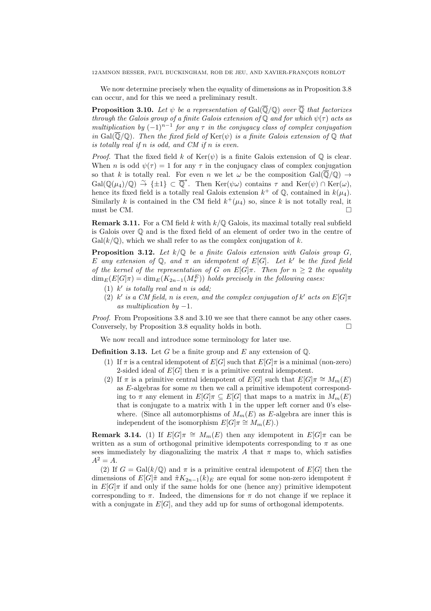12AMNON BESSER, PAUL BUCKINGHAM, ROB DE JEU, AND XAVIER-FRANÇOIS ROBLOT

We now determine precisely when the equality of dimensions as in Proposition 3.8 can occur, and for this we need a preliminary result.

**Proposition 3.10.** Let  $\psi$  be a representation of Gal( $\overline{\mathbb{Q}}$ / $\mathbb{Q}$ ) over  $\overline{\mathbb{Q}}$  that factorizes *through the Galois group of a finite Galois extension of*  $\mathbb{Q}$  *and for which*  $\psi(\tau)$  *acts as multiplication by*  $(-1)^{n-1}$  *for any*  $\tau$  *in the conjugacy class of complex conjugation in* Gal( $\overline{\mathbb{Q}}/\mathbb{Q}$ ). Then the fixed field of  $\text{Ker}(\psi)$  is a finite Galois extension of  $\mathbb{Q}$  that *is totally real if* n *is odd, and CM if* n *is even.*

*Proof.* That the fixed field k of  $\text{Ker}(\psi)$  is a finite Galois extension of  $\mathbb{Q}$  is clear. When *n* is odd  $\psi(\tau) = 1$  for any  $\tau$  in the conjugacy class of complex conjugation so that k is totally real. For even n we let  $\omega$  be the composition  $Gal(\overline{Q}/Q) \rightarrow$  $Gal(\mathbb{Q}(\mu_4)/\mathbb{Q}) \stackrel{\sim}{\rightarrow} {\{\pm 1\}} \subset \overline{\mathbb{Q}}^*$ . Then  $Ker(\psi \omega)$  contains  $\tau$  and  $Ker(\psi) \cap Ker(\omega)$ , hence its fixed field is a totally real Galois extension  $k^+$  of  $\mathbb{Q}$ , contained in  $k(\mu_4)$ . Similarly k is contained in the CM field  $k^+(\mu_4)$  so, since k is not totally real, it must be CM.  $\Box$ 

**Remark 3.11.** For a CM field k with  $k/\mathbb{Q}$  Galois, its maximal totally real subfield is Galois over Q and is the fixed field of an element of order two in the centre of  $Gal(k/\mathbb{Q})$ , which we shall refer to as the complex conjugation of k.

Proposition 3.12. *Let* k/Q *be a finite Galois extension with Galois group* G*,* E any extension of  $\mathbb{Q}$ , and  $\pi$  an idempotent of  $E[G]$ . Let k' be the fixed field *of the kernel of the representation of* G *on*  $E[G]$ π. Then for  $n \geq 2$  the equality  $\dim_E(E[G]\pi) = \dim_E(K_{2n-1}(M_\pi^E))$  *holds precisely in the following cases:* 

- (1) k ′ *is totally real and* n *is odd;*
- (2)  $k'$  *is a CM field, n is even, and the complex conjugation of*  $k'$  *acts on*  $E[G]$  $\pi$ *as multiplication by*  $-1$ *.*

*Proof.* From Propositions 3.8 and 3.10 we see that there cannot be any other cases. Conversely, by Proposition 3.8 equality holds in both.  $\Box$ 

We now recall and introduce some terminology for later use.

**Definition 3.13.** Let G be a finite group and E any extension of  $\mathbb{Q}$ .

- (1) If  $\pi$  is a central idempotent of  $E[G]$  such that  $E[G]\pi$  is a minimal (non-zero) 2-sided ideal of  $E[G]$  then  $\pi$  is a primitive central idempotent.
- (2) If  $\pi$  is a primitive central idempotent of  $E[G]$  such that  $E[G]\pi \cong M_m(E)$ as  $E$ -algebras for some  $m$  then we call a primitive idempotent corresponding to  $\pi$  any element in  $E[G]\pi \subseteq E[G]$  that maps to a matrix in  $M_m(E)$ that is conjugate to a matrix with 1 in the upper left corner and 0's elsewhere. (Since all automorphisms of  $M_m(E)$  as E-algebra are inner this is independent of the isomorphism  $E[G]$ π  $\cong M_m(E)$ .)

**Remark 3.14.** (1) If  $E[G]$ π  $\cong$   $M_m(E)$  then any idempotent in  $E[G]$ π can be written as a sum of orthogonal primitive idempotents corresponding to  $\pi$  as one sees immediately by diagonalizing the matrix A that  $\pi$  maps to, which satisfies  $A^2 = A$ .

(2) If  $G = \text{Gal}(k/\mathbb{Q})$  and  $\pi$  is a primitive central idempotent of  $E[G]$  then the dimensions of  $E[G]\tilde{\pi}$  and  $\tilde{\pi}K_{2n-1}(k)_E$  are equal for some non-zero idempotent  $\tilde{\pi}$ in  $E[G]\pi$  if and only if the same holds for one (hence any) primitive idempotent corresponding to  $\pi$ . Indeed, the dimensions for  $\pi$  do not change if we replace it with a conjugate in  $E[G]$ , and they add up for sums of orthogonal idempotents.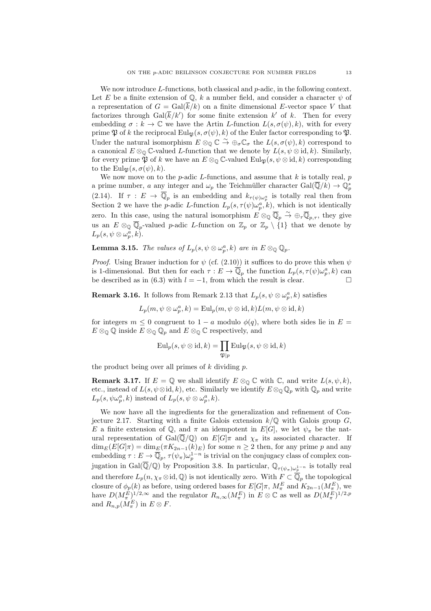We now introduce  $L$ -functions, both classical and  $p$ -adic, in the following context. Let E be a finite extension of  $\mathbb{Q}$ , k a number field, and consider a character  $\psi$  of a representation of  $G = \text{Gal}(\overline{k}/k)$  on a finite dimensional E-vector space V that factorizes through  $Gal(\overline{k}/k')$  for some finite extension k' of k. Then for every embedding  $\sigma : k \to \mathbb{C}$  we have the Artin L-function  $L(s, \sigma(\psi), k)$ , with for every prime  $\mathfrak P$  of k the reciprocal Eul $\mathfrak P(s, \sigma(\psi), k)$  of the Euler factor corresponding to  $\mathfrak P$ . Under the natural isomorphism  $E \otimes_{\mathbb{Q}} \mathbb{C} \stackrel{\sim}{\to} \oplus_{\sigma} \mathbb{C}_{\sigma}$  the  $L(s, \sigma(\psi), k)$  correspond to a canonical  $E \otimes_{\mathbb{Q}} \mathbb{C}$ -valued L-function that we denote by  $L(s, \psi \otimes id, k)$ . Similarly, for every prime  $\mathfrak P$  of k we have an  $E \otimes_{\mathbb Q} \mathbb C$ -valued  $\text{Eul}_{\mathfrak P}(s, \psi \otimes \text{id}, k)$  corresponding to the Eul<sub>p</sub>( $s, \sigma(\psi), k$ ).

We now move on to the  $p$ -adic  $L$ -functions, and assume that  $k$  is totally real,  $p$ a prime number, a any integer and  $\omega_p$  the Teichmüller character  $Gal(\overline{\mathbb{Q}}/k) \to \mathbb{Q}_p^*$ (2.14). If  $\tau : E \to \overline{\mathbb{Q}}_p$  is an embedding and  $k_{\tau(\psi)\omega_p^a}$  is totally real then from Section 2 we have the p-adic L-function  $L_p(s, \tau(\psi)\omega_p^a, k)$ , which is not identically zero. In this case, using the natural isomorphism  $E \otimes_{\mathbb{Q}} \overline{\mathbb{Q}}_p \overset{\sim}{\to} \oplus_{\tau} \overline{\mathbb{Q}}_{p,\tau}$ , they give us an  $E \otimes_{\mathbb{Q}} \mathbb{Q}_p$ -valued p-adic L-function on  $\mathbb{Z}_p$  or  $\mathbb{Z}_p \setminus \{1\}$  that we denote by  $L_p(s, \psi \otimes \omega_p^a, k).$ 

**Lemma 3.15.** *The values of*  $L_p(s, \psi \otimes \omega_p^a, k)$  *are in*  $E \otimes_{\mathbb{Q}} \mathbb{Q}_p$ *.* 

*Proof.* Using Brauer induction for  $\psi$  (cf. (2.10)) it suffices to do prove this when  $\psi$ is 1-dimensional. But then for each  $\tau: E \to \overline{\mathbb{Q}}_p$  the function  $L_p(s, \tau(\psi)\omega_p^a, k)$  can be described as in (6.3) with  $l = -1$ , from which the result is clear.

**Remark 3.16.** It follows from Remark 2.13 that  $L_p(s, \psi \otimes \omega_p^a, k)$  satisfies

$$
L_p(m,\psi\otimes\omega_p^a,k)=\mathrm{Eul}_p(m,\psi\otimes\mathrm{id},k)L(m,\psi\otimes\mathrm{id},k)
$$

for integers  $m \leq 0$  congruent to  $1 - a$  modulo  $\phi(q)$ , where both sides lie in  $E =$  $E \otimes_{\mathbb{Q}} \mathbb{Q}$  inside  $E \otimes_{\mathbb{Q}} \mathbb{Q}_p$  and  $E \otimes_{\mathbb{Q}} \mathbb{C}$  respectively, and

$$
\mathrm{Eul}_p(s, \psi \otimes \mathrm{id}, k) = \prod_{\mathfrak{P} \mid p} \mathrm{Eul}_{\mathfrak{P}}(s, \psi \otimes \mathrm{id}, k)
$$

the product being over all primes of  $k$  dividing  $p$ .

**Remark 3.17.** If  $E = \mathbb{Q}$  we shall identify  $E \otimes_{\mathbb{Q}} \mathbb{C}$  with  $\mathbb{C}$ , and write  $L(s, \psi, k)$ , etc., instead of  $L(s, \psi \otimes id, k)$ , etc. Similarly we identify  $E \otimes_{\mathbb{Q}} \mathbb{Q}_p$  with  $\mathbb{Q}_p$  and write  $L_p(s, \psi \omega_p^a, k)$  instead of  $L_p(s, \psi \otimes \omega_p^a, k)$ .

We now have all the ingredients for the generalization and refinement of Conjecture 2.17. Starting with a finite Galois extension  $k/\mathbb{Q}$  with Galois group G, E a finite extension of Q, and  $\pi$  an idempotent in  $E[G]$ , we let  $\psi_{\pi}$  be the natural representation of Gal( $\overline{Q}/Q$ ) on  $E[G]\pi$  and  $\chi_{\pi}$  its associated character. If  $\dim_E(E[G]\pi) = \dim_E(\pi K_{2n-1}(k)_E)$  for some  $n \geq 2$  then, for any prime p and any embedding  $\tau: E \to \overline{\mathbb{Q}}_p$ ,  $\tau(\psi_\pi) \omega_p^{1-n}$  is trivial on the conjugacy class of complex conjugation in Gal $(\overline{\mathbb{Q}}/\mathbb{Q})$  by Proposition 3.8. In particular,  $\mathbb{Q}_{\tau(\psi_{\pi})\omega_p^{1-n}}$  is totally real and therefore  $L_p(n, \chi_{\pi} \otimes id, \mathbb{Q})$  is not identically zero. With  $F \subset \overline{\mathbb{Q}}_p$  the topological closure of  $\phi_p(k)$  as before, using ordered bases for  $E[G]\pi$ ,  $M_\pi^E$  and  $K_{2n-1}(M_\pi^E)$ , we have  $D(M_\pi^E)^{1/2,\infty}$  and the regulator  $R_{n,\infty}(M_\pi^E)$  in  $E \otimes \mathbb{C}$  as well as  $D(M_\pi^E)^{1/2,p}$ and  $R_{n,p}(M_\pi^E)$  in  $E\otimes F$ .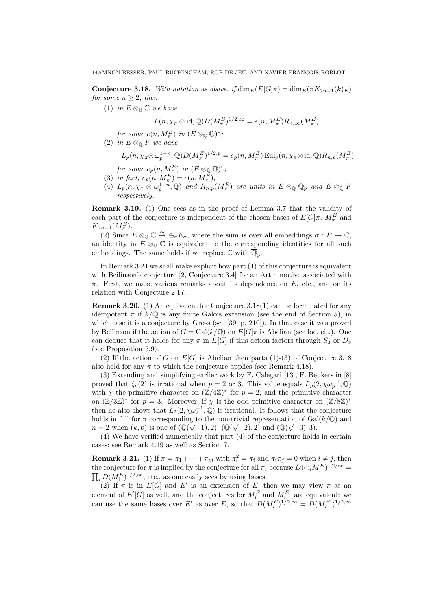**Conjecture 3.18.** With notation as above, if  $\dim_E(E[G] \pi) = \dim_E(\pi K_{2n-1}(k)E)$ *for some*  $n \geq 2$ *, then* 

(1) *in*  $E \otimes_{\mathbb{Q}} \mathbb{C}$  *we have* 

$$
L(n, \chi_{\pi} \otimes \text{id}, \mathbb{Q}) D(M_{\pi}^E)^{1/2, \infty} = e(n, M_{\pi}^E) R_{n, \infty}(M_{\pi}^E)
$$

*for some*  $e(n, M_\pi^E)$  *in*  $(E \otimes_{\mathbb{Q}} \mathbb{Q})^*$ ;

(2) in 
$$
E \otimes_{\mathbb{Q}} F
$$
 we have

$$
L_p(n, \chi_\pi \otimes \omega_p^{1-n}, \mathbb{Q}) D(M_\pi^E)^{1/2,p} = e_p(n, M_\pi^E) \operatorname{Eul}_p(n, \chi_\pi \otimes \operatorname{id}, \mathbb{Q}) R_{n,p}(M_\pi^E)
$$

*for some*  $e_p(n, M_\pi^E)$  *in*  $(E \otimes_{\mathbb{Q}} \mathbb{Q})^*$ ;

- (3) *in fact,*  $e_p(n, M_\pi^E) = e(n, M_\pi^E);$
- (4)  $L_p(n, \chi_{\pi} \otimes \omega_p^{1-n}, \mathbb{Q})$  and  $R_{n,p}(M_{\pi}^E)$  are units in  $E \otimes_{\mathbb{Q}} \mathbb{Q}_p$  and  $E \otimes_{\mathbb{Q}} F$ *respectively.*

Remark 3.19. (1) One sees as in the proof of Lemma 3.7 that the validity of each part of the conjecture is independent of the chosen bases of  $E[G]\pi$ ,  $M_{\pi}^{E}$  and  $K_{2n-1}(M_{\pi}^{E}).$ 

(2) Since  $E \otimes_{\mathbb{Q}} \mathbb{C} \stackrel{\sim}{\to} \oplus_{\sigma} E_{\sigma}$ , where the sum is over all embeddings  $\sigma : E \to \mathbb{C}$ , an identity in  $E \otimes_{\mathbb{Q}} \mathbb{C}$  is equivalent to the corresponding identities for all such embeddings. The same holds if we replace  $\mathbb C$  with  $\overline{\mathbb Q}_p$ .

In Remark 3.24 we shall make explicit how part (1) of this conjecture is equivalent with Beilinson's conjecture [2, Conjecture 3.4] for an Artin motive associated with  $\pi$ . First, we make various remarks about its dependence on  $E$ , etc., and on its relation with Conjecture 2.17.

Remark 3.20. (1) An equivalent for Conjecture 3.18(1) can be formulated for any idempotent  $\pi$  if  $k/\mathbb{Q}$  is any finite Galois extension (see the end of Section 5), in which case it is a conjecture by Gross (see [39, p. 210]). In that case it was proved by Beilinson if the action of  $G = \text{Gal}(k/\mathbb{Q})$  on  $E[G]\pi$  is Abelian (see loc. cit.). One can deduce that it holds for any  $\pi$  in E[G] if this action factors through  $S_3$  or  $D_8$ (see Proposition 5.9).

(2) If the action of G on  $E[G]$  is Abelian then parts (1)-(3) of Conjecture 3.18 also hold for any  $\pi$  to which the conjecture applies (see Remark 4.18).

(3) Extending and simplifying earlier work by F. Calegari [13], F. Beukers in [8] proved that  $\zeta_p(2)$  is irrational when  $p = 2$  or 3. This value equals  $L_p(2, \chi \omega_p^{-1}, \mathbb{Q})$ with  $\chi$  the primitive character on  $(\mathbb{Z}/4\mathbb{Z})^*$  for  $p=2$ , and the primitive character on  $(\mathbb{Z}/3\mathbb{Z})^*$  for  $p=3$ . Moreover, if  $\chi$  is the odd primitive character on  $(\mathbb{Z}/8\mathbb{Z})^*$ then he also shows that  $L_2(2, \chi \omega_2^{-1}, \mathbb{Q})$  is irrational. It follows that the conjecture holds in full for  $\pi$  corresponding to the non-trivial representation of Gal( $k/\mathbb{Q}$ ) and  $n = 2$  when  $(k, p)$  is one of  $(\mathbb{Q}(\sqrt{-1}), 2)$ ,  $(\mathbb{Q}(\sqrt{-2}), 2)$  and  $(\mathbb{Q}(\sqrt{-3}), 3)$ .

(4) We have verified numerically that part (4) of the conjecture holds in certain cases; see Remark 4.19 as well as Section 7.

**Remark 3.21.** (1) If  $\pi = \pi_1 + \cdots + \pi_m$  with  $\pi_i^2 = \pi_i$  and  $\pi_i \pi_j = 0$  when  $i \neq j$ , then the conjecture for  $\pi$  is implied by the conjecture for all  $\pi_i$  because  $D(\bigoplus_i M_i^E)^{1,2/\infty} =$  $\prod_i D(M_i^E)^{1/2,\infty}$ , etc., as one easily sees by using bases.

(2) If  $\pi$  is in E[G] and E' is an extension of E, then we may view  $\pi$  as an element of  $E'[G]$  as well, and the conjectures for  $M_i^E$  and  $M_i^{E'}$  $i^E$  are equivalent: we can use the same bases over E' as over E, so that  $D(M_i^E)^{1/2,\infty} = D(M_i^E)^{1/2}$  $\binom{E'}{i}$ <sup>1/2, $\infty$ </sup>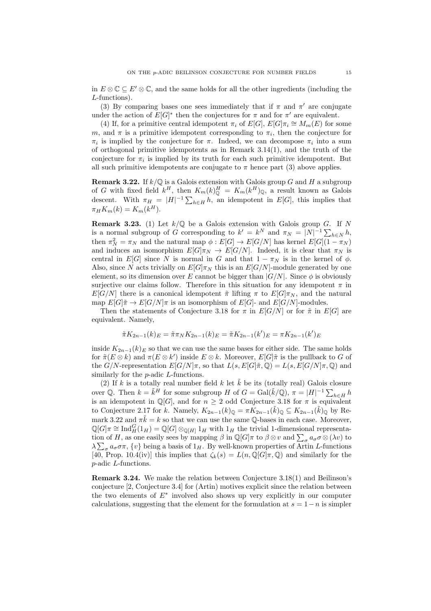in  $E \otimes \mathbb{C} \subseteq E' \otimes \mathbb{C}$ , and the same holds for all the other ingredients (including the L-functions).

(3) By comparing bases one sees immediately that if  $\pi$  and  $\pi'$  are conjugate under the action of  $E[G]^*$  then the conjectures for  $\pi$  and for  $\pi'$  are equivalent.

(4) If, for a primitive central idempotent  $\pi_i$  of  $E[G], E[G]\pi_i \cong M_m(E)$  for some m, and  $\pi$  is a primitive idempotent corresponding to  $\pi_i$ , then the conjecture for  $\pi_i$  is implied by the conjecture for  $\pi$ . Indeed, we can decompose  $\pi_i$  into a sum of orthogonal primitive idempotents as in Remark  $3.14(1)$ , and the truth of the conjecture for  $\pi_i$  is implied by its truth for each such primitive idempotent. But all such primitive idempotents are conjugate to  $\pi$  hence part (3) above applies.

**Remark 3.22.** If  $k/\mathbb{Q}$  is a Galois extension with Galois group G and H a subgroup of G with fixed field  $k^H$ , then  $K_m(k)_{\mathbb{Q}}^H = K_m(k^H)_{\mathbb{Q}}$ , a result known as Galois descent. With  $\pi_{H} = |H|^{-1} \sum_{h \in H} h$ , an idempotent in  $E[G]$ , this implies that  $\pi_H K_m(k) = K_m(k^H).$ 

**Remark 3.23.** (1) Let  $k/\mathbb{Q}$  be a Galois extension with Galois group G. If N is a normal subgroup of G corresponding to  $k' = k^N$  and  $\pi_N = |N|^{-1} \sum_{h \in N} h$ , then  $\pi_N^2 = \pi_N$  and the natural map  $\phi : E[G] \to E[G/N]$  has kernel  $E[G](1 - \pi_N)$ and induces an isomorphism  $E[G]\pi_N \to E[G/N]$ . Indeed, it is clear that  $\pi_N$  is central in E[G] since N is normal in G and that  $1 - \pi_N$  is in the kernel of  $\phi$ . Also, since N acts trivially on  $E[G]\pi_N$  this is an  $E[G/N]$ -module generated by one element, so its dimension over E cannot be bigger than  $|G/N|$ . Since  $\phi$  is obviously surjective our claims follow. Therefore in this situation for any idempotent  $\pi$  in  $E[G/N]$  there is a canonical idempotent  $\tilde{\pi}$  lifting  $\pi$  to  $E[G]\pi_N$ , and the natural map  $E[G]\tilde{\pi} \to E[G/N]\pi$  is an isomorphism of  $E[G]$ - and  $E[G/N]$ -modules.

Then the statements of Conjecture 3.18 for  $\pi$  in  $E[G/N]$  or for  $\tilde{\pi}$  in  $E[G]$  are equivalent. Namely,

$$
\tilde{\pi}K_{2n-1}(k)_E = \tilde{\pi}\pi_N K_{2n-1}(k)_E = \tilde{\pi}K_{2n-1}(k')_E = \pi K_{2n-1}(k')_E
$$

inside  $K_{2n-1}(k)_E$  so that we can use the same bases for either side. The same holds for  $\tilde{\pi}(E \otimes k)$  and  $\pi(E \otimes k')$  inside  $E \otimes k$ . Moreover,  $E[G]\tilde{\pi}$  is the pullback to G of the  $G/N$ -representation  $E[G/N]\pi$ , so that  $L(s, E[G]\tilde{\pi}, \mathbb{Q}) = L(s, E[G/N]\pi, \mathbb{Q})$  and similarly for the *p*-adic *L*-functions.

(2) If k is a totally real number field k let  $\tilde{k}$  be its (totally real) Galois closure over Q. Then  $k = \tilde{k}^H$  for some subgroup H of  $G = \text{Gal}(\tilde{k}/\mathbb{Q}), \pi = |H|^{-1} \sum_{h \in H} h$ is an idempotent in  $\mathbb{Q}[G]$ , and for  $n \geq 2$  odd Conjecture 3.18 for  $\pi$  is equivalent to Conjecture 2.17 for k. Namely,  $K_{2n-1}(k)_{\mathbb{Q}} = \pi K_{2n-1}(\tilde{k})_{\mathbb{Q}} \subseteq K_{2n-1}(\tilde{k})_{\mathbb{Q}}$  by Remark 3.22 and  $\pi \tilde{k} = k$  so that we can use the same Q-bases in each case. Moreover,  $\mathbb{Q}[G]\pi \cong \text{Ind}_{H}^{G}(1_{H}) = \mathbb{Q}[G] \otimes_{\mathbb{Q}[H]} 1_{H}$  with  $1_{H}$  the trivial 1-dimensional representation of H, as one easily sees by mapping  $\beta$  in  $\mathbb{Q}[G]\pi$  to  $\beta \otimes v$  and  $\sum_{\sigma} a_{\sigma} \sigma \otimes (\lambda v)$  to  $\lambda \sum_{\sigma} a_{\sigma} \sigma \pi$ ,  $\{v\}$  being a basis of  $1_H$ . By well-known properties of Artin L-functions [40, Prop. 10.4(iv)] this implies that  $\zeta_k(s) = L(n, \mathbb{Q}[G]\pi, \mathbb{Q})$  and similarly for the p-adic L-functions.

Remark 3.24. We make the relation between Conjecture 3.18(1) and Beilinson's conjecture [2, Conjecture 3.4] for (Artin) motives explicit since the relation between the two elements of  $E^*$  involved also shows up very explicitly in our computer calculations, suggesting that the element for the formulation at  $s = 1-n$  is simpler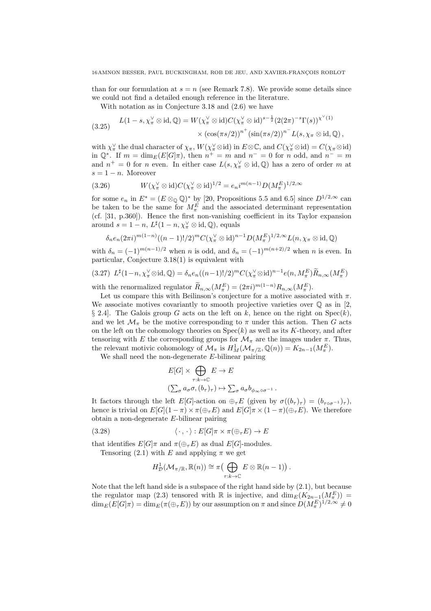than for our formulation at  $s = n$  (see Remark 7.8). We provide some details since we could not find a detailed enough reference in the literature.

With notation as in Conjecture 3.18 and (2.6) we have

(3.25) 
$$
L(1-s, \chi_{\pi}^{\vee} \otimes \mathrm{id}, \mathbb{Q}) = W(\chi_{\pi}^{\vee} \otimes \mathrm{id}) C(\chi_{\pi}^{\vee} \otimes \mathrm{id})^{s-\frac{1}{2}} (2(2\pi)^{-s} \Gamma(s))^{\chi^{\vee}(1)} \times (\cos(\pi s/2))^{n^{+}} (\sin(\pi s/2))^{n^{-}} L(s, \chi_{\pi} \otimes \mathrm{id}, \mathbb{Q}),
$$

with  $\chi_{\pi}^{\vee}$  the dual character of  $\chi_{\pi}$ ,  $W(\chi_{\pi}^{\vee} \otimes id)$  in  $E \otimes \mathbb{C}$ , and  $C(\chi_{\pi}^{\vee} \otimes id) = C(\chi_{\pi} \otimes id)$ in  $\mathbb{Q}^*$ . If  $m = \dim_E(E[G]\pi)$ , then  $n^+ = m$  and  $n^- = 0$  for n odd, and  $n^- = m$ and  $n^+ = 0$  for *n* even. In either case  $L(s, \chi_n^{\vee} \otimes id, \mathbb{Q})$  has a zero of order *m* at  $s = 1 - n$ . Moreover

(3.26) 
$$
W(\chi_{\pi}^{\vee} \otimes \text{id}) C(\chi_{\pi}^{\vee} \otimes \text{id})^{1/2} = e_n i^{m(n-1)} D(M_{\pi}^{E})^{1/2, \infty}
$$

for some  $e_n$  in  $E^* = (E \otimes_{\mathbb{Q}} \mathbb{Q})^*$  by [20, Propositions 5.5 and 6.5] since  $D^{1/2,\infty}$  can be taken to be the same for  $M_{\pi}^{E}$  and the associated determinant representation (cf. [31, p.360]). Hence the first non-vanishing coefficient in its Taylor expansion around  $s = 1 - n$ ,  $L^{\sharp}(1 - n, \chi^{\vee}_{\pi} \otimes id, \mathbb{Q})$ , equals

$$
\delta_n e_n (2\pi i)^{m(1-n)} ((n-1)!/2)^m C (\chi_\pi^{\vee} \otimes id)^{n-1} D(M_\pi^E)^{1/2,\infty} L(n, \chi_\pi \otimes id, \mathbb{Q})
$$

with  $\delta_n = (-1)^{m(n-1)/2}$  when n is odd, and  $\delta_n = (-1)^{m(n+2)/2}$  when n is even. In particular, Conjecture 3.18(1) is equivalent with

$$
(3.27)\ \ L^{\sharp}(1-n,\chi_{\pi}^{\vee}\otimes \mathrm{id},\mathbb{Q})=\delta_{n}e_{n}((n-1)!/2)^{m}C(\chi_{\pi}^{\vee}\otimes \mathrm{id})^{n-1}e(n,M_{\pi}^{E})\widetilde{R}_{n,\infty}(M_{\pi}^{E})
$$

with the renormalized regulator  $\widetilde{R}_{n,\infty}(M_{\pi}^E) = (2\pi i)^{m(1-n)} R_{n,\infty}(M_{\pi}^E)$ .

Let us compare this with Beilinson's conjecture for a motive associated with  $\pi$ . We associate motives covariantly to smooth projective varieties over  $\mathbb Q$  as in [2,  $\S$  2.4. The Galois group G acts on the left on k, hence on the right on  $Spec(k)$ , and we let  $\mathcal{M}_{\pi}$  be the motive corresponding to  $\pi$  under this action. Then G acts on the left on the cohomology theories on  $Spec(k)$  as well as its K-theory, and after tensoring with E the corresponding groups for  $\mathcal{M}_{\pi}$  are the images under  $\pi$ . Thus, the relevant motivic cohomology of  $\mathcal{M}_{\pi}$  is  $H^1_M(\mathcal{M}_{\pi/\mathbb{Z}}, \mathbb{Q}(n)) = K_{2n-1}(M^E_{\pi}).$ 

We shall need the non-degenerate E-bilinear pairing

$$
\begin{split} &E[G] \times \bigoplus_{\tau:k\to\mathbb{C}} E\to E\\ &(\sum_{\sigma} a_{\sigma} \sigma, (b_{\tau})_{\tau}) \mapsto \sum_{\sigma} a_{\sigma} b_{\phi_{\infty}\circ\sigma^{-1}}\,. \end{split}
$$

It factors through the left  $E[G]$ -action on  $\oplus_{\tau} E$  (given by  $\sigma((b_{\tau})_{\tau}) = (b_{\tau \circ \sigma^{-1}})_{\tau}$ ), hence is trivial on  $E[G](1-\pi) \times \pi(\bigoplus_{\tau} E)$  and  $E[G]\pi \times (1-\pi)(\bigoplus_{\tau} E)$ . We therefore obtain a non-degenerate E-bilinear pairing

(3.28) 
$$
\langle \cdot, \cdot \rangle : E[G] \pi \times \pi(\bigoplus_{\tau} E) \to E
$$

that identifies  $E[G]$ π and  $\pi(\bigoplus_{\tau} E)$  as dual  $E[G]$ -modules. Tensoring (2.1) with E and applying  $\pi$  we get

$$
H^1_{\mathcal{D}}(\mathcal{M}_{\pi/\mathbb{R}}, \mathbb{R}(n)) \cong \pi\left(\bigoplus_{\tau:k\to\mathbb{C}} E\otimes \mathbb{R}(n-1)\right).
$$

Note that the left hand side is a subspace of the right hand side by  $(2.1)$ , but because the regulator map (2.3) tensored with R is injective, and  $\dim_E(K_{2n-1}(M_\pi^E))$  =  $\dim_E(E[G]\pi) = \dim_E(\pi(\bigoplus_{\tau} E))$  by our assumption on  $\pi$  and since  $D(M_{\pi}^E)^{1/2,\infty} \neq 0$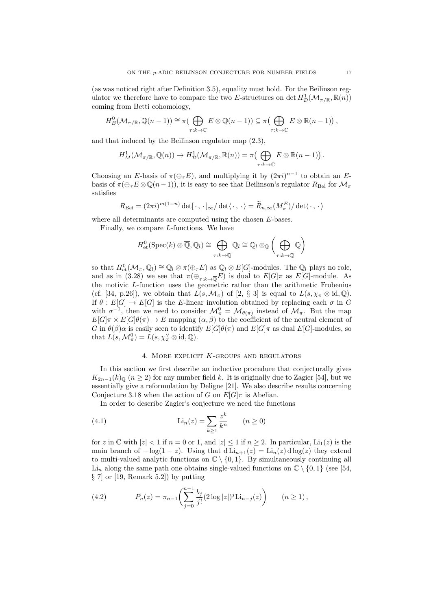(as was noticed right after Definition 3.5), equality must hold. For the Beilinson regulator we therefore have to compare the two E-structures on det  $H_D^1(\mathcal{M}_{\pi/\mathbb{R}}, \mathbb{R}(n))$ coming from Betti cohomology,

$$
H^0_B(\mathcal{M}_{\pi/\mathbb{R}}, \mathbb{Q}(n-1)) \cong \pi(\bigoplus_{\tau:k\to\mathbb{C}} E \otimes \mathbb{Q}(n-1)) \subseteq \pi(\bigoplus_{\tau:k\to\mathbb{C}} E \otimes \mathbb{R}(n-1)),
$$

and that induced by the Beilinson regulator map (2.3),

$$
H^1_M(\mathcal{M}_{\pi/\mathbb{R}}, \mathbb{Q}(n)) \to H^1_{\mathcal{D}}(\mathcal{M}_{\pi/\mathbb{R}}, \mathbb{R}(n)) = \pi \left( \bigoplus_{\tau:k \to \mathbb{C}} E \otimes \mathbb{R}(n-1) \right).
$$

Choosing an E-basis of  $\pi(\oplus_{\tau} E)$ , and multiplying it by  $(2\pi i)^{n-1}$  to obtain an Ebasis of  $\pi(\oplus_{\tau} E \otimes \mathbb{Q}(n-1))$ , it is easy to see that Beilinson's regulator  $R_{\text{Bei}}$  for  $\mathcal{M}_{\pi}$ satisfies

$$
R_{\text{Bei}} = (2\pi i)^{m(1-n)} \det[\cdot, \cdot]_{\infty} / \det\langle \cdot, \cdot \rangle = \widetilde{R}_{n,\infty}(M_{\pi}^E) / \det\langle \cdot, \cdot \rangle
$$

where all determinants are computed using the chosen E-bases.

Finally, we compare L-functions. We have

$$
H^0_{\text{\rm et}}(\operatorname{Spec}(k)\otimes{\overline{\mathbb{Q}}},\mathbb{Q}_l)\cong\bigoplus_{\tau:k\to{\overline{\mathbb{Q}}}}\mathbb{Q}_l\cong\mathbb{Q}_l\otimes_{\mathbb{Q}}\bigg(\bigoplus_{\tau:k\to{\overline{\mathbb{Q}}}}\mathbb{Q}\bigg)
$$

so that  $H^0_{\text{\rm et}}(\mathcal{M}_\pi,\mathbb{Q}_l) \cong \mathbb{Q}_l \otimes \pi(\oplus_\tau E)$  as  $\mathbb{Q}_l \otimes E[G]$ -modules. The  $\mathbb{Q}_l$  plays no role, and as in (3.28) we see that  $\pi(\bigoplus_{\tau:k\to\overline{\mathbb{Q}}}E)$  is dual to  $E[G]\pi$  as  $E[G]$ -module. As the motivic L-function uses the geometric rather than the arithmetic Frobenius (cf. [34, p.26]), we obtain that  $L(s, \mathcal{M}_{\pi})$  of [2, § 3] is equal to  $L(s, \chi_{\pi} \otimes id, \mathbb{Q})$ . If  $\theta$ :  $E[G] \to E[G]$  is the E-linear involution obtained by replacing each  $\sigma$  in G with  $\sigma^{-1}$ , then we need to consider  $\mathcal{M}_{\pi}^0 = \mathcal{M}_{\theta(\pi)}$  instead of  $\mathcal{M}_{\pi}$ . But the map  $E[G]\pi \times E[G]\theta(\pi) \to E$  mapping  $(\alpha, \beta)$  to the coefficient of the neutral element of G in  $\theta(\beta)\alpha$  is easily seen to identify  $E[G]\theta(\pi)$  and  $E[G]\pi$  as dual  $E[G]$ -modules, so that  $L(s, \mathcal{M}_{\pi}^0) = L(s, \chi_{\pi}^{\vee} \otimes id, \mathbb{Q}).$ 

# 4. More explicit K-groups and regulators

In this section we first describe an inductive procedure that conjecturally gives  $K_{2n-1}(k)_{\mathbb{Q}}$  ( $n \geq 2$ ) for any number field k. It is originally due to Zagier [54], but we essentially give a reformulation by Deligne [21]. We also describe results concerning Conjecture 3.18 when the action of G on  $E[G]\pi$  is Abelian.

In order to describe Zagier's conjecture we need the functions

(4.1) 
$$
\text{Li}_n(z) = \sum_{k \ge 1} \frac{z^k}{k^n} \qquad (n \ge 0)
$$

for z in  $\mathbb C$  with  $|z| < 1$  if  $n = 0$  or 1, and  $|z| \leq 1$  if  $n \geq 2$ . In particular,  $\text{Li}_1(z)$  is the main branch of  $-\log(1-z)$ . Using that  $d \operatorname{Li}_{n+1}(z) = \operatorname{Li}_n(z) d \log(z)$  they extend to multi-valued analytic functions on  $\mathbb{C} \setminus \{0,1\}$ . By simultaneously continuing all  $\text{Li}_n$  along the same path one obtains single-valued functions on  $\mathbb{C} \setminus \{0,1\}$  (see [54, § 7] or [19, Remark 5.2]) by putting

(4.2) 
$$
P_n(z) = \pi_{n-1} \left( \sum_{j=0}^{n-1} \frac{b_j}{j!} (2 \log |z|)^j \mathrm{Li}_{n-j}(z) \right) \qquad (n \ge 1),
$$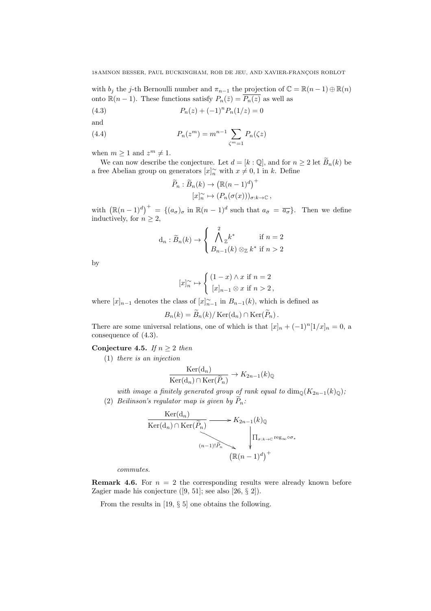with  $b_j$  the j-th Bernoulli number and  $\pi_{n-1}$  the projection of  $\mathbb{C} = \mathbb{R}(n-1) \oplus \mathbb{R}(n)$ onto  $\mathbb{R}(n-1)$ . These functions satisfy  $P_n(\bar{z}) = \overline{P_n(z)}$  as well as

(4.3) 
$$
P_n(z) + (-1)^n P_n(1/z) = 0
$$

$$
\quad \text{ and } \quad
$$

(4.4) 
$$
P_n(z^m) = m^{n-1} \sum_{\zeta^m = 1} P_n(\zeta z)
$$

when  $m \geq 1$  and  $z^m \neq 1$ .

We can now describe the conjecture. Let  $d = [k : \mathbb{Q}]$ , and for  $n \geq 2$  let  $\widetilde{B}_n(k)$  be a free Abelian group on generators  $[x]_n^{\sim}$  with  $x \neq 0, 1$  in  $k$ . Define

$$
\widetilde{P}_n : \widetilde{B}_n(k) \to \left(\mathbb{R}(n-1)^d\right)^+ \n[x]_n^{\sim} \mapsto (P_n(\sigma(x)))_{\sigma:k \to \mathbb{C}},
$$

with  $(\mathbb{R}(n-1)^d)^+ = \{(a_{\sigma})_{\sigma} \text{ in } \mathbb{R}(n-1)^d \text{ such that } a_{\bar{\sigma}} = \overline{a_{\sigma}}\}.$  Then we define inductively, for  $n > 2$ ,

$$
d_n : \widetilde{B}_n(k) \to \begin{cases} \bigwedge_{\substack{k=1 \ n = 1}}^2 k^* & \text{if } n = 2 \\ B_{n-1}(k) \otimes_{\mathbb{Z}} k^* & \text{if } n > 2 \end{cases}
$$

by

$$
[x]_n^{\sim} \mapsto \begin{cases} (1-x) \wedge x \text{ if } n = 2\\ [x]_{n-1} \otimes x \text{ if } n > 2, \end{cases}
$$

where  $[x]_{n-1}$  denotes the class of  $[x]_{n-1}^{\sim}$  in  $B_{n-1}(k)$ , which is defined as

$$
B_n(k) = \widetilde{B}_n(k)/\operatorname{Ker}(\mathrm{d}_n) \cap \operatorname{Ker}(\widetilde{P}_n).
$$

There are some universal relations, one of which is that  $[x]_n + (-1)^n[1/x]_n = 0$ , a consequence of (4.3).

# Conjecture 4.5. If  $n \geq 2$  then

(1) *there is an injection*

$$
\frac{\text{Ker}(d_n)}{\text{Ker}(d_n) \cap \text{Ker}(\widetilde{P}_n)} \to K_{2n-1}(k)_{\mathbb{Q}}
$$

*with image a finitely generated group of rank equal to* dim<sub>Q</sub>( $K_{2n-1}(k)$ <sub>Q</sub>);

(2) *Beilinson's regulator map is given by*  $\tilde{P}_n$ :

$$
\begin{array}{c}\n\overline{\text{Ker}(\mathbf{d}_n)} \\
\overline{\text{Ker}(\mathbf{d}_n) \cap \text{Ker}(\widetilde{P}_n)}\n\end{array}\n\longrightarrow K_{2n-1}(k)_{\mathbb{Q}}\n\begin{array}{c}\n\overline{\text{Ker}(\mathbf{d}_n) \cap \text{Ker}(\widetilde{P}_n)} \\
\downarrow \\
\overline{\text{Ker}(\mathbf{d}_n) \cap \text{Ker}(\mathbf{R}(n-1)^d)}\n\end{array}
$$

*commutes.*

**Remark 4.6.** For  $n = 2$  the corresponding results were already known before Zagier made his conjecture  $([9, 51]$ ; see also  $[26, \S 2]$ ).

From the results in [19, § 5] one obtains the following.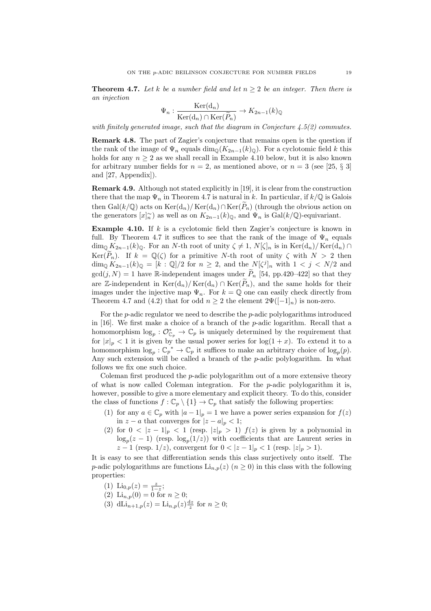**Theorem 4.7.** Let k be a number field and let  $n \geq 2$  be an integer. Then there is *an injection*

$$
\Psi_n : \frac{\text{Ker}(d_n)}{\text{Ker}(d_n) \cap \text{Ker}(\widetilde{P}_n)} \to K_{2n-1}(k)_{\mathbb{Q}}
$$

*with finitely generated image, such that the diagram in Conjecture 4.5(2) commutes.*

Remark 4.8. The part of Zagier's conjecture that remains open is the question if the rank of the image of  $\Psi_n$  equals  $\dim_{\mathbb{Q}}(K_{2n-1}(k)_{\mathbb{Q}})$ . For a cyclotomic field k this holds for any  $n \geq 2$  as we shall recall in Example 4.10 below, but it is also known for arbitrary number fields for  $n = 2$ , as mentioned above, or  $n = 3$  (see [25, § 3] and [27, Appendix]).

Remark 4.9. Although not stated explicitly in [19], it is clear from the construction there that the map  $\Psi_n$  in Theorem 4.7 is natural in k. In particular, if  $k/\mathbb{Q}$  is Galois then Gal(k/Q) acts on  $\text{Ker}(d_n)/\text{Ker}(d_n) \cap \text{Ker}(\widetilde{P}_n)$  (through the obvious action on the generators  $[x]_n^{\sim}$  as well as on  $K_{2n-1}(k)_{\mathbb{Q}}$ , and  $\Psi_n$  is  $Gal(k/\mathbb{Q})$ -equivariant.

**Example 4.10.** If  $k$  is a cyclotomic field then Zagier's conjecture is known in full. By Theorem 4.7 it suffices to see that the rank of the image of  $\Psi_n$  equals  $\dim_{\mathbb{Q}} K_{2n-1}(k)_{\mathbb{Q}}$ . For an N-th root of unity  $\zeta \neq 1$ ,  $N[\zeta]_n$  is in  $\text{Ker}(d_n)/\text{Ker}(d_n) \cap$ Ker(P<sub>n</sub>). If  $k = \mathbb{Q}(\zeta)$  for a primitive N-th root of unity  $\zeta$  with  $N > 2$  then  $\dim_{\mathbb{Q}} K_{2n-1}(k)_{\mathbb{Q}} = [k : \mathbb{Q}]/2$  for  $n \geq 2$ , and the  $N[\zeta^j]_n$  with  $1 < j < N/2$  and  $gcd(j, N) = 1$  have R-independent images under  $\widetilde{P}_n$  [54, pp.420–422] so that they are Z-independent in  $\text{Ker}(d_n)/\text{Ker}(d_n) \cap \text{Ker}(\widetilde{P}_n)$ , and the same holds for their images under the injective map  $\Psi_n$ . For  $k = \mathbb{Q}$  one can easily check directly from Theorem 4.7 and (4.2) that for odd  $n \geq 2$  the element  $2\Psi([-1]_n)$  is non-zero.

For the p-adic regulator we need to describe the p-adic polylogarithms introduced in [16]. We first make a choice of a branch of the p-adic logarithm. Recall that a homomorphism  $\log_p : \mathcal{O}_{\mathbb{C}_p}^* \to \mathbb{C}_p$  is uniquely determined by the requirement that for  $|x|_p < 1$  it is given by the usual power series for  $log(1+x)$ . To extend it to a homomorphism  $\log_p : \mathbb{C}_p^* \to \mathbb{C}_p$  it suffices to make an arbitrary choice of  $\log_p(p)$ . Any such extension will be called a branch of the p-adic polylogarithm. In what follows we fix one such choice.

Coleman first produced the p-adic polylogarithm out of a more extensive theory of what is now called Coleman integration. For the p-adic polylogarithm it is, however, possible to give a more elementary and explicit theory. To do this, consider the class of functions  $f : \mathbb{C}_p \setminus \{1\} \to \mathbb{C}_p$  that satisfy the following properties:

- (1) for any  $a \in \mathbb{C}_p$  with  $|a-1|_p = 1$  we have a power series expansion for  $f(z)$ in  $z - a$  that converges for  $|z - a|_p < 1$ ;
- (2) for  $0 < |z 1|_p < 1$  (resp.  $|z|_p > 1$ )  $f(z)$  is given by a polynomial in  $\log_p(z-1)$  (resp.  $\log_p(1/z)$ ) with coefficients that are Laurent series in  $z - 1$  (resp.  $1/z$ ), convergent for  $0 < |z - 1|_p < 1$  (resp.  $|z|_p > 1$ ).

It is easy to see that differentiation sends this class surjectively onto itself. The p-adic polylogarithms are functions  $\text{Li}_{n,p}(z)$   $(n \geq 0)$  in this class with the following properties:

- (1)  $\text{Li}_{0,p}(z) = \frac{z}{1-z};$
- (2) Li<sub>n,p</sub>(0) = 0 for  $n \ge 0$ ;
- (3) dLi<sub>n+1,p</sub>(z) = Li<sub>n,p</sub>(z)<sup> $\frac{dz}{z}$ </sup> for  $n \ge 0$ ;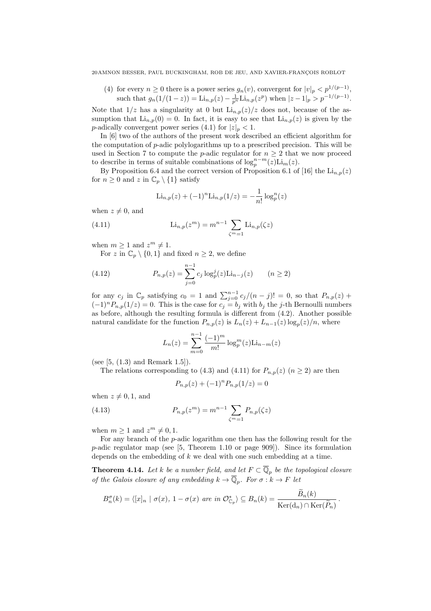20AMNON BESSER, PAUL BUCKINGHAM, ROB DE JEU, AND XAVIER-FRANCOIS ROBLOT

(4) for every  $n \geq 0$  there is a power series  $g_n(v)$ , convergent for  $|v|_p < p^{1/(p-1)}$ , such that  $g_n(1/(1-z)) = \mathrm{Li}_{n,p}(z) - \frac{1}{p^n} \mathrm{Li}_{n,p}(z^p)$  when  $|z - 1|_p > p^{-1/(p-1)}$ .

Note that  $1/z$  has a singularity at 0 but  $\text{Li}_{n,p}(z)/z$  does not, because of the assumption that  $\text{Li}_{n,p}(0) = 0$ . In fact, it is easy to see that  $\text{Li}_{n,p}(z)$  is given by the *p*-adically convergent power series (4.1) for  $|z|_p < 1$ .

In [6] two of the authors of the present work described an efficient algorithm for the computation of  $p$ -adic polylogarithms up to a prescribed precision. This will be used in Section 7 to compute the p-adic regulator for  $n \geq 2$  that we now proceed to describe in terms of suitable combinations of  $\log_p^{n-m}(z) \text{Li}_m(z)$ .

By Proposition 6.4 and the correct version of Proposition 6.1 of [16] the  $\text{Li}_{n,p}(z)$ for  $n \geq 0$  and z in  $\mathbb{C}_p \setminus \{1\}$  satisfy

$$
\mathrm{Li}_{n,p}(z) + (-1)^n \mathrm{Li}_{n,p}(1/z) = -\frac{1}{n!} \log_p^n(z)
$$

when  $z \neq 0$ , and

(4.11) 
$$
\text{Li}_{n,p}(z^m) = m^{n-1} \sum_{\zeta^m = 1} \text{Li}_{n,p}(\zeta z)
$$

when  $m \geq 1$  and  $z^m \neq 1$ .

For z in  $\mathbb{C}_p \setminus \{0,1\}$  and fixed  $n \geq 2$ , we define

(4.12) 
$$
P_{n,p}(z) = \sum_{j=0}^{n-1} c_j \log_p^j(z) \text{Li}_{n-j}(z) \qquad (n \ge 2)
$$

for any  $c_j$  in  $\mathbb{C}_p$  satisfying  $c_0 = 1$  and  $\sum_{j=0}^{n-1} c_j/(n-j)! = 0$ , so that  $P_{n,p}(z)$  +  $(-1)^n P_{n,p}(1/z) = 0$ . This is the case for  $c_j = b_j$  with  $b_j$  the j-th Bernoulli numbers as before, although the resulting formula is different from (4.2). Another possible natural candidate for the function  $P_{n,p}(z)$  is  $L_n(z) + L_{n-1}(z) \log_p(z)/n$ , where

$$
L_n(z) = \sum_{m=0}^{n-1} \frac{(-1)^m}{m!} \log_p^m(z) \text{Li}_{n-m}(z)
$$

(see [5, (1.3) and Remark 1.5]).

The relations corresponding to (4.3) and (4.11) for  $P_{n,p}(z)$  ( $n \ge 2$ ) are then

$$
P_{n,p}(z) + (-1)^n P_{n,p}(1/z) = 0
$$

when  $z \neq 0, 1$ , and

(4.13) 
$$
P_{n,p}(z^m) = m^{n-1} \sum_{\zeta^m=1} P_{n,p}(\zeta z)
$$

when  $m \geq 1$  and  $z^m \neq 0, 1$ .

For any branch of the p-adic logarithm one then has the following result for the  $p$ -adic regulator map (see [5, Theorem 1.10 or page 909]). Since its formulation depends on the embedding of  $k$  we deal with one such embedding at a time.

**Theorem 4.14.** Let k be a number field, and let  $F \subset \overline{\mathbb{Q}}_p$  be the topological closure *of the Galois closure of any embedding*  $k \to \overline{\mathbb{Q}}_p$ . For  $\sigma : k \to F$  *let* 

$$
B_n^{\sigma}(k) = \langle [x]_n \mid \sigma(x), 1 - \sigma(x) \text{ are in } \mathcal{O}_{\mathbb{C}_p}^* \rangle \subseteq B_n(k) = \frac{\widetilde{B}_n(k)}{\text{Ker}(d_n) \cap \text{Ker}(\widetilde{P}_n)}
$$

.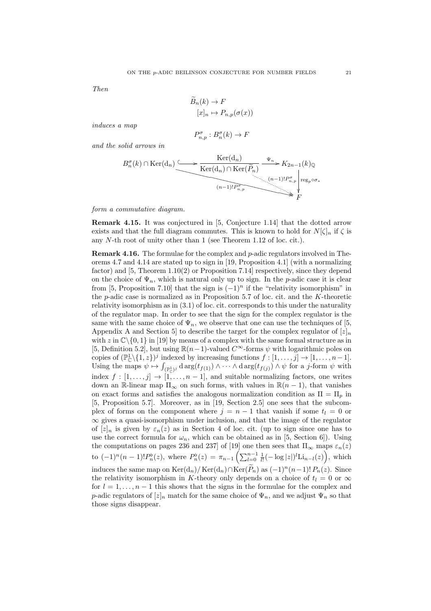*Then*

$$
B_n(k) \to F
$$

$$
[x]_n \mapsto P_{n,p}(\sigma(x))
$$

*induces a map*

$$
P_{n,p}^{\sigma}:B_n^{\sigma}(k)\to F
$$

*and the solid arrows in*

$$
B_n^{\sigma}(k) \cap \text{Ker}(d_n) \xrightarrow{\text{Ker}(d_n)} \text{Ker}(d_n) \cap \text{Ker}(\widetilde{P}_n) \xrightarrow{\Psi_n} K_{2n-1}(k)_{\mathbb{Q}}
$$

$$
(n-1)! P_{n,p}^{\sigma} \downarrow_{\text{reg}_p \circ \sigma_*}
$$

*form a commutative diagram.*

Remark 4.15. It was conjectured in [5, Conjecture 1.14] that the dotted arrow exists and that the full diagram commutes. This is known to hold for  $N[\zeta]_n$  if  $\zeta$  is any N-th root of unity other than 1 (see Theorem 1.12 of loc. cit.).

**Remark 4.16.** The formulae for the complex and  $p$ -adic regulators involved in Theorems 4.7 and 4.14 are stated up to sign in [19, Proposition 4.1] (with a normalizing factor) and [5, Theorem 1.10(2) or Proposition 7.14] respectively, since they depend on the choice of  $\Psi_n$ , which is natural only up to sign. In the p-adic case it is clear from [5, Proposition 7.10] that the sign is  $(-1)^n$  if the "relativity isomorphism" in the  $p$ -adic case is normalized as in Proposition 5.7 of loc. cit. and the K-theoretic relativity isomorphism as in (3.1) of loc. cit. corresponds to this under the naturality of the regulator map. In order to see that the sign for the complex regulator is the same with the same choice of  $\Psi_n$ , we observe that one can use the techniques of [5, Appendix A and Section 5 to describe the target for the complex regulator of  $[z]_n$ with z in  $\mathbb{C}\setminus\{0, 1\}$  in [19] by means of a complex with the same formal structure as in [5, Definition 5.2], but using  $\mathbb{R}(n-1)$ -valued  $C^{\infty}$ -forms  $\psi$  with logarithmic poles on copies of  $(\mathbb{P}^1_{\mathbb{C}}\backslash\{1,z\})^j$  indexed by increasing functions  $f : [1,\ldots,j] \to [1,\ldots,n-1]$ . Using the maps  $\psi \mapsto \int_{(\mathbb{P}^1_{\mathbb{C}})^j} darg(t_{f(1)}) \wedge \cdots \wedge darg(t_{f(j)}) \wedge \psi$  for a j-form  $\psi$  with index  $f : [1, \ldots, j] \rightarrow [1, \ldots, n-1]$ , and suitable normalizing factors, one writes down an R-linear map  $\Pi_{\infty}$  on such forms, with values in  $\mathbb{R}(n-1)$ , that vanishes on exact forms and satisfies the analogous normalization condition as  $\Pi = \Pi_p$  in [5, Proposition 5.7]. Moreover, as in [19, Section 2.5] one sees that the subcomplex of forms on the component where  $j = n - 1$  that vanish if some  $t<sub>l</sub> = 0$  or  $\infty$  gives a quasi-isomorphism under inclusion, and that the image of the regulator of  $[z]_n$  is given by  $\varepsilon_n(z)$  as in Section 4 of loc. cit. (up to sign since one has to use the correct formula for  $\omega_n$ , which can be obtained as in [5, Section 6]). Using the computations on pages 236 and 237] of [19] one then sees that  $\Pi_{\infty}$  maps  $\varepsilon_n(z)$ to  $(-1)^n(n-1)!P_n^b(z)$ , where  $P_n^b(z) = \pi_{n-1}\left(\sum_{l=0}^{n-1} \frac{1}{l!}(-\log|z|)^l \mathrm{Li}_{n-l}(z)\right)$ , which induces the same map on  $\text{Ker}(d_n)/\text{Ker}(d_n) \cap \text{Ker}(\widetilde{P}_n)$  as  $(-1)^n(n-1)! P_n(z)$ . Since the relativity isomorphism in K-theory only depends on a choice of  $t<sub>l</sub> = 0$  or  $\infty$ for  $l = 1, \ldots, n - 1$  this shows that the signs in the formulae for the complex and p-adic regulators of  $[z]_n$  match for the same choice of  $\Psi_n$ , and we adjust  $\Psi_n$  so that those signs disappear.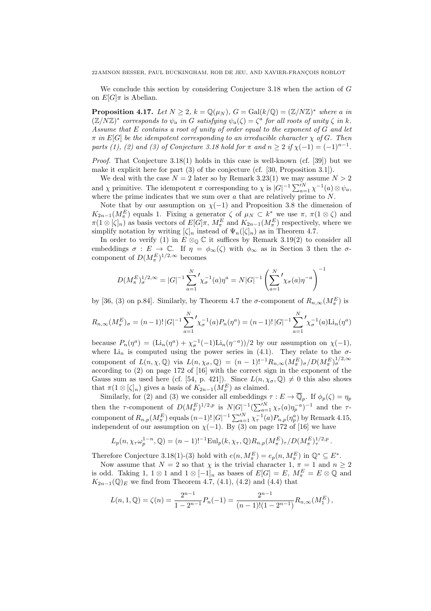22AMNON BESSER, PAUL BUCKINGHAM, ROB DE JEU, AND XAVIER-FRANCOIS ROBLOT

We conclude this section by considering Conjecture 3.18 when the action of G on  $E[G]$ π is Abelian.

**Proposition 4.17.** *Let*  $N \geq 2$ ,  $k = \mathbb{Q}(\mu_N)$ ,  $G = \text{Gal}(k/\mathbb{Q}) = (\mathbb{Z}/N\mathbb{Z})^*$  where a in  $(\mathbb{Z}/N\mathbb{Z})^*$  corresponds to  $\psi_a$  in G satisfying  $\psi_a(\zeta) = \zeta^a$  for all roots of unity  $\zeta$  in k. *Assume that* E *contains a root of unity of order equal to the exponent of* G *and let*  $\pi$  *in*  $E[G]$  *be the idempotent corresponding to an irreducible character*  $\chi$  *of*  $G$ *. Then parts* (1), (2) and (3) of Conjecture 3.18 hold for  $\pi$  and  $n \ge 2$  if  $\chi(-1) = (-1)^{n-1}$ .

*Proof.* That Conjecture 3.18(1) holds in this case is well-known (cf. [39]) but we make it explicit here for part (3) of the conjecture (cf. [30, Proposition 3.1]).

We deal with the case  $N = 2$  later so by Remark 3.23(1) we may assume  $N > 2$ and  $\chi$  primitive. The idempotent  $\pi$  corresponding to  $\chi$  is  $|G|^{-1} \sum_{a=1}^{N} \chi^{-1}(a) \otimes \psi_a$ , where the prime indicates that we sum over  $a$  that are relatively prime to  $N$ .

Note that by our assumption on  $\chi(-1)$  and Proposition 3.8 the dimension of  $K_{2n-1}(M_\pi^E)$  equals 1. Fixing a generator  $\zeta$  of  $\mu_N \subset k^*$  we use  $\pi$ ,  $\pi(1 \otimes \zeta)$  and  $\pi(1 \otimes [\zeta]_n)$  as basis vectors of  $E[G]\pi$ ,  $M_\pi^E$  and  $K_{2n-1}(M_\pi^E)$  respectively, where we simplify notation by writing  $[\zeta]_n$  instead of  $\Psi_n([\zeta]_n)$  as in Theorem 4.7.

In order to verify (1) in  $E \otimes_{\mathbb{Q}} \mathbb{C}$  it suffices by Remark 3.19(2) to consider all embeddings  $\sigma : E \to \mathbb{C}$ . If  $\eta = \phi_{\infty}(\zeta)$  with  $\phi_{\infty}$  as in Section 3 then the  $\sigma$ component of  $D(M_{\pi}^E)^{1/2, \infty}$  becomes

$$
D(M_{\pi}^{E})_{\sigma}^{1/2,\infty} = |G|^{-1} \sum_{a=1}^{N} \chi_{\sigma}^{-1}(a)\eta^{a} = N|G|^{-1} \left(\sum_{a=1}^{N} \chi_{\sigma}(a)\eta^{-a}\right)^{-1}
$$

by [36, (3) on p.84]. Similarly, by Theorem 4.7 the  $\sigma$ -component of  $R_{n,\infty}(M_{\pi}^E)$  is

$$
R_{n,\infty}(M_{\pi}^{E})_{\sigma} = (n-1)! |G|^{-1} \sum_{a=1}^{N} \chi_{\sigma}^{-1}(a) P_{n}(\eta^{a}) = (n-1)! |G|^{-1} \sum_{a=1}^{N} \chi_{\sigma}^{-1}(a) \text{Li}_{n}(\eta^{a})
$$

because  $P_n(\eta^a) = (\text{Li}_n(\eta^a) + \chi_{\sigma}^{-1}(-1)\text{Li}_n(\eta^{-a}))/2$  by our assumption on  $\chi(-1)$ , where  $\text{Li}_n$  is computed using the power series in (4.1). They relate to the  $\sigma$ component of  $L(n, \chi, \mathbb{Q})$  via  $L(n, \chi_{\sigma}, \mathbb{Q}) = (n-1)!^{-1} R_{n,\infty}(M_{\pi}^E)_{\sigma}/D(M_{\pi}^E)^{1/2,\infty}$ according to (2) on page 172 of [16] with the correct sign in the exponent of the Gauss sum as used here (cf. [54, p. 421]). Since  $L(n, \chi_{\sigma}, \mathbb{Q}) \neq 0$  this also shows that  $\pi(1 \otimes [\zeta]_n)$  gives a basis of  $K_{2n-1}(M_\pi^E)$  as claimed.

 $\lim_{n \to \infty} \log_{\lfloor n \rfloor}$  gives a basis of  $R_{2n-1}(m_{\pi})$  as claimed.<br>Similarly, for (2) and (3) we consider all embeddings  $\tau : E \to \overline{\mathbb{Q}}_p$ . If  $\phi_p(\zeta) = \eta_p$ then the  $\tau$ -component of  $D(M_{\pi}^E)^{1/2,p}$  is  $N|G|^{-1}(\sum_{a=1}^{N} \chi_{\tau}(a)\eta_{p}^{-a})^{-1}$  and the  $\tau$ component of  $R_{n,p}(M_\pi^E)$  equals  $(n-1)! |G|^{-1} \sum_{a=1}^N \chi_\tau^{-1}(a) P_{n,p}(\eta_p^a)$  by Remark 4.15, independent of our assumption on  $\chi(-1)$ . By (3) on page 172 of [16] we have

$$
L_p(n, \chi_\tau \omega_p^{1-n}, \mathbb{Q}) = (n-1)!^{-1} \text{Eul}_p(k, \chi_\tau, \mathbb{Q}) R_{n,p}(M_\pi^E)_{\tau} / D(M_\pi^E)_{\tau}^{1/2,p}.
$$

Therefore Conjecture 3.18(1)-(3) hold with  $e(n, M_{\pi}^{E}) = e_{p}(n, M_{\pi}^{E})$  in  $\mathbb{Q}^{*} \subseteq E^{*}$ .

Now assume that  $N = 2$  so that  $\chi$  is the trivial character 1,  $\pi = 1$  and  $n \ge 2$ is odd. Taking 1, 1 ⊗ 1 and 1 ⊗ [-1]<sub>n</sub> as bases of  $E[G] = E$ ,  $M_{\pi}^{E} = E \otimes \mathbb{Q}$  and  $K_{2n-1}(\mathbb{Q})_E$  we find from Theorem 4.7, (4.1), (4.2) and (4.4) that

$$
L(n,1,\mathbb{Q}) = \zeta(n) = \frac{2^{n-1}}{1-2^{n-1}}P_n(-1) = \frac{2^{n-1}}{(n-1)!(1-2^{n-1})}R_{n,\infty}(M_1^E),
$$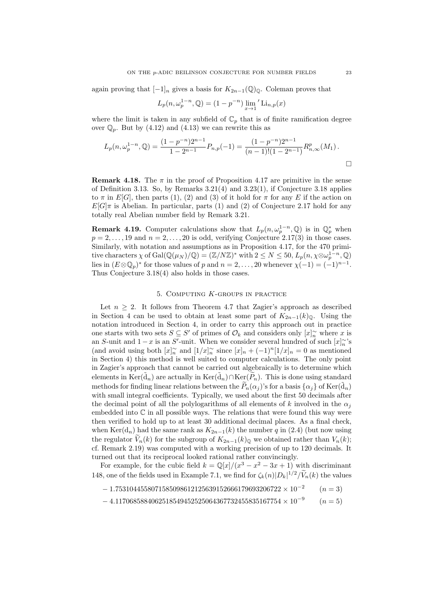again proving that  $[-1]_n$  gives a basis for  $K_{2n-1}(\mathbb{Q})_{\mathbb{Q}}$ . Coleman proves that

$$
L_p(n, \omega_p^{1-n}, \mathbb{Q}) = (1 - p^{-n}) \lim_{x \to 1} ' \text{Li}_{n,p}(x)
$$

where the limit is taken in any subfield of  $\mathbb{C}_p$  that is of finite ramification degree over  $\mathbb{Q}_p$ . But by (4.12) and (4.13) we can rewrite this as

$$
L_p(n,\omega_p^{1-n},\mathbb{Q}) = \frac{(1-p^{-n})2^{n-1}}{1-2^{n-1}}P_{n,p}(-1) = \frac{(1-p^{-n})2^{n-1}}{(n-1)!(1-2^{n-1})}R_{n,\infty}^p(M_1).
$$

**Remark 4.18.** The  $\pi$  in the proof of Proposition 4.17 are primitive in the sense of Definition 3.13. So, by Remarks  $3.21(4)$  and  $3.23(1)$ , if Conjecture 3.18 applies to  $\pi$  in E[G], then parts (1), (2) and (3) of it hold for  $\pi$  for any E if the action on  $E[G]$ π is Abelian. In particular, parts (1) and (2) of Conjecture 2.17 hold for any totally real Abelian number field by Remark 3.21.

**Remark 4.19.** Computer calculations show that  $L_p(n, \omega_p^{1-n}, \mathbb{Q})$  is in  $\mathbb{Q}_p^*$  when  $p = 2, \ldots, 19$  and  $n = 2, \ldots, 20$  is odd, verifying Conjecture 2.17(3) in those cases. Similarly, with notation and assumptions as in Proposition 4.17, for the 470 primitive characters  $\chi$  of  $Gal(\mathbb{Q}(\mu_N)/\mathbb{Q}) = (\mathbb{Z}/N\mathbb{Z})^*$  with  $2 \leq N \leq 50$ ,  $L_p(n, \chi \otimes \omega_p^{1-n}, \mathbb{Q})$ lies in  $(E \otimes \mathbb{Q}_p)^*$  for those values of p and  $n = 2, ..., 20$  whenever  $\chi(-1) = (-1)^{n-1}$ . Thus Conjecture 3.18(4) also holds in those cases.

# 5. Computing K-groups in practice

Let  $n \geq 2$ . It follows from Theorem 4.7 that Zagier's approach as described in Section 4 can be used to obtain at least some part of  $K_{2n-1}(k)_{\mathbb{Q}}$ . Using the notation introduced in Section 4, in order to carry this approach out in practice one starts with two sets  $S \subseteq S'$  of primes of  $\mathcal{O}_k$  and considers only  $[x]_n^{\sim}$  where x is an S-unit and  $1-x$  is an S'-unit. When we consider several hundred of such  $[x]_n^{\sim}$ 's (and avoid using both  $[x]_n^{\sim}$  and  $[1/x]_n^{\sim}$  since  $[x]_n + (-1)^n [1/x]_n = 0$  as mentioned in Section 4) this method is well suited to computer calculations. The only point in Zagier's approach that cannot be carried out algebraically is to determine which elements in  $\text{Ker}(\tilde{d}_n)$  are actually in  $\text{Ker}(\tilde{d}_n) \cap \text{Ker}(\tilde{P}_n)$ . This is done using standard methods for finding linear relations between the  $\widetilde{P}_n(\alpha_j)$ 's for a basis  $\{\alpha_j\}$  of Ker $(\widetilde{\textbf{d}}_n)$ with small integral coefficients. Typically, we used about the first 50 decimals after the decimal point of all the polylogarithms of all elements of k involved in the  $\alpha_i$ embedded into  $\mathbb C$  in all possible ways. The relations that were found this way were then verified to hold up to at least 30 additional decimal places. As a final check, when Ker(d<sub>n</sub>) had the same rank as  $K_{2n-1}(k)$  the number q in (2.4) (but now using the regulator  $\widetilde{V}_n(k)$  for the subgroup of  $K_{2n-1}(k)_{\mathbb{Q}}$  we obtained rather than  $V_n(k)$ ; cf. Remark 2.19) was computed with a working precision of up to 120 decimals. It turned out that its reciprocal looked rational rather convincingly.

For example, for the cubic field  $k = \mathbb{Q}[x]/(x^3 - x^2 - 3x + 1)$  with discriminant 148, one of the fields used in Example 7.1, we find for  $\zeta_k(n)|D_k|^{1/2}/\tilde{V}_n(k)$  the values

| $-1.7531044558071585098612125639152666179693206722\times 10^{-2}$ | $(n=3)$ |
|-------------------------------------------------------------------|---------|
| $-4.1170685884062518549452525064367732455835167754\times 10^{-9}$ | $(n=5)$ |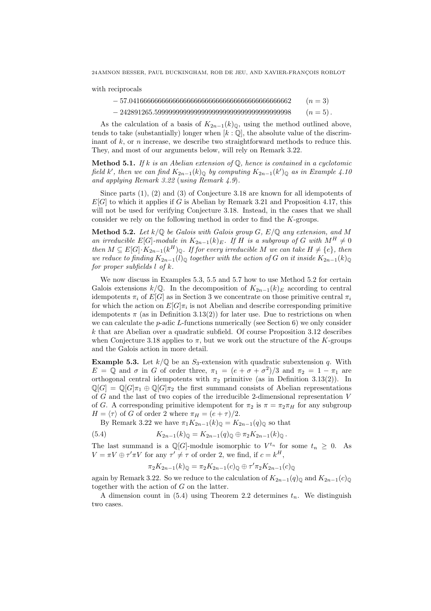with reciprocals

| $-57.041666666666666666666666666666666666662$ | $(n=3)$   |
|-----------------------------------------------|-----------|
|                                               | $(n=5)$ . |

As the calculation of a basis of  $K_{2n-1}(k)_{\mathbb{Q}}$ , using the method outlined above, tends to take (substantially) longer when  $[k: \mathbb{Q}]$ , the absolute value of the discriminant of  $k$ , or  $n$  increase, we describe two straightforward methods to reduce this. They, and most of our arguments below, will rely on Remark 3.22.

Method 5.1. *If* k *is an Abelian extension of* Q*, hence is contained in a cyclotomic field*  $k'$ , then we can find  $K_{2n-1}(k)$  by computing  $K_{2n-1}(k')$  as in Example 4.10 *and applying Remark 3.22* (*using Remark 4.9*)*.*

Since parts (1), (2) and (3) of Conjecture 3.18 are known for all idempotents of  $E[G]$  to which it applies if G is Abelian by Remark 3.21 and Proposition 4.17, this will not be used for verifying Conjecture 3.18. Instead, in the cases that we shall consider we rely on the following method in order to find the K-groups.

Method 5.2. *Let* k/Q *be Galois with Galois group* G*,* E/Q *any extension, and* M *an irreducible*  $E[G]$ -module in  $K_{2n-1}(k)_E$ . If H is a subgroup of G with  $M^H \neq 0$ *then*  $M \subseteq E[G] \cdot K_{2n-1}(k^H)_{\mathbb{Q}}$ *. If for every irreducible*  $M$  *we can take*  $H \neq \{e\}$ *, then we reduce to finding*  $K_{2n-1}(l)$ <sub>Q</sub> *together with the action of* G *on it inside*  $K_{2n-1}(k)$ <sub>Q</sub> *for proper subfields* l *of* k*.*

We now discuss in Examples 5.3, 5.5 and 5.7 how to use Method 5.2 for certain Galois extensions  $k/\mathbb{Q}$ . In the decomposition of  $K_{2n-1}(k)_E$  according to central idempotents  $\pi_i$  of  $E[G]$  as in Section 3 we concentrate on those primitive central  $\pi_i$ for which the action on  $E[G]\pi_i$  is not Abelian and describe corresponding primitive idempotents  $\pi$  (as in Definition 3.13(2)) for later use. Due to restrictions on when we can calculate the  $p$ -adic L-functions numerically (see Section 6) we only consider k that are Abelian over a quadratic subfield. Of course Proposition 3.12 describes when Conjecture 3.18 applies to  $\pi$ , but we work out the structure of the K-groups and the Galois action in more detail.

**Example 5.3.** Let  $k/\mathbb{Q}$  be an  $S_3$ -extension with quadratic subextension q. With  $E = \mathbb{Q}$  and  $\sigma$  in G of order three,  $\pi_1 = (e + \sigma + \sigma^2)/3$  and  $\pi_2 = 1 - \pi_1$  are orthogonal central idempotents with  $\pi_2$  primitive (as in Definition 3.13(2)). In  $\mathbb{Q}[G] = \mathbb{Q}[G]\pi_1 \oplus \mathbb{Q}[G]\pi_2$  the first summand consists of Abelian representations of G and the last of two copies of the irreducible 2-dimensional representation V of G. A corresponding primitive idempotent for  $\pi_2$  is  $\pi = \pi_2 \pi_H$  for any subgroup  $H = \langle \tau \rangle$  of G of order 2 where  $\pi_H = (e + \tau)/2$ .

By Remark 3.22 we have  $\pi_1 K_{2n-1}(k)_{\mathbb{Q}} = K_{2n-1}(q)_{\mathbb{Q}}$  so that

(5.4) 
$$
K_{2n-1}(k)_{\mathbb{Q}} = K_{2n-1}(q)_{\mathbb{Q}} \oplus \pi_2 K_{2n-1}(k)_{\mathbb{Q}}.
$$

The last summand is a  $\mathbb{Q}[G]$ -module isomorphic to  $V^{t_n}$  for some  $t_n \geq 0$ . As  $V = \pi V \oplus \tau' \pi V$  for any  $\tau' \neq \tau$  of order 2, we find, if  $c = k^H$ ,

 $\pi_2 K_{2n-1}(k)_{\mathbb{Q}} = \pi_2 K_{2n-1}(c)_{\mathbb{Q}} \oplus \tau' \pi_2 K_{2n-1}(c)_{\mathbb{Q}}$ 

again by Remark 3.22. So we reduce to the calculation of  $K_{2n-1}(q)_{\mathbb{Q}}$  and  $K_{2n-1}(c)_{\mathbb{Q}}$ together with the action of G on the latter.

A dimension count in  $(5.4)$  using Theorem 2.2 determines  $t_n$ . We distinguish two cases.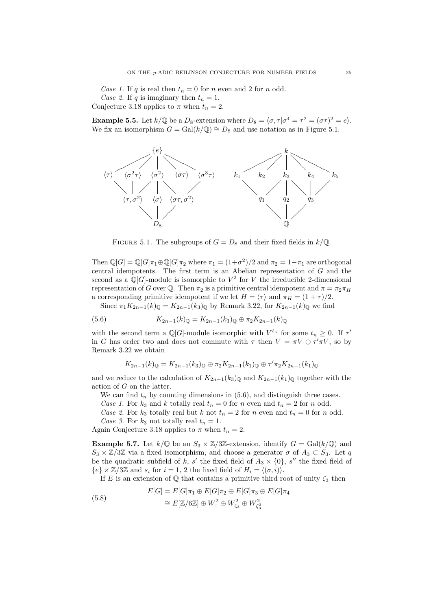*Case 1.* If q is real then  $t_n = 0$  for n even and 2 for n odd. *Case 2.* If q is imaginary then  $t_n = 1$ . Conjecture 3.18 applies to  $\pi$  when  $t_n = 2$ .

**Example 5.5.** Let  $k/\mathbb{Q}$  be a  $D_8$ -extension where  $D_8 = \langle \sigma, \tau | \sigma^4 = \tau^2 = (\sigma \tau)^2 = e \rangle$ . We fix an isomorphism  $G = \text{Gal}(k/\mathbb{Q}) \cong D_8$  and use notation as in Figure 5.1.



FIGURE 5.1. The subgroups of  $G = D_8$  and their fixed fields in  $k/\mathbb{Q}$ .

Then  $\mathbb{Q}[G] = \mathbb{Q}[G]\pi_1 \oplus \mathbb{Q}[G]\pi_2$  where  $\pi_1 = (1+\sigma^2)/2$  and  $\pi_2 = 1-\pi_1$  are orthogonal central idempotents. The first term is an Abelian representation of G and the second as a  $\mathbb{Q}[G]$ -module is isomorphic to  $V^2$  for V the irreducible 2-dimensional representation of G over Q. Then  $\pi_2$  is a primitive central idempotent and  $\pi = \pi_2 \pi_H$ a corresponding primitive idempotent if we let  $H = \langle \tau \rangle$  and  $\pi_H = (1 + \tau)/2$ .

Since  $\pi_1 K_{2n-1}(k)_0 = K_{2n-1}(k_3)_0$  by Remark 3.22, for  $K_{2n-1}(k)_0$  we find

(5.6) 
$$
K_{2n-1}(k)_{\mathbb{Q}} = K_{2n-1}(k_3)_{\mathbb{Q}} \oplus \pi_2 K_{2n-1}(k)_{\mathbb{Q}}
$$

with the second term a  $\mathbb{Q}[G]$ -module isomorphic with  $V^{t_n}$  for some  $t_n \geq 0$ . If  $\tau'$ in G has order two and does not commute with  $\tau$  then  $V = \pi V \oplus \tau' \pi V$ , so by Remark 3.22 we obtain

$$
K_{2n-1}(k)_{\mathbb{Q}} = K_{2n-1}(k_3)_{\mathbb{Q}} \oplus \pi_2 K_{2n-1}(k_1)_{\mathbb{Q}} \oplus \tau' \pi_2 K_{2n-1}(k_1)_{\mathbb{Q}}
$$

and we reduce to the calculation of  $K_{2n-1}(k_3)_{\mathbb{Q}}$  and  $K_{2n-1}(k_1)_{\mathbb{Q}}$  together with the action of G on the latter.

We can find  $t_n$  by counting dimensions in (5.6), and distinguish three cases.

*Case 1.* For  $k_3$  and k totally real  $t_n = 0$  for n even and  $t_n = 2$  for n odd.

*Case 2.* For  $k_3$  totally real but k not  $t_n = 2$  for n even and  $t_n = 0$  for n odd.

*Case 3.* For  $k_3$  not totally real  $t_n = 1$ .

Again Conjecture 3.18 applies to  $\pi$  when  $t_n = 2$ .

**Example 5.7.** Let  $k/\mathbb{Q}$  be an  $S_3 \times \mathbb{Z}/3\mathbb{Z}$ -extension, identify  $G = \text{Gal}(k/\mathbb{Q})$  and  $S_3 \times \mathbb{Z}/3\mathbb{Z}$  via a fixed isomorphism, and choose a generator  $\sigma$  of  $A_3 \subset S_3$ . Let q be the quadratic subfield of k, s' the fixed field of  $A_3 \times \{0\}$ , s'' the fixed field of  ${e} \times \mathbb{Z}/3\mathbb{Z}$  and  $s_i$  for  $i = 1, 2$  the fixed field of  $H_i = \langle (\sigma, i) \rangle$ .

If E is an extension of Q that contains a primitive third root of unity  $\zeta_3$  then

(5.8) 
$$
E[G] = E[G]\pi_1 \oplus E[G]\pi_2 \oplus E[G]\pi_3 \oplus E[G]\pi_4
$$

$$
\cong E[\mathbb{Z}/6\mathbb{Z}] \oplus W_1^2 \oplus W_{\zeta_3}^2 \oplus W_{\zeta_3^2}^2
$$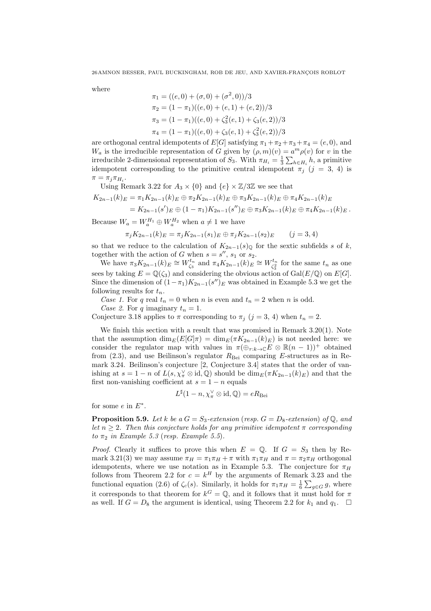where

$$
\pi_1 = ((e, 0) + (\sigma, 0) + (\sigma^2, 0))/3
$$
  
\n
$$
\pi_2 = (1 - \pi_1)((e, 0) + (e, 1) + (e, 2))/3
$$
  
\n
$$
\pi_3 = (1 - \pi_1)((e, 0) + \zeta_3^2(e, 1) + \zeta_3(e, 2))/3
$$
  
\n
$$
\pi_4 = (1 - \pi_1)((e, 0) + \zeta_3(e, 1) + \zeta_3^2(e, 2))/3
$$

are orthogonal central idempotents of  $E[G]$  satisfying  $\pi_1 + \pi_2 + \pi_3 + \pi_4 = (e, 0)$ , and  $W_a$  is the irreducible representation of G given by  $(\rho, m)(v) = a^m \rho(v)$  for v in the irreducible 2-dimensional representation of  $S_3$ . With  $\pi_{H_i} = \frac{1}{3} \sum_{h \in H_i} h$ , a primitive idempotent corresponding to the primitive central idempotent  $\pi_j$  (j = 3, 4) is  $\pi = \pi_j \pi_{H_i}.$ 

Using Remark 3.22 for 
$$
A_3 \times \{0\}
$$
 and  $\{e\} \times \mathbb{Z}/3\mathbb{Z}$  we see that

$$
K_{2n-1}(k)_E = \pi_1 K_{2n-1}(k)_E \oplus \pi_2 K_{2n-1}(k)_E \oplus \pi_3 K_{2n-1}(k)_E \oplus \pi_4 K_{2n-1}(k)_E
$$
  
=  $K_{2n-1}(s')_E \oplus (1-\pi_1)K_{2n-1}(s'')_E \oplus \pi_2 K_{2n-1}(k)_E \oplus \pi_1 K_{2n-1}(k)_E$ 

$$
= K_{2n-1}(s')_E \oplus (1-\pi_1)K_{2n-1}(s'')_E \oplus \pi_3K_{2n-1}(k)_E \oplus \pi_4K_{2n-1}(k)_E.
$$

Because  $W_a = W_a^{H_1} \oplus W_a^{H_2}$  when  $a \neq 1$  we have

$$
\pi_j K_{2n-1}(k)_E = \pi_j K_{2n-1}(s_1)_E \oplus \pi_j K_{2n-1}(s_2)_E \qquad (j = 3, 4)
$$

so that we reduce to the calculation of  $K_{2n-1}(s)_{\mathbb{Q}}$  for the sextic subfields s of k, together with the action of G when  $s = s''$ ,  $s_1$  or  $s_2$ .

We have  $\pi_3 K_{2n-1}(k)_E \cong W_{\zeta_3}^{t_n}$  and  $\pi_4 K_{2n-1}(k)_E \cong W_{\zeta_3^2}^{t_n}$  for the same  $t_n$  as one sees by taking  $E = \mathbb{Q}(\zeta_3)$  and considering the obvious action of Gal( $E/\mathbb{Q}$ ) on  $E[G]$ . Since the dimension of  $(1 - \pi_1)K_{2n-1}(s'')_E$  was obtained in Example 5.3 we get the following results for  $t_n$ .

*Case 1.* For q real  $t_n = 0$  when n is even and  $t_n = 2$  when n is odd.

*Case 2.* For q imaginary  $t_n = 1$ .

Conjecture 3.18 applies to  $\pi$  corresponding to  $\pi_i$  (j = 3, 4) when  $t_n = 2$ .

We finish this section with a result that was promised in Remark 3.20(1). Note that the assumption  $\dim_E(E[G]\pi) = \dim_E(\pi K_{2n-1}(k)_E)$  is not needed here: we consider the regulator map with values in  $\pi(\bigoplus_{\tau:k\to\mathbb{C}}E\otimes\mathbb{R}(n-1))^+$  obtained from (2.3), and use Beilinson's regulator  $R_{\text{Bei}}$  comparing E-structures as in Remark 3.24. Beilinson's conjecture [2, Conjecture 3.4] states that the order of vanishing at  $s = 1 - n$  of  $L(s, \chi^{\vee}_\pi \otimes id, \mathbb{Q})$  should be  $\dim_E(\pi K_{2n-1}(k)_E)$  and that the first non-vanishing coefficient at  $s = 1 - n$  equals

$$
L^{\sharp}(1-n, \chi_{\pi}^{\vee} \otimes \mathrm{id}, \mathbb{Q}) = eR_{\text{Bei}}
$$

for some  $e$  in  $E^*$ .

**Proposition 5.9.** Let k be a  $G = S_3$ -extension (resp.  $G = D_8$ -extension) of  $\mathbb{Q}$ , and *let*  $n > 2$ *. Then this conjecture holds for any primitive idempotent*  $\pi$  *corresponding*  $to \pi_2$  *in Example 5.3 (resp. Example 5.5)*.

*Proof.* Clearly it suffices to prove this when  $E = \mathbb{Q}$ . If  $G = S_3$  then by Remark 3.21(3) we may assume  $\pi_H = \pi_1 \pi_H + \pi$  with  $\pi_1 \pi_H$  and  $\pi = \pi_2 \pi_H$  orthogonal idempotents, where we use notation as in Example 5.3. The conjecture for  $\pi_H$ follows from Theorem 2.2 for  $c = k^H$  by the arguments of Remark 3.23 and the functional equation (2.6) of  $\zeta_c(s)$ . Similarly, it holds for  $\pi_1 \pi_H = \frac{1}{6} \sum_{g \in G} g$ , where it corresponds to that theorem for  $k^G = \mathbb{Q}$ , and it follows that it must hold for  $\pi$ as well. If  $G = D_8$  the argument is identical, using Theorem 2.2 for  $k_1$  and  $q_1$ .  $\Box$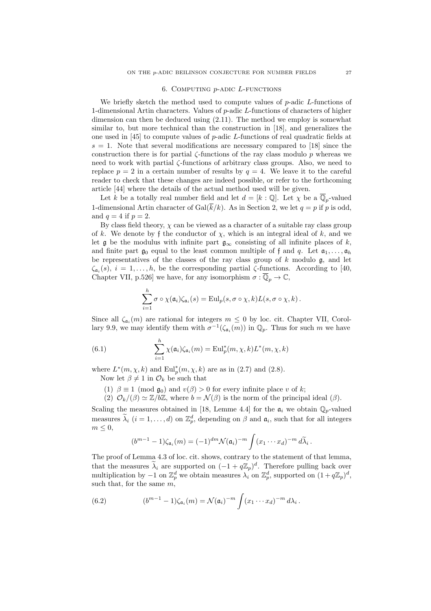#### 6. COMPUTING  $p$ -ADIC  $L$ -FUNCTIONS

We briefly sketch the method used to compute values of  $p$ -adic  $L$ -functions of 1-dimensional Artin characters. Values of p-adic L-functions of characters of higher dimension can then be deduced using (2.11). The method we employ is somewhat similar to, but more technical than the construction in [18], and generalizes the one used in [45] to compute values of p-adic L-functions of real quadratic fields at  $s = 1$ . Note that several modifications are necessary compared to [18] since the construction there is for partial  $\zeta$ -functions of the ray class modulo p whereas we need to work with partial  $\zeta$ -functions of arbitrary class groups. Also, we need to replace  $p = 2$  in a certain number of results by  $q = 4$ . We leave it to the careful reader to check that these changes are indeed possible, or refer to the forthcoming article [44] where the details of the actual method used will be given.

Let k be a totally real number field and let  $d = [k : \mathbb{Q}]$ . Let  $\chi$  be a  $\overline{\mathbb{Q}}_p$ -valued 1-dimensional Artin character of Gal( $\overline{k}/k$ ). As in Section 2, we let  $q = p$  if p is odd, and  $q = 4$  if  $p = 2$ .

By class field theory,  $\chi$  can be viewed as a character of a suitable ray class group of k. We denote by f the conductor of  $\chi$ , which is an integral ideal of k, and we let g be the modulus with infinite part  $\mathfrak{g}_{\infty}$  consisting of all infinite places of k, and finite part  $\mathfrak{g}_0$  equal to the least common multiple of f and q. Let  $\mathfrak{a}_1, \ldots, \mathfrak{a}_h$ be representatives of the classes of the ray class group of  $k$  modulo  $\mathfrak{g}$ , and let  $\zeta_{\mathfrak{a}_i}(s), i = 1, \ldots, h$ , be the corresponding partial  $\zeta$ -functions. According to [40, Chapter VII, p.526] we have, for any isomorphism  $\sigma : \overline{\mathbb{Q}}_p \to \mathbb{C}$ ,

$$
\sum_{i=1}^h \sigma \circ \chi(\mathfrak{a}_i) \zeta_{\mathfrak{a}_i}(s) = \mathrm{Eul}_p(s, \sigma \circ \chi, k) L(s, \sigma \circ \chi, k).
$$

Since all  $\zeta_{\mathfrak{a}_i}(m)$  are rational for integers  $m \leq 0$  by loc. cit. Chapter VII, Corollary 9.9, we may identify them with  $\sigma^{-1}(\zeta_{\mathfrak{a}_i}(m))$  in  $\mathbb{Q}_p$ . Thus for such m we have

(6.1) 
$$
\sum_{i=1}^{h} \chi(\mathfrak{a}_i) \zeta_{\mathfrak{a}_i}(m) = \mathrm{Eul}_p^*(m, \chi, k) L^*(m, \chi, k)
$$

where  $L^*(m, \chi, k)$  and  $\text{Eul}_p^*(m, \chi, k)$  are as in (2.7) and (2.8).

Now let  $\beta \neq 1$  in  $\mathcal{O}_k$  be such that

(1)  $\beta \equiv 1 \pmod{\mathfrak{g}_0}$  and  $v(\beta) > 0$  for every infinite place v of k;

(2)  $\mathcal{O}_k/(\beta) \simeq \mathbb{Z}/b\mathbb{Z}$ , where  $b = \mathcal{N}(\beta)$  is the norm of the principal ideal  $(\beta)$ .

Scaling the measures obtained in [18, Lemme 4.4] for the  $a_i$  we obtain  $\mathbb{Q}_p$ -valued measures  $\lambda_i$   $(i = 1, ..., d)$  on  $\mathbb{Z}_p^d$ , depending on  $\beta$  and  $\mathfrak{a}_i$ , such that for all integers  $m \leq 0$ ,

$$
(b^{m-1}-1)\zeta_{\mathfrak{a}_i}(m) = (-1)^{dm} \mathcal{N}(\mathfrak{a}_i)^{-m} \int (x_1 \cdots x_d)^{-m} d\widetilde{\lambda}_i.
$$

The proof of Lemma 4.3 of loc. cit. shows, contrary to the statement of that lemma, that the measures  $\tilde{\lambda}_i$  are supported on  $(-1 + q\mathbb{Z}_p)^d$ . Therefore pulling back over multiplication by  $-1$  on  $\mathbb{Z}_p^d$  we obtain measures  $\lambda_i$  on  $\mathbb{Z}_p^d$ , supported on  $(1+q\mathbb{Z}_p)^d$ , such that, for the same  $m$ ,

(6.2) 
$$
(b^{m-1}-1)\zeta_{\mathfrak{a}_i}(m)=\mathcal{N}(\mathfrak{a}_i)^{-m}\int (x_1\cdots x_d)^{-m} d\lambda_i.
$$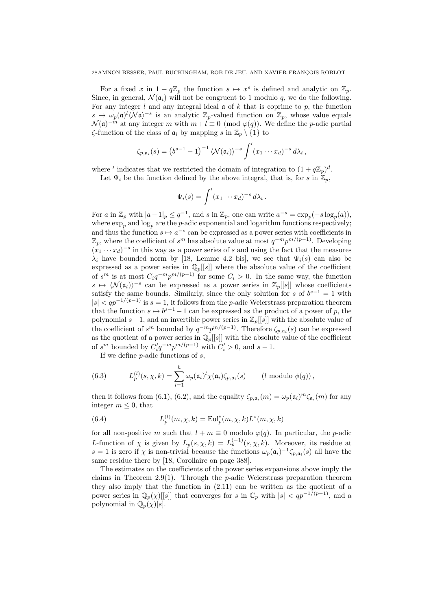For a fixed x in  $1 + q\mathbb{Z}_p$  the function  $s \mapsto x^s$  is defined and analytic on  $\mathbb{Z}_p$ . Since, in general,  $\mathcal{N}(\mathfrak{a}_i)$  will not be congruent to 1 modulo q, we do the following. For any integer  $l$  and any integral ideal  $\alpha$  of  $k$  that is coprime to  $p$ , the function  $s \mapsto \omega_p(\mathfrak{a})^l \langle \mathcal{N} \mathfrak{a} \rangle^{-s}$  is an analytic  $\mathbb{Z}_p$ -valued function on  $\mathbb{Z}_p$ , whose value equals  $\mathcal{N}(\mathfrak{a})^{-m}$  at any integer m with  $m + l \equiv 0 \pmod{\varphi(q)}$ . We define the p-adic partial  $\zeta$ -function of the class of  $\mathfrak{a}_i$  by mapping s in  $\mathbb{Z}_n \setminus \{1\}$  to

$$
\zeta_{p,\mathfrak{a}_i}(s) = \left(b^{s-1}-1\right)^{-1} \langle \mathcal{N}(\mathfrak{a}_i) \rangle^{-s} \int' (x_1 \cdots x_d)^{-s} d\lambda_i,
$$

where ' indicates that we restricted the domain of integration to  $(1+q\mathbb{Z}_p)^d$ . Let  $\Psi_i$  be the function defined by the above integral, that is, for s in  $\mathbb{Z}_p$ ,

$$
\Psi_i(s) = \int'(x_1 \cdots x_d)^{-s} d\lambda_i.
$$

For a in  $\mathbb{Z}_p$  with  $|a-1|_p \leq q^{-1}$ , and s in  $\mathbb{Z}_p$ , one can write  $a^{-s} = \exp_p(-s \log_p(a)),$ where  $\exp_n$  and  $\log_n$  are the p-adic exponential and logarithm functions respectively; and thus the function  $s \mapsto a^{-s}$  can be expressed as a power series with coefficients in  $\mathbb{Z}_p$ , where the coefficient of  $s^m$  has absolute value at most  $q^{-m}p^{m/(p-1)}$ . Developing  $(x_1 \cdots x_d)^{-s}$  in this way as a power series of s and using the fact that the measures  $\lambda_i$  have bounded norm by [18, Lemme 4.2 bis], we see that  $\Psi_i(s)$  can also be expressed as a power series in  $\mathbb{Q}_p[[s]]$  where the absolute value of the coefficient of  $s^m$  is at most  $C_i q^{-m} p^{m/(p-1)}$  for some  $C_i > 0$ . In the same way, the function  $s \mapsto \langle \mathcal{N}(\mathfrak{a}_i)\rangle^{-s}$  can be expressed as a power series in  $\mathbb{Z}_p[[s]]$  whose coefficients satisfy the same bounds. Similarly, since the only solution for s of  $b^{s-1} = 1$  with  $|s| < qp^{-1/(p-1)}$  is  $s = 1$ , it follows from the *p*-adic Weierstrass preparation theorem that the function  $s \mapsto b^{s-1} - 1$  can be expressed as the product of a power of p, the polynomial  $s-1$ , and an invertible power series in  $\mathbb{Z}_p[[s]]$  with the absolute value of the coefficient of  $s^m$  bounded by  $q^{-m}p^{m/(p-1)}$ . Therefore  $\zeta_{p,\mathfrak{a}_i}(s)$  can be expressed as the quotient of a power series in  $\mathbb{Q}_p[[s]]$  with the absolute value of the coefficient of  $s^m$  bounded by  $C'_i q^{-m} p^{m/(p-1)}$  with  $C'_i > 0$ , and  $s - 1$ .

If we define  $p$ -adic functions of  $s$ ,

(6.3) 
$$
L_p^{(l)}(s,\chi,k) = \sum_{i=1}^h \omega_p(\mathfrak{a}_i)^l \chi(\mathfrak{a}_i) \zeta_{p,\mathfrak{a}_i}(s) \qquad (l \text{ modulo } \phi(q)),
$$

then it follows from (6.1), (6.2), and the equality  $\zeta_{p,\mathfrak{a}_i}(m) = \omega_p(\mathfrak{a}_i)^m \zeta_{\mathfrak{a}_i}(m)$  for any integer  $m \leq 0$ , that

(6.4) 
$$
L_p^{(l)}(m, \chi, k) = \text{Eul}_p^*(m, \chi, k) L^*(m, \chi, k)
$$

for all non-positive m such that  $l + m \equiv 0$  modulo  $\varphi(q)$ . In particular, the p-adic L-function of  $\chi$  is given by  $L_p(s,\chi,k) = L_p^{(-1)}(s,\chi,k)$ . Moreover, its residue at s = 1 is zero if  $\chi$  is non-trivial because the functions  $\omega_p(\mathfrak{a}_i)^{-1}\zeta_{p,\mathfrak{a}_i}(s)$  all have the same residue there by [18, Corollaire on page 388].

The estimates on the coefficients of the power series expansions above imply the claims in Theorem 2.9(1). Through the  $p$ -adic Weierstrass preparation theorem they also imply that the function in (2.11) can be written as the quotient of a power series in  $\mathbb{Q}_p(\chi)[[s]]$  that converges for s in  $\mathbb{C}_p$  with  $|s| < qp^{-1/(p-1)}$ , and a polynomial in  $\mathbb{Q}_p(\chi)[s]$ .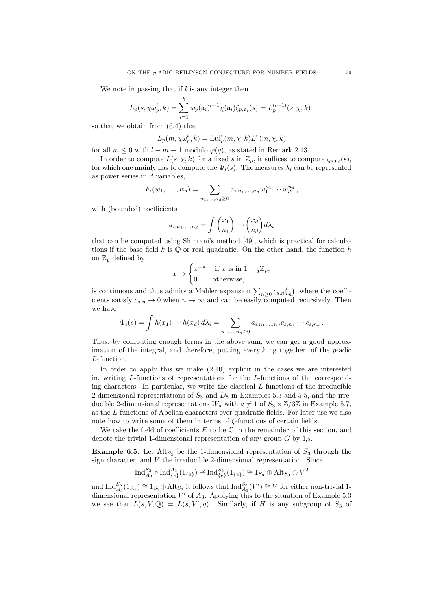We note in passing that if  $l$  is any integer then

$$
L_p(s,\chi\omega_p^l,k)=\sum_{i=1}^h\omega_p(\mathfrak{a}_i)^{l-1}\chi(\mathfrak{a}_i)\zeta_{p,\mathfrak{a}_i}(s)=L_p^{(l-1)}(s,\chi,k),
$$

so that we obtain from (6.4) that

$$
L_p(m, \chi \omega_p^l, k) = \text{Eul}_p^*(m, \chi, k) L^*(m, \chi, k)
$$

for all  $m \leq 0$  with  $l + m \equiv 1$  modulo  $\varphi(q)$ , as stated in Remark 2.13.

In order to compute  $L(s, \chi, k)$  for a fixed s in  $\mathbb{Z}_p$ , it suffices to compute  $\zeta_{p, a_i}(s)$ , for which one mainly has to compute the  $\Psi_i(s)$ . The measures  $\lambda_i$  can be represented as power series in  $d$  variables,

$$
F_i(w_1,\ldots,w_d)=\sum_{n_1,\ldots,n_d\geq 0}a_{i,n_1,\ldots,n_d}w_1^{n_1}\cdots w_d^{n_d},
$$

with (bounded) coefficients

$$
a_{i,n_1,\dots,n_d} = \int \binom{x_1}{n_1} \cdots \binom{x_d}{n_d} d\lambda_i
$$

that can be computed using Shintani's method [49], which is practical for calculations if the base field  $k$  is  $\mathbb Q$  or real quadratic. On the other hand, the function  $h$ on  $\mathbb{Z}_p$  defined by

$$
x \mapsto \begin{cases} x^{-s} & \text{if } x \text{ is in } 1 + q\mathbb{Z}_p, \\ 0 & \text{otherwise,} \end{cases}
$$

is continuous and thus admits a Mahler expansion  $\sum_{n\geq 0} c_{s,n} \binom{x}{n}$ , where the coefficients satisfy  $c_{s,n} \to 0$  when  $n \to \infty$  and can be easily computed recursively. Then we have

$$
\Psi_i(s) = \int h(x_1) \cdots h(x_d) d\lambda_i = \sum_{n_1, \ldots, n_d \geq 0} a_{i,n_1,\ldots,n_d} c_{s,n_1} \cdots c_{s,n_d}.
$$

Thus, by computing enough terms in the above sum, we can get a good approximation of the integral, and therefore, putting everything together, of the p-adic L-function.

In order to apply this we make (2.10) explicit in the cases we are interested in, writing L-functions of representations for the L-functions of the corresponding characters. In particular, we write the classical L-functions of the irreducible 2-dimensional representations of  $S_3$  and  $D_8$  in Examples 5.3 and 5.5, and the irreducible 2-dimensional representations  $W_a$  with  $a \neq 1$  of  $S_3 \times \mathbb{Z}/3\mathbb{Z}$  in Example 5.7, as the L-functions of Abelian characters over quadratic fields. For later use we also note how to write some of them in terms of ζ-functions of certain fields.

We take the field of coefficients  $E$  to be  $\mathbb C$  in the remainder of this section, and denote the trivial 1-dimensional representation of any group  $G$  by  $1_G$ .

**Example 6.5.** Let Alt<sub>S<sub>3</sub></sub> be the 1-dimensional representation of  $S_3$  through the sign character, and  $V$  the irreducible 2-dimensional representation. Since

$$
\text{Ind}_{A_3}^{S_3} \circ \text{Ind}_{\{e\}}^{A_3} (1_{\{e\}}) \cong \text{Ind}_{\{e\}}^{S_3} (1_{\{e\}}) \cong 1_{S_3} \oplus \text{Alt}_{S_3} \oplus V^2
$$

and  $\text{Ind}_{A_3}^{S_3}(1_{A_3}) \cong 1_{S_3} \oplus \text{Alt}_{S_3}$  it follows that  $\text{Ind}_{A_3}^{S_3}(V') \cong V$  for either non-trivial 1dimensional representation  $V'$  of  $A_3$ . Applying this to the situation of Example 5.3 we see that  $L(s, V, \mathbb{Q}) = L(s, V', q)$ . Similarly, if H is any subgroup of  $S_3$  of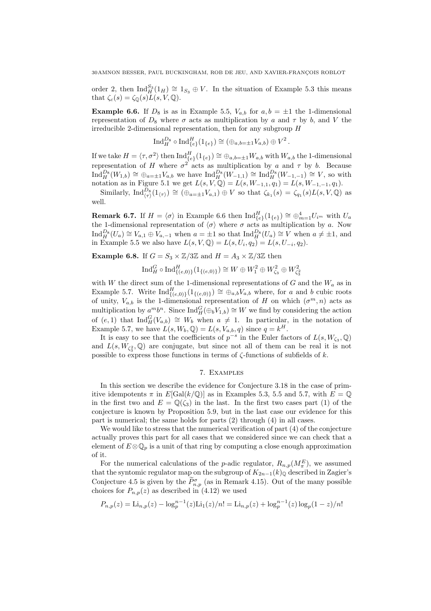30AMNON BESSER, PAUL BUCKINGHAM, ROB DE JEU, AND XAVIER-FRANCOIS ROBLOT

order 2, then  $\text{Ind}_{H}^{S_3}(1_H) \cong 1_{S_3} \oplus V$ . In the situation of Example 5.3 this means that  $\zeta_c(s) = \zeta_0(s)L(s, V, \mathbb{Q}).$ 

**Example 6.6.** If  $D_8$  is as in Example 5.5,  $V_{a,b}$  for  $a, b = \pm 1$  the 1-dimensional representation of  $D_8$  where  $\sigma$  acts as multiplication by a and  $\tau$  by b, and V the irreducible 2-dimensional representation, then for any subgroup H

$$
\operatorname{Ind}_{H}^{D_8} \circ \operatorname{Ind}_{\{e\}}^{H}(\mathbb{1}_{\{e\}}) \cong (\oplus_{a,b=\pm 1} V_{a,b}) \oplus V^2.
$$

If we take  $H = \langle \tau, \sigma^2 \rangle$  then  $\text{Ind}_{\{e\}}^H (1_{\{e\}}) \cong \oplus_{a,b=\pm 1} W_{a,b}$  with  $W_{a,b}$  the 1-dimensional representation of H where  $\sigma^2$  acts as multiplication by a and  $\tau$  by b. Because  $\text{Ind}_{H}^{D_8}(W_{1,b}) \cong \bigoplus_{a=\pm 1} V_{a,b}$  we have  $\text{Ind}_{H}^{D_8}(W_{-1,1}) \cong \text{Ind}_{H}^{D_8}(W_{-1,-1}) \cong V$ , so with notation as in Figure 5.1 we get  $L(s, V, \mathbb{Q}) = L(s, W_{-1,1}, q_1) = L(s, W_{-1,-1}, q_1)$ .

Similarly,  $\text{Ind}_{\langle \tau \rangle}^{D_8}(1_{\langle \tau \rangle}) \cong (\oplus_{a=\pm 1} V_{a,1}) \oplus V$  so that  $\zeta_{k_1}(s) = \zeta_{q_1}(s)L(s,V,\mathbb{Q})$  as well.

**Remark 6.7.** If  $H = \langle \sigma \rangle$  in Example 6.6 then  $\text{Ind}_{\{e\}}^H(1_{\{e\}}) \cong \bigoplus_{m=1}^4 U_{i^m}$  with  $U_a$ the 1-dimensional representation of  $\langle \sigma \rangle$  where  $\sigma$  acts as multiplication by a. Now  $\text{Ind}_{H}^{D_8}(U_a) \cong V_{a,1} \oplus V_{a,-1}$  when  $a = \pm 1$  so that  $\text{Ind}_{H}^{D_8}(U_a) \cong V$  when  $a \neq \pm 1$ , and in Example 5.5 we also have  $L(s, V, \mathbb{Q}) = L(s, U_i, q_2) = L(s, U_{-i}, q_2)$ .

**Example 6.8.** If  $G = S_3 \times \mathbb{Z}/3\mathbb{Z}$  and  $H = A_3 \times \mathbb{Z}/3\mathbb{Z}$  then

$$
\text{Ind}_{H}^{G} \circ \text{Ind}_{\{(e,0)\}}^{H} (1_{\{(e,0)\}}) \cong W \oplus W_1^2 \oplus W_{\zeta_3}^2 \oplus W_{\zeta_3}^2
$$

with W the direct sum of the 1-dimensional representations of G and the  $W_a$  as in Example 5.7. Write  $\text{Ind}_{\{(e,0)\}}^H(1_{\{(e,0)\}}) \cong \bigoplus_{a,b} V_{a,b}$  where, for a and b cubic roots of unity,  $V_{a,b}$  is the 1-dimensional representation of H on which  $(\sigma^m, n)$  acts as multiplication by  $a^m b^n$ . Since  $\text{Ind}_{H}^G(\bigoplus_b V_{1,b}) \cong W$  we find by considering the action of  $(e, 1)$  that  $\text{Ind}_{H}^{G}(V_{a,b}) \cong W_{b}$  when  $a \neq 1$ . In particular, in the notation of Example 5.7, we have  $L(s, W_b, \mathbb{Q}) = L(s, V_{a,b}, q)$  since  $q = k^H$ .

It is easy to see that the coefficients of  $p^{-s}$  in the Euler factors of  $L(s, W_{\zeta_3}, \mathbb{Q})$ and  $L(s, W_{\zeta_3^2}, \mathbb{Q})$  are conjugate, but since not all of them can be real it is not possible to express those functions in terms of  $\zeta$ -functions of subfields of k.

# 7. Examples

In this section we describe the evidence for Conjecture 3.18 in the case of primitive idempotents  $\pi$  in  $E[\text{Gal}(k/\mathbb{Q})]$  as in Examples 5.3, 5.5 and 5.7, with  $E = \mathbb{Q}$ in the first two and  $E = \mathbb{Q}(\zeta_3)$  in the last. In the first two cases part (1) of the conjecture is known by Proposition 5.9, but in the last case our evidence for this part is numerical; the same holds for parts (2) through (4) in all cases.

We would like to stress that the numerical verification of part  $(4)$  of the conjecture actually proves this part for all cases that we considered since we can check that a element of  $E \otimes \mathbb{Q}_p$  is a unit of that ring by computing a close enough approximation of it.

For the numerical calculations of the *p*-adic regulator,  $R_{n,p}(M_{\pi}^E)$ , we assumed that the syntomic regulator map on the subgroup of  $K_{2n-1}(k)_{\mathbb{Q}}$  described in Zagier's Conjecture 4.5 is given by the  $\widetilde{P}_{n,p}^{\sigma}$  (as in Remark 4.15). Out of the many possible choices for  $P_{n,p}(z)$  as described in (4.12) we used

$$
P_{n,p}(z) = \text{Li}_{n,p}(z) - \log_p^{n-1}(z)\text{Li}_1(z)/n! = \text{Li}_{n,p}(z) + \log_p^{n-1}(z)\log_p(1-z)/n!
$$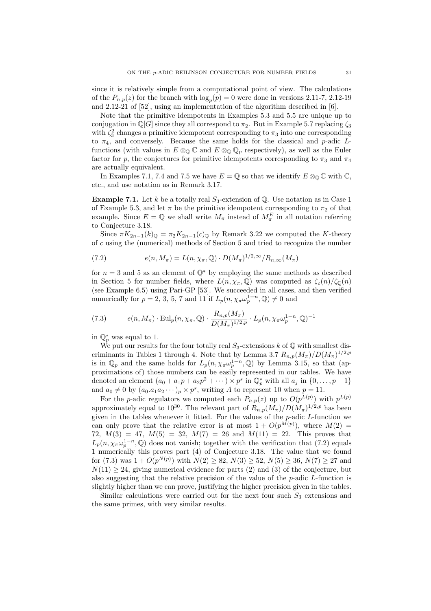since it is relatively simple from a computational point of view. The calculations of the  $P_{n,p}(z)$  for the branch with  $\log_p(p) = 0$  were done in versions 2.11-7, 2.12-19 and 2.12-21 of [52], using an implementation of the algorithm described in [6].

Note that the primitive idempotents in Examples 5.3 and 5.5 are unique up to conjugation in  $\mathbb{O}[G]$  since they all correspond to  $\pi_2$ . But in Example 5.7 replacing  $\zeta_3$ with  $\zeta_3^2$  changes a primitive idempotent corresponding to  $\pi_3$  into one corresponding to  $\pi_4$ , and conversely. Because the same holds for the classical and p-adic Lfunctions (with values in  $E \otimes_{\mathbb{Q}} \mathbb{C}$  and  $E \otimes_{\mathbb{Q}} \mathbb{Q}_p$  respectively), as well as the Euler factor for p, the conjectures for primitive idempotents corresponding to  $\pi_3$  and  $\pi_4$ are actually equivalent.

In Examples 7.1, 7.4 and 7.5 we have  $E = \mathbb{Q}$  so that we identify  $E \otimes_{\mathbb{Q}} \mathbb{C}$  with  $\mathbb{C}$ , etc., and use notation as in Remark 3.17.

**Example 7.1.** Let k be a totally real  $S_3$ -extension of  $\mathbb{Q}$ . Use notation as in Case 1 of Example 5.3, and let  $\pi$  be the primitive idempotent corresponding to  $\pi_2$  of that example. Since  $E = \mathbb{Q}$  we shall write  $M_{\pi}$  instead of  $M_{\pi}^{E}$  in all notation referring to Conjecture 3.18.

Since  $\pi K_{2n-1}(k)_{\mathbb{Q}} = \pi_2 K_{2n-1}(c)_{\mathbb{Q}}$  by Remark 3.22 we computed the K-theory of c using the (numerical) methods of Section 5 and tried to recognize the number

(7.2) 
$$
e(n, M_{\pi}) = L(n, \chi_{\pi}, \mathbb{Q}) \cdot D(M_{\pi})^{1/2, \infty} / R_{n, \infty}(M_{\pi})
$$

for  $n = 3$  and 5 as an element of  $\mathbb{Q}^*$  by employing the same methods as described in Section 5 for number fields, where  $L(n, \chi_{\pi}, \mathbb{Q})$  was computed as  $\zeta_c(n)/\zeta_{\mathbb{Q}}(n)$ (see Example 6.5) using Pari-GP [53]. We succeeded in all cases, and then verified numerically for  $p = 2, 3, 5, 7$  and 11 if  $L_p(n, \chi_{\pi} \omega_p^{1-n}, \mathbb{Q}) \neq 0$  and

$$
(7.3) \qquad e(n, M_{\pi}) \cdot \operatorname{Eul}_p(n, \chi_{\pi}, \mathbb{Q}) \cdot \frac{R_{n,p}(M_{\pi})}{D(M_{\pi})^{1/2, p}} \cdot L_p(n, \chi_{\pi} \omega_p^{1-n}, \mathbb{Q})^{-1}
$$

in  $\mathbb{Q}_p^*$  was equal to 1.

We put our results for the four totally real  $S_3$ -extensions k of  $\mathbb Q$  with smallest discriminants in Tables 1 through 4. Note that by Lemma 3.7  $R_{n,p}(M_{\pi})/D(M_{\pi})^{1/2,p}$ is in  $\mathbb{Q}_p$  and the same holds for  $L_p(n, \chi_{\pi} \omega_p^{1-n}, \mathbb{Q})$  by Lemma 3.15, so that (approximations of) those numbers can be easily represented in our tables. We have denoted an element  $(a_0 + a_1p + a_2p^2 + \cdots) \times p^s$  in  $\mathbb{Q}_p^*$  with all  $a_j$  in  $\{0, \ldots, p-1\}$ and  $a_0 \neq 0$  by  $(a_0.a_1a_2 \cdots)_p \times p^s$ , writing A to represent 10 when  $p = 11$ .

For the *p*-adic regulators we computed each  $P_{n,p}(z)$  up to  $O(p^{L(p)})$  with  $p^{L(p)}$ approximately equal to  $10^{30}$ . The relevant part of  $R_{n,p}(M_{\pi})/D(M_{\pi})^{1/2,p}$  has been given in the tables whenever it fitted. For the values of the  $p$ -adic  $L$ -function we can only prove that the relative error is at most  $1 + O(p^{M(p)})$ , where  $M(2) =$ 72,  $M(3) = 47$ ,  $M(5) = 32$ ,  $M(7) = 26$  and  $M(11) = 22$ . This proves that  $L_p(n, \chi_{\pi} \omega_p^{1-n}, \mathbb{Q})$  does not vanish; together with the verification that (7.2) equals 1 numerically this proves part (4) of Conjecture 3.18. The value that we found for (7.3) was  $1 + O(p^{N(p)})$  with  $N(2) \ge 82$ ,  $N(3) \ge 52$ ,  $N(5) \ge 36$ ,  $N(7) \ge 27$  and  $N(11) \geq 24$ , giving numerical evidence for parts (2) and (3) of the conjecture, but also suggesting that the relative precision of the value of the  $p$ -adic  $L$ -function is slightly higher than we can prove, justifying the higher precision given in the tables.

Similar calculations were carried out for the next four such  $S_3$  extensions and the same primes, with very similar results.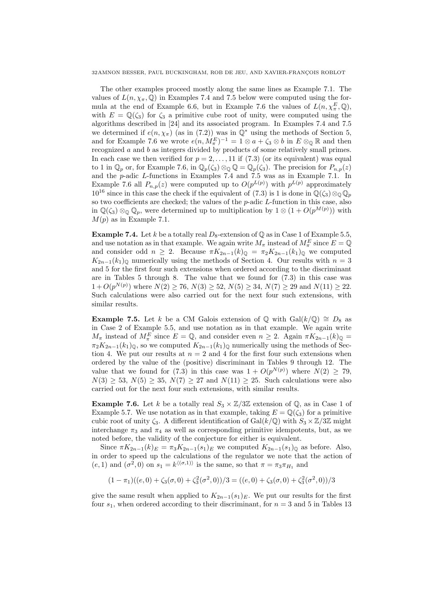32AMNON BESSER, PAUL BUCKINGHAM, ROB DE JEU, AND XAVIER-FRANÇOIS ROBLOT

The other examples proceed mostly along the same lines as Example 7.1. The values of  $L(n, \chi_{\pi}, \mathbb{Q})$  in Examples 7.4 and 7.5 below were computed using the formula at the end of Example 6.6, but in Example 7.6 the values of  $L(n, \chi^E_\pi, \mathbb{Q})$ , with  $E = \mathbb{Q}(\zeta_3)$  for  $\zeta_3$  a primitive cube root of unity, were computed using the algorithms described in [24] and its associated program. In Examples 7.4 and 7.5 we determined if  $e(n, \chi_{\pi})$  (as in (7.2)) was in  $\mathbb{Q}^*$  using the methods of Section 5, and for Example 7.6 we wrote  $e(n, M_\pi^E)^{-1} = 1 \otimes a + \zeta_3 \otimes b$  in  $E \otimes_{\mathbb{Q}} \mathbb{R}$  and then recognized a and b as integers divided by products of some relatively small primes. In each case we then verified for  $p = 2, \ldots, 11$  if  $(7.3)$  (or its equivalent) was equal to 1 in  $\mathbb{Q}_p$  or, for Example 7.6, in  $\mathbb{Q}_p(\zeta_3) \otimes_{\mathbb{Q}} \mathbb{Q} = \mathbb{Q}_p(\zeta_3)$ . The precision for  $P_{n,p}(z)$ and the p-adic L-functions in Examples 7.4 and 7.5 was as in Example 7.1. In Example 7.6 all  $P_{n,p}(z)$  were computed up to  $O(p^{L(p)})$  with  $p^{L(p)}$  approximately  $10^{16}$  since in this case the check if the equivalent of (7.3) is 1 is done in  $\mathbb{Q}(\zeta_3)\otimes_{\mathbb{Q}}\mathbb{Q}_p$ so two coefficients are checked; the values of the  $p$ -adic  $L$ -function in this case, also in  $\mathbb{Q}(\zeta_3) \otimes_{\mathbb{Q}} \mathbb{Q}_p$ , were determined up to multiplication by  $1 \otimes (1 + O(p^{M(p)}))$  with  $M(p)$  as in Example 7.1.

**Example 7.4.** Let k be a totally real  $D_8$ -extension of Q as in Case 1 of Example 5.5, and use notation as in that example. We again write  $M_{\pi}$  instead of  $M_{\pi}^{E}$  since  $E = \mathbb{Q}$ and consider odd  $n \geq 2$ . Because  $\pi K_{2n-1}(k)_{\mathbb{Q}} = \pi_2 K_{2n-1}(k_1)_{\mathbb{Q}}$  we computed  $K_{2n-1}(k_1)$ <sub>Q</sub> numerically using the methods of Section 4. Our results with  $n = 3$ and 5 for the first four such extensions when ordered according to the discriminant are in Tables 5 through 8. The value that we found for (7.3) in this case was  $1 + O(p^{N(p)})$  where  $N(2) \ge 76$ ,  $N(3) \ge 52$ ,  $N(5) \ge 34$ ,  $N(7) \ge 29$  and  $N(11) \ge 22$ . Such calculations were also carried out for the next four such extensions, with similar results.

**Example 7.5.** Let k be a CM Galois extension of Q with Gal( $k/\mathbb{Q}$ ) ≅  $D_8$  as in Case 2 of Example 5.5, and use notation as in that example. We again write  $M_{\pi}$  instead of  $M_{\pi}^{E}$  since  $E = \mathbb{Q}$ , and consider even  $n \geq 2$ . Again  $\pi K_{2n-1}(k)_{\mathbb{Q}} =$  $\pi_2K_{2n-1}(k_1)_{\mathbb{Q}}$ , so we computed  $K_{2n-1}(k_1)_{\mathbb{Q}}$  numerically using the methods of Section 4. We put our results at  $n = 2$  and 4 for the first four such extensions when ordered by the value of the (positive) discriminant in Tables 9 through 12. The value that we found for (7.3) in this case was  $1 + O(p^{N(p)})$  where  $N(2) \ge 79$ ,  $N(3) \geq 53$ ,  $N(5) \geq 35$ ,  $N(7) \geq 27$  and  $N(11) \geq 25$ . Such calculations were also carried out for the next four such extensions, with similar results.

**Example 7.6.** Let k be a totally real  $S_3 \times \mathbb{Z}/3\mathbb{Z}$  extension of Q, as in Case 1 of Example 5.7. We use notation as in that example, taking  $E = \mathbb{Q}(\zeta_3)$  for a primitive cubic root of unity  $\zeta_3$ . A different identification of Gal(k/Q) with  $S_3 \times \mathbb{Z}/3\mathbb{Z}$  might interchange  $\pi_3$  and  $\pi_4$  as well as corresponding primitive idempotents, but, as we noted before, the validity of the conjecture for either is equivalent.

Since  $\pi K_{2n-1}(k)_{E} = \pi_{3} K_{2n-1}(s_{1})_{E}$  we computed  $K_{2n-1}(s_{1})_{\mathbb{Q}}$  as before. Also, in order to speed up the calculations of the regulator we note that the action of  $(e, 1)$  and  $(\sigma^2, 0)$  on  $s_1 = k^{((\sigma, 1))}$  is the same, so that  $\pi = \pi_3 \pi_{H_1}$  and

$$
(1 - \pi_1)((e, 0) + \zeta_3(\sigma, 0) + \zeta_3^2(\sigma^2, 0))/3 = ((e, 0) + \zeta_3(\sigma, 0) + \zeta_3^2(\sigma^2, 0))/3
$$

give the same result when applied to  $K_{2n-1}(s_1)_E$ . We put our results for the first four  $s_1$ , when ordered according to their discriminant, for  $n = 3$  and 5 in Tables 13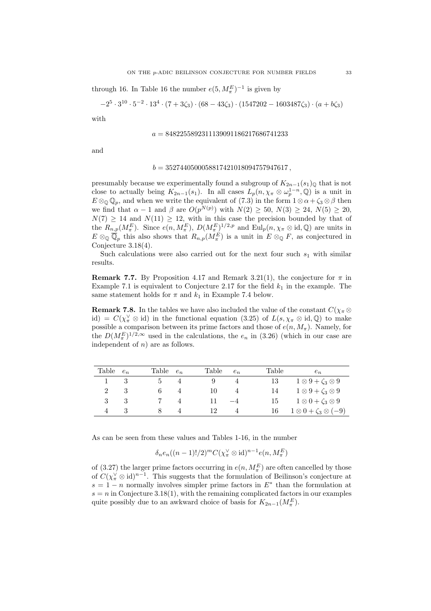through 16. In Table 16 the number  $e(5, M_{\pi}^E)^{-1}$  is given by

$$
-2^5 \cdot 3^{10} \cdot 5^{-2} \cdot 13^4 \cdot (7+3\zeta_3) \cdot (68-43\zeta_3) \cdot (1547202-1603487\zeta_3) \cdot (a+b\zeta_3)
$$

with

## $a = 8482255892311139091186217686741233$

and

# $b = 3527440500058817421018094757947617$

presumably because we experimentally found a subgroup of  $K_{2n-1}(s_1)_{\mathbb{Q}}$  that is not close to actually being  $K_{2n-1}(s_1)$ . In all cases  $L_p(n, \chi_{\pi} \otimes \omega_p^{1-n}, \mathbb{Q})$  is a unit in  $E \otimes_{\mathbb{Q}} \mathbb{Q}_p$ , and when we write the equivalent of (7.3) in the form  $1 \otimes \alpha + \zeta_3 \otimes \beta$  then we find that  $\alpha - 1$  and  $\beta$  are  $O(p^{N(p)})$  with  $N(2) \ge 50$ ,  $N(3) \ge 24$ ,  $N(5) \ge 20$ ,  $N(7) \geq 14$  and  $N(11) \geq 12$ , with in this case the precision bounded by that of the  $R_{n,p}(M_\pi^E)$ . Since  $e(n, M_\pi^E)$ ,  $D(M_\pi^E)^{1/2,p}$  and  $\text{Eul}_p(n, \chi_\pi \otimes \text{id}, \mathbb{Q})$  are units in  $E \otimes_{\mathbb{Q}} \overline{\mathbb{Q}}_p$  this also shows that  $R_{n,p}(M_\pi^E)$  is a unit in  $E \otimes_{\mathbb{Q}} F$ , as conjectured in Conjecture 3.18(4).

Such calculations were also carried out for the next four such  $s_1$  with similar results.

**Remark 7.7.** By Proposition 4.17 and Remark 3.21(1), the conjecture for  $\pi$  in Example 7.1 is equivalent to Conjecture 2.17 for the field  $k_1$  in the example. The same statement holds for  $\pi$  and  $k_1$  in Example 7.4 below.

**Remark 7.8.** In the tables we have also included the value of the constant  $C(\chi_{\pi} \otimes$ id) =  $C(\chi^{\vee}_\pi \otimes id)$  in the functional equation (3.25) of  $L(s, \chi_{\pi} \otimes id, \mathbb{Q})$  to make possible a comparison between its prime factors and those of  $e(n, M_\pi)$ . Namely, for the  $D(M_\pi^E)^{1/2,\infty}$  used in the calculations, the  $e_n$  in (3.26) (which in our case are independent of  $n$ ) are as follows.

| Table | $e_n$ | Table | $e_n$ | Table | $e_n$          | Table | $e_n$                             |
|-------|-------|-------|-------|-------|----------------|-------|-----------------------------------|
|       |       | Ð     |       |       | 4              | 13    | $1 \otimes 9 + \zeta_3 \otimes 9$ |
|       | 3     |       |       | 10    | $\overline{4}$ | 14    | $1 \otimes 9 + \zeta_3 \otimes 9$ |
|       | 3     |       |       |       | -4             | 15    | $1\otimes 0+\zeta_3\otimes 9$     |
|       | 3     |       |       | 12    | 4              | 16    | $1\otimes 0+\zeta_3\otimes(-9)$   |

As can be seen from these values and Tables 1-16, in the number

$$
\delta_n e_n((n-1)!/2)^m C(\chi_\pi^\vee \otimes \mathrm{id})^{n-1} e(n, M_\pi^E)
$$

of (3.27) the larger prime factors occurring in  $e(n, M^E_{\pi})$  are often cancelled by those of  $C(\chi^{\vee}_{\pi} \otimes id)^{n-1}$ . This suggests that the formulation of Beilinson's conjecture at  $s = 1 - n$  normally involves simpler prime factors in  $E^*$  than the formulation at  $s = n$  in Conjecture 3.18(1), with the remaining complicated factors in our examples quite possibly due to an awkward choice of basis for  $K_{2n-1}(M_{\pi}^E)$ .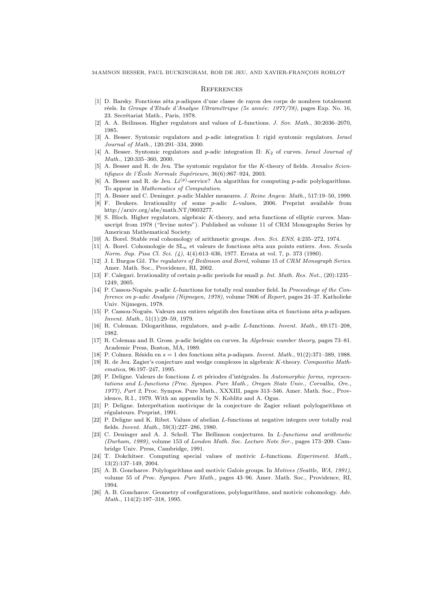### **REFERENCES**

- [1] D. Barsky. Fonctions zˆeta p-adiques d'une classe de rayon des corps de nombres totalement réels. In *Groupe d'Etude d'Analyse Ultramétrique (5e année: 1977/78)*, pages Exp. No. 16, 23. Secrétariat Math., Paris, 1978.
- [2] A. A. Beilinson. Higher regulators and values of L-functions. *J. Sov. Math.*, 30:2036–2070, 1985.
- [3] A. Besser. Syntomic regulators and p-adic integration I: rigid syntomic regulators. *Israel Journal of Math.*, 120:291–334, 2000.
- [4] A. Besser. Syntomic regulators and p-adic integration II: K<sup>2</sup> of curves. *Israel Journal of Math.*, 120:335–360, 2000.
- [5] A. Besser and R. de Jeu. The syntomic regulator for the K-theory of fields. *Annales Scientifiques de l'École Normale Supérieure*, 36(6):867–924, 2003.
- [6] A. Besser and R. de Jeu.  $Li^{(p)}$ -service? An algorithm for computing p-adic polylogarithms. To appear in *Mathematics of Computation*.
- [7] A. Besser and C. Deninger. p-adic Mahler measures. *J. Reine Angew. Math.*, 517:19–50, 1999.
- [8] F. Beukers. Irrationality of some p-adic L-values, 2006. Preprint available from http://arxiv.org/abs/math.NT/0603277.
- [9] S. Bloch. Higher regulators, algebraic K-theory, and zeta functions of elliptic curves. Manuscript from 1978 ("Irvine notes"). Published as volume 11 of CRM Monographs Series by American Mathematical Society.
- [10] A. Borel. Stable real cohomology of arithmetic groups. *Ann. Sci. ENS*, 4:235–272, 1974.
- [11] A. Borel. Cohomologie de SLn et valeurs de fonctions zˆeta aux points entiers. *Ann. Scuola Norm. Sup. Pisa Cl. Sci. (4)*, 4(4):613–636, 1977. Errata at vol. 7, p. 373 (1980).
- [12] J. I. Burgos Gil. *The regulators of Beilinson and Borel*, volume 15 of *CRM Monograph Series*. Amer. Math. Soc., Providence, RI, 2002.
- [13] F. Calegari. Irrationality of certain p-adic periods for small p. *Int. Math. Res. Not.*, (20):1235– 1249, 2005.
- [14] P. Cassou-Noguès. *p*-adic L-functions for totally real number field. In *Proceedings of the Conference on* p*-adic Analysis (Nijmegen, 1978)*, volume 7806 of *Report*, pages 24–37. Katholieke Univ. Nijmegen, 1978.
- [15] P. Cassou-Noguès. Valeurs aux entiers négatifs des fonctions zêta et fonctions zêta p-adiques. *Invent. Math.*, 51(1):29–59, 1979.
- [16] R. Coleman. Dilogarithms, regulators, and p-adic L-functions. *Invent. Math.*, 69:171–208, 1982.
- [17] R. Coleman and B. Gross. p-adic heights on curves. In *Algebraic number theory*, pages 73–81. Academic Press, Boston, MA, 1989.
- [18] P. Colmez. R´esidu en s = 1 des fonctions zˆeta p-adiques. *Invent. Math.*, 91(2):371–389, 1988.
- [19] R. de Jeu. Zagier's conjecture and wedge complexes in algebraic K-theory. *Compositio Mathematica*, 96:197–247, 1995.
- [20] P. Deligne. Valeurs de fonctions L et périodes d'intégrales. In *Automorphic forms, representations and* L*-functions (Proc. Sympos. Pure Math., Oregon State Univ., Corvallis, Ore., 1977), Part 2*, Proc. Sympos. Pure Math., XXXIII, pages 313–346. Amer. Math. Soc., Providence, R.I., 1979. With an appendix by N. Koblitz and A. Ogus.
- [21] P. Deligne. Interpr´etation motivique de la conjecture de Zagier reliant polylogarithms et régulateurs. Preprint, 1991.
- [22] P. Deligne and K. Ribet. Values of abelian L-functions at negative integers over totally real fields. *Invent. Math.*, 59(3):227–286, 1980.
- [23] C. Deninger and A. J. Scholl. The Beĭlinson conjectures. In *L-functions and arithmetic (Durham, 1989)*, volume 153 of *London Math. Soc. Lecture Note Ser.*, pages 173–209. Cambridge Univ. Press, Cambridge, 1991.
- [24] T. Dokchitser. Computing special values of motivic L-functions. *Experiment. Math.*, 13(2):137–149, 2004.
- [25] A. B. Goncharov. Polylogarithms and motivic Galois groups. In *Motives (Seattle, WA, 1991)*, volume 55 of *Proc. Sympos. Pure Math.*, pages 43–96. Amer. Math. Soc., Providence, RI, 1994.
- [26] A. B. Goncharov. Geometry of configurations, polylogarithms, and motivic cohomology. *Adv. Math.*, 114(2):197–318, 1995.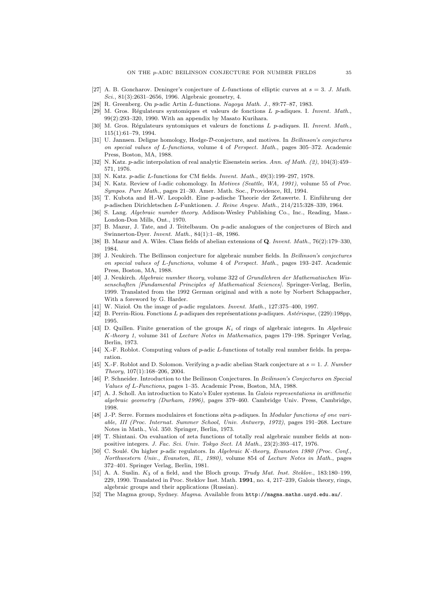- [27] A. B. Goncharov. Deninger's conjecture of L-functions of elliptic curves at s = 3. *J. Math. Sci.*, 81(3):2631–2656, 1996. Algebraic geometry, 4.
- [28] R. Greenberg. On p-adic Artin L-functions. *Nagoya Math. J.*, 89:77–87, 1983.
- [29] M. Gros. R´egulateurs syntomiques et valeurs de fonctions L p-adiques. I. *Invent. Math.*, 99(2):293–320, 1990. With an appendix by Masato Kurihara.
- [30] M. Gros. Régulateurs syntomiques et valeurs de fonctions L p-adiques. II. *Invent. Math.*, 115(1):61–79, 1994.
- [31] U. Jannsen. Deligne homology, Hodge-D-conjecture, and motives. In *Beilinson's conjectures on special values of* L*-functions*, volume 4 of *Perspect. Math.*, pages 305–372. Academic Press, Boston, MA, 1988.
- [32] N. Katz. p-adic interpolation of real analytic Eisenstein series. *Ann. of Math. (2)*, 104(3):459– 571, 1976.
- [33] N. Katz. p-adic L-functions for CM fields. *Invent. Math.*, 49(3):199–297, 1978.
- [34] N. Katz. Review of l-adic cohomology. In *Motives (Seattle, WA, 1991)*, volume 55 of *Proc. Sympos. Pure Math.*, pages 21–30. Amer. Math. Soc., Providence, RI, 1994.
- [35] T. Kubota and H.-W. Leopoldt. Eine p-adische Theorie der Zetawerte. I. Einführung der p-adischen Dirichletschen L-Funktionen. *J. Reine Angew. Math.*, 214/215:328–339, 1964.
- [36] S. Lang. *Algebraic number theory*. Addison-Wesley Publishing Co., Inc., Reading, Mass.- London-Don Mills, Ont., 1970.
- [37] B. Mazur, J. Tate, and J. Teitelbaum. On p-adic analogues of the conjectures of Birch and Swinnerton-Dyer. *Invent. Math.*, 84(1):1–48, 1986.
- [38] B. Mazur and A. Wiles. Class fields of abelian extensions of Q. *Invent. Math.*, 76(2):179–330, 1984.
- [39] J. Neukirch. The Be˘ılinson conjecture for algebraic number fields. In *Be˘ılinson's conjectures on special values of* L*-functions*, volume 4 of *Perspect. Math.*, pages 193–247. Academic Press, Boston, MA, 1988.
- [40] J. Neukirch. *Algebraic number theory*, volume 322 of *Grundlehren der Mathematischen Wissenschaften [Fundamental Principles of Mathematical Sciences]*. Springer-Verlag, Berlin, 1999. Translated from the 1992 German original and with a note by Norbert Schappacher, With a foreword by G. Harder.
- [41] W. Niziol. On the image of p-adic regulators. *Invent. Math.*, 127:375-400, 1997.
- [42] B. Perrin-Riou. Fonctions L p-adiques des représentations p-adiques. Astérisque, (229):198pp, 1995.
- [43] D. Quillen. Finite generation of the groups K<sup>i</sup> of rings of algebraic integers. In *Algebraic* K*-theory 1*, volume 341 of *Lecture Notes in Mathematics*, pages 179–198. Springer Verlag, Berlin, 1973.
- [44] X.-F. Roblot. Computing values of p-adic L-functions of totally real number fields. In preparation.
- [45] X.-F. Roblot and D. Solomon. Verifying a p-adic abelian Stark conjecture at s = 1. *J. Number Theory*, 107(1):168–206, 2004.
- [46] P. Schneider. Introduction to the Beilinson Conjectures. In *Beilinson's Conjectures on Special Values of* L*-Functions*, pages 1–35. Academic Press, Boston, MA, 1988.
- [47] A. J. Scholl. An introduction to Kato's Euler systems. In *Galois representations in arithmetic algebraic geometry (Durham, 1996)*, pages 379–460. Cambridge Univ. Press, Cambridge, 1998.
- [48] J.-P. Serre. Formes modulaires et fonctions zêta p-adiques. In *Modular functions of one variable, III (Proc. Internat. Summer School, Univ. Antwerp, 1972)*, pages 191–268. Lecture Notes in Math., Vol. 350. Springer, Berlin, 1973.
- [49] T. Shintani. On evaluation of zeta functions of totally real algebraic number fields at nonpositive integers. *J. Fac. Sci. Univ. Tokyo Sect. IA Math.*, 23(2):393–417, 1976.
- [50] C. Soulé. On higher p-adic regulators. In *Algebraic K-theory, Evanston 1980 (Proc. Conf.*, *Northwestern Univ., Evanston, Ill., 1980)*, volume 854 of *Lecture Notes in Math.*, pages 372–401. Springer Verlag, Berlin, 1981.
- [51] A. A. Suslin. K<sup>3</sup> of a field, and the Bloch group. *Trudy Mat. Inst. Steklov.*, 183:180–199, 229, 1990. Translated in Proc. Steklov Inst. Math. 1991, no. 4, 217–239, Galois theory, rings, algebraic groups and their applications (Russian).
- [52] The Magma group, Sydney. *Magma*. Available from http://magma.maths.usyd.edu.au/.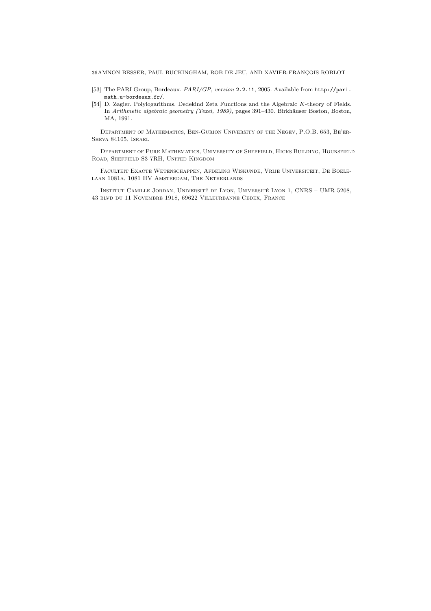36AMNON BESSER, PAUL BUCKINGHAM, ROB DE JEU, AND XAVIER-FRANÇOIS ROBLOT

- [53] The PARI Group, Bordeaux. *PARI/GP, version* 2.2.11, 2005. Available from http://pari. math.u-bordeaux.fr/.
- [54] D. Zagier. Polylogarithms, Dedekind Zeta Functions and the Algebraic K-theory of Fields. In Arithmetic algebraic geometry (Texel, 1989), pages 391-430. Birkhäuser Boston, Boston, MA, 1991.

Department of Mathematics, Ben-Gurion University of the Negev, P.O.B. 653, Be'er-SHEVA 84105, ISRAEL

Department of Pure Mathematics, University of Sheffield, Hicks Building, Hounsfield Road, Sheffield S3 7RH, United Kingdom

Faculteit Exacte Wetenschappen, Afdeling Wiskunde, Vrije Universiteit, De Boelelaan 1081a, 1081 HV Amsterdam, The Netherlands

INSTITUT CAMILLE JORDAN, UNIVERSITÉ DE LYON, UNIVERSITÉ LYON 1, CNRS – UMR 5208, 43 blvd du 11 Novembre 1918, 69622 Villeurbanne Cedex, France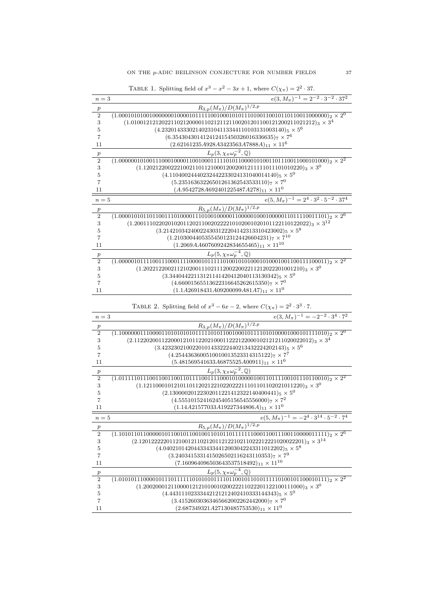| $n=3$            | $e(3, M_{\pi})^{-1} = 2^{-2} \cdot 3^{-2} \cdot 37^2$                           |
|------------------|---------------------------------------------------------------------------------|
| $\boldsymbol{p}$ | $R_{3,p}(M_{\pi})/D(M_{\pi})^{1/2,p}$                                           |
| $\overline{2}$   |                                                                                 |
| 3                |                                                                                 |
| 5                | $(4.2320143330214023104113344110103131003140)_5\times 5^6$                      |
|                  | $(6.354304301412412415450326016336635)_7 \times 7^6$                            |
| 11               | $(2.62161235A928A3423563A7888A)_{11} \times 11^6$                               |
| $\boldsymbol{p}$ | $L_p(3, \chi_\pi \omega_p^{-2}, \mathbb{Q})$                                    |
| $\overline{2}$   |                                                                                 |
| 3                | $(1.120212200222100211011210001200200121111011101010220)_3\times 3^0$           |
| 5                | $(4.11040024440232442233024131040014140)_5 \times 5^0$                          |
|                  | $(5.23516363226501261362543533110)_7 \times 7^0$                                |
| 11               | $(A.9542728A692401225487A278)_{11} \times 11^{0}$                               |
| $n=5$            | $e(5, M_{\pi})^{-1} = 2^{4} \cdot 3^{2} \cdot 5^{-2} \cdot 37^{4}$              |
| $\boldsymbol{p}$ | $R_{5,p}(M_{\pi})/D(M_{\pi})^{1/2,p}$                                           |
| $\overline{2}$   |                                                                                 |
| 3                | $(1.200111022020102011202110020222210102001020101122110122022)_3 \times 3^{12}$ |
| 5                |                                                                                 |
|                  | $(3.214210342400224303122204142313310423002)_5 \times 5^8$                      |
|                  | $(1.2103004405355450123124426604231)_{7} \times 7^{10}$                         |
| 11               | $(1.2069AA607609242834655465)_{11} \times 11^{10}$                              |
| $\boldsymbol{p}$ | $L_p(5, \chi_\pi \omega_p^{-4}, \mathbb{Q})$                                    |
| $\mathfrak{D}$   |                                                                                 |
| 3                | $(1.2022122002112102001110211120022002211212022201001210)_3 \times 3^0$         |
| 5                | $(3.34404422113121141420412040113130342)_5 \times 5^0$                          |
|                  | $(4.66001565513622316645262615350)_7 \times 7^0$                                |

TABLE 1. Splitting field of  $x^3 - x^2 - 3x + 1$ , where  $C(\chi_{\pi}) = 2^2 \cdot 37$ .

| TABLE 2. Splitting field of $x^3 - 6x - 2$ , where $C(\chi_{\pi}) = 2^2 \cdot 3^3 \cdot 7$ . |  |  |  |  |  |  |  |  |  |
|----------------------------------------------------------------------------------------------|--|--|--|--|--|--|--|--|--|
|----------------------------------------------------------------------------------------------|--|--|--|--|--|--|--|--|--|

| $n=3$            | $e(3, M_{\pi})^{-1} = -2^{-2} \cdot 3^4 \cdot 7^2$                            |
|------------------|-------------------------------------------------------------------------------|
| $\boldsymbol{p}$ | $R_{3,p}(M_{\pi})/D(M_{\pi})^{1/2,p}$                                         |
| $\overline{2}$   |                                                                               |
| 3                | $(2.1122020011220001210112202100011222122000102121211020022012)_3 \times 3^4$ |
| 5                | $(3.4232302100220101433222440213432224202143)_5 \times 5^6$                   |
|                  | $(4.2544363600510010013523314315122)_7 \times 7^7$                            |
| 11               | $(5.481569541633A6875525A00911)_{11} \times 11^6$                             |
| $\frac{p}{2}$    | $L_p(3, \chi_\pi \omega_p^{-2}, \mathbb{Q})$                                  |
|                  |                                                                               |
| 3                |                                                                               |
| 5                | $(2.13000020122302011221412322140400441)_5 \times 5^0$                        |
|                  | $(4.55510152416245405156545556000)_7 \times 7^2$                              |
| 11               | $(1.14A21577033A19227344806A)11 \times 110$                                   |
|                  |                                                                               |
| $n=5$            | $e(5, M_{\pi})^{-1} = -2^4 \cdot 3^{14} \cdot 5^{-2} \cdot 7^4$               |
|                  | $R_{5,p}(M_{\pi})/D(M_{\pi})^{1/2,p}$                                         |
| $\frac{p}{2}$    |                                                                               |
| 3                | $(2.120122222011210012110212011212210211022212221020022201)_3 \times 3^{14}$  |
| 5                | $(4.040210142044334334412003042243311012202)_5 \times 5^8$                    |
|                  | $(3.2403415331415026502116243110353)_{7} \times 7^{9}$                        |
| 11               | $(7.160964096503643537518492)_{11} \times 11^{10}$                            |
| $\boldsymbol{p}$ | $L_p(5, \chi_\pi \omega_p^{-4}, \mathbb{Q})$                                  |
| $\overline{2}$   |                                                                               |
| 3                | $(1.2002000121100001212101001020022211022201122100111000)_3\times 3^0$        |
| 5                | $(4.44311102333442121212402410333144343)_5 \times 5^0$                        |
|                  | $(3.41526030363465662002262442000)_7 \times 7^0$                              |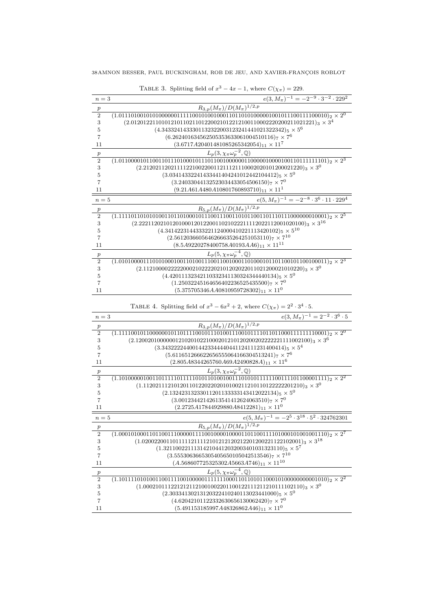$38\mathrm{AMNON}$ BESSER, PAUL BUCKINGHAM, ROB DE JEU, AND XAVIER-FRANÇOIS ROBLOT

| $n=3$            | $e(3, M_{\pi})^{-1} = -2^{-9} \cdot 3^{-2} \cdot 229^{2}$                       |
|------------------|---------------------------------------------------------------------------------|
| $\boldsymbol{p}$ | $R_{3,p}(M_{\pi})/D(M_{\pi})^{1/2,p}$                                           |
| $\overline{2}$   |                                                                                 |
| 3                | $(2.012012211010121011021101220021012212100110002220200211021221)_3 \times 3^4$ |
| 5                | $(4.3433241433301132322003123241441021322342)_5\times 5^6$                      |
|                  | $(6.262401634562505353633061004510116)_7 \times 7^6$                            |
| 11               | $(3.6717A20401481085265342054)_{11} \times 11^7$                                |
| $\boldsymbol{p}$ | $L_p(3, \chi_\pi \omega_p^{-2}, \mathbb{Q})$                                    |
| $\overline{2}$   |                                                                                 |
| 3                | $(2.2120211202111122100220011211121110002020101200021220)_3\times 3^0$          |
| 5                | $(3.03414332241433441404241012442104412)_5 \times 5^0$                          |
|                  | $(3.24033044132523034433054506150)_7 \times 7^0$                                |
| 11               | $(9.21A61A480A10801760893710)_{11} \times 11^1$                                 |
| $n=5$            | $e(5, M_{\pi})^{-1} = -2^{-8} \cdot 3^{6} \cdot 11 \cdot 229^{4}$               |
| $\boldsymbol{p}$ | $R_{5,p}(M_{\pi})/D(M_{\pi})^{1/2,p}$                                           |
| $\overline{2}$   |                                                                                 |
| 3                | $(2.222112021012010001201220011021022211112022112001020100)_3 \times 3^{16}$    |
| 5                | $(4.3414223144333221124000410221113420102)_5 \times 5^{10}$                     |
|                  | $(2.5612036605646266635264251053110)_7 \times 7^{10}$                           |
| 11               | $(8.5A9220278400758A0193AA6)_{11} \times 11^{11}$                               |
| $\boldsymbol{p}$ | $L_p(5, \chi_\pi \omega_p^{-4}, \mathbb{Q})$                                    |
| $\overline{2}$   |                                                                                 |
| 3                | $(2.1121000022222000210222202101202022011021200021010220)_3 \times 3^0$         |
| 5                | $(4.42011132342110332341130324344440134)_5 \times 5^0$                          |
|                  | $(1.25032245164656402236525435500)_7 \times 7^0$                                |
| 11               | $(5.375705346AA0810959728302)_{11} \times 11^{0}$                               |

TABLE 3. Splitting field of  $x^3 - 4x - 1$ , where  $C(\chi_{\pi}) = 229$ .

|  |  |  |  |  | TABLE 4. Splitting field of $x^3 - 6x^2 + 2$ , where $C(\chi_{\pi}) = 2^2 \cdot 3^4 \cdot 5$ . |
|--|--|--|--|--|------------------------------------------------------------------------------------------------|
|--|--|--|--|--|------------------------------------------------------------------------------------------------|

| $n=3$            | $e(3, M_{\pi})^{-1} = 2^{-2} \cdot 3^{6} \cdot 5$                          |
|------------------|----------------------------------------------------------------------------|
| $\boldsymbol{p}$ | $R_{3,p}(M_{\pi})/D(M_{\pi})^{1/2,p}$                                      |
| $\overline{2}$   |                                                                            |
| 3                |                                                                            |
| 5                | $(3.3432222440014423344440441124111231400414)_5 \times 5^4$                |
|                  | $(5.611651266622656555064166304513241)_7 \times 7^6$                       |
| 11               | $(2.805A8344265760A69A2490828A)11 \times 116$                              |
|                  | $L_p(3, \chi_\pi \omega_p^{-2}, \mathbb{Q})$                               |
| $\frac{p}{2}$    |                                                                            |
| 3                |                                                                            |
| 5                | $(2.13242313233011201133333143412022134)_5\times 5^0$                      |
|                  | $(3.00123442142613541412624063510)_7 \times 7^0$                           |
| 11               | $(2.2725A17844929880A8412281)_{11} \times 11^{0}$                          |
|                  |                                                                            |
| $n=5$            | $e(5, M_{\pi})^{-1} = -2^5 \cdot 3^{18} \cdot 5^2 \cdot 324762301$         |
|                  | $R_{5,p}(M_{\pi})/D(M_{\pi})^{1/2,p}$                                      |
| $\frac{p}{2}$    |                                                                            |
| 3                | $(1.0200220011011111211112101212120212201200221122102001)_3 \times 3^{18}$ |
| 5                | $(1.321100221113142104412032003401031323110)_5 \times 5^7$                 |
|                  | $(3.5553063665305405650105042513546)_7 \times 7^{10}$                      |
| 11               | $(A.568607725325302A5663A746)_{11} \times 11^{10}$                         |
| $\boldsymbol{p}$ | $L_p(5, \chi_\pi \omega_p^{-4}, \mathbb{Q})$                               |
| $\overline{2}$   |                                                                            |
| 3                |                                                                            |
| 5                | $(2.30334130213120322410240113023441000)_5 \times 5^0$                     |
|                  | $(4.62042101122332630656130062420)_7 \times 7^0$                           |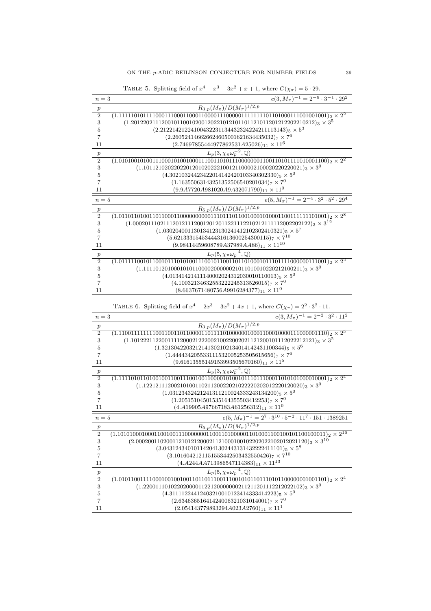| $n=3$            | $e(3, M_{\pi})^{-1} = 2^{-6} \cdot 3^{-1} \cdot 29^2$                            |
|------------------|----------------------------------------------------------------------------------|
|                  | $R_{3,p}(M_{\pi})/D(M_{\pi})^{1/2,p}$                                            |
| $\frac{p}{2}$    |                                                                                  |
| 3                |                                                                                  |
| 5                | $(2.21221421224100432231134432324224211113143)_5\times 5^3$                      |
|                  | $(2.260524146626624605001621634435032)_{7} \times 7^{6}$                         |
| 11               | $(2.74697855444977862531A25026)_{11} \times 11^6$                                |
| $\boldsymbol{p}$ | $L_p(3, \chi_\pi \omega_p^{-2}, \mathbb{Q})$                                     |
| $\overline{2}$   |                                                                                  |
| 3                |                                                                                  |
| 5                | $(4.30210324423422014142420103340302330)_5 \times 5^0$                           |
|                  | $(1.16355063143251352506540201034)_7 \times 7^0$                                 |
| 11               | $(9.9A7720A981020A9A32071790)_{11} \times 11^{0}$                                |
| $n=5$            | $e(5, M_{\pi})^{-1} = 2^{-4} \cdot 3^2 \cdot 5^2 \cdot 29^4$                     |
| $\boldsymbol{p}$ | $R_{5,p}(M_{\pi})/D(M_{\pi})^{1/2,p}$                                            |
| $\overline{2}$   |                                                                                  |
| 3                | $(1.0002011102111201211120012012011221112210212111112002202122)_3 \times 3^{12}$ |
| 5                | $(1.030204001130134123130241412102302410321)_5 \times 5^7$                       |
|                  | $(5.6213331545344431613600254300115)_7 \times 7^{10}$                            |
| 11               | $(9.98414459608789A37989AA86)_{11} \times 11^{10}$                               |
| $\boldsymbol{p}$ | $L_p(5, \chi_\pi \omega_p^{-4}, \mathbb{Q})$                                     |
| $\overline{2}$   |                                                                                  |
| 3                | $(1.111101201000101011000020000021011010010220212100211)_3 \times 3^0$           |
| 5                | $(4.01341421411140002024312030010110013)_5 \times 5^0$                           |
|                  | $(4.10032134632553222245313526015)_7 \times 7^0$                                 |
| 11               | $(8.6637671480756A9916284377)_{11} \times 11^{0}$                                |
|                  |                                                                                  |

| TABLE 5. Splitting field of $x^4 - x^3 - 3x^2 + x + 1$ , where $C(\chi_{\pi}) = 5 \cdot 29$ . |  |
|-----------------------------------------------------------------------------------------------|--|
|-----------------------------------------------------------------------------------------------|--|

|--|

| $n=3$            | $e(3, M_{\pi})^{-1} = 2^{-2} \cdot 3^2 \cdot 11^2$                                                 |
|------------------|----------------------------------------------------------------------------------------------------|
| $\boldsymbol{p}$ | $R_{3,p}(M_{\pi})/D(M_{\pi})^{1/2,p}$                                                              |
| $\overline{2}$   |                                                                                                    |
| 3                | $(1.101222112200111120002122200210022002021121200101112022212121)_3 \times 3^2$                    |
| 5                | $(1.3213042203212141302102134014142431100344)_5 \times 5^6$                                        |
|                  | $(1.444434205533111532005253505615656)$ 7 × 7 <sup>6</sup>                                         |
| 11               | $(9.61613555149153993505670160)_{11} \times 11^5$                                                  |
|                  | $L_p(3, \chi_\pi \omega_p^{-2}, \mathbb{Q})$                                                       |
| $\frac{p}{2}$    |                                                                                                    |
| 3                | $(1.1221211120021010011021120022021022220202012220120020)_3 \times 3^0$                            |
| 5                | $(1.03123432421241311210024333243134200)_5 \times 5^0$                                             |
|                  | $(1.20515104501535164355503412253)_{7} \times 7^{0}$                                               |
| 11               | $(4. A19905A97667183A61256312)11 \times 110$                                                       |
|                  |                                                                                                    |
| $n=5$            | $e(5, M_{\pi})^{-1} = 2^7 \cdot 3^{10} \cdot 5^{-2} \cdot 11^7 \cdot 151 \cdot 1389251$            |
| $\boldsymbol{p}$ | $R_{5,p}(M_{\pi})/D(M_{\pi})^{1/2,p}$                                                              |
| $\overline{2}$   |                                                                                                    |
| 3                | $(2.00020011020011210121200021121000100102202022102012021120)_3 \times 3^{10}$                     |
| 5                | $(3.043124340101142041302443131432222411101)_5 \times 5^8$                                         |
|                  | $(3.1016042121151553442503432550426)_7 \times 7^{10}$                                              |
| 11               | $(4.A244AA713986547114383)_{11} \times 11^{13}$                                                    |
| $\boldsymbol{p}$ | $L_p(5, \chi_\pi \omega_p^{-4}, \mathbb{Q})$                                                       |
| $\overline{2}$   | $(1.010110011110001001001001101101110011\overline{10010101101110101100000001001101})_2 \times 2^4$ |
| 3                | $(1.220011101022020000112212000000211211201112212022102)_3\times 3^0$                              |
| 5                | $(4.31111224412403210010123414333414223)_5 \times 5^0$                                             |
|                  | $(2.63463651641424006321031014001)_7 \times 7^0$                                                   |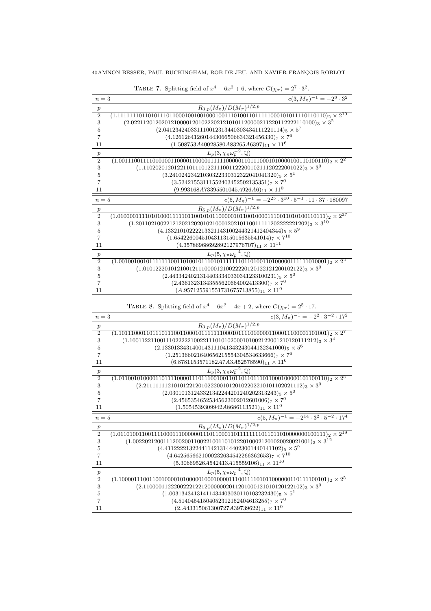$40\,$ AMNON BESSER, PAUL BUCKINGHAM, ROB DE JEU, AND XAVIER-FRANÇOIS ROBLOT

|                  | $e(3, M_{\pi})^{-1} = -2^8 \cdot 3^2$<br>$n=3$                                                        |
|------------------|-------------------------------------------------------------------------------------------------------|
| $\boldsymbol{p}$ | $R_{3,p}(M_{\pi})/D(M_{\pi})^{1/2,p}$                                                                 |
| $\overline{2}$   |                                                                                                       |
| 3                | $(2.022112012020121000012010222021210101120000211220112222110100)_3 \times 3^2$                       |
| 5                | $(2.041234240331110012313440303434111221114)_5 \times 5^7$                                            |
|                  | $(4.126126412601443066506634321456330)_7 \times 7^6$                                                  |
| 11               | $(1.508753A40028580A83265A6397)_{11} \times 11^6$                                                     |
| $\boldsymbol{p}$ | $L_p(3, \chi_\pi \omega_p^{-2}, \mathbb{Q})$                                                          |
| $\overline{2}$   |                                                                                                       |
| 3                | $(1.1102020120122110111012211100112220010211120222001022)_3\times 3^0$                                |
| 5                | $(3.24102423421030322330312322041041320)_5 \times 5^1$                                                |
|                  | $(3.53421553111552403452502135351)_7 \times 7^0$                                                      |
| 11               | $(9.993168A73395501045A926A6)_{11} \times 11^{0}$                                                     |
| $n=5$            | $e(5,M_{\pi})^{-1}=-2^{25}\cdot 3^{10}\cdot 5^{-1}\cdot 11\cdot 37\cdot 180097$                       |
| $\boldsymbol{p}$ |                                                                                                       |
|                  | $R_{5,p}(M_{\pi})/D(M_{\pi})^{1/2,p}$                                                                 |
| $\overline{2}$   |                                                                                                       |
| 3                | $(1.2011021002212120212020102100012021011001111120222221202)_3 \times 3^{10}$                         |
| 5                | $(4.13321010222213321143100244321412404344)_5 \times 5^9$                                             |
|                  | $(1.6542260045104311315015635541014)_7 \times 7^{10}$                                                 |
| 11               | $(4.35786968692892127976707)_{11} \times 11^{11}$                                                     |
| $\boldsymbol{p}$ | $L_p(5, \chi_\pi \omega_p^{-4}, \mathbb{Q})$                                                          |
| $\overline{2}$   |                                                                                                       |
| 3                | $(1.0101222010121001211100001210022220120122121200102122)_3\times 3^0$                                |
| 5                | $(2.44334240213144033340330341233100231)_5 \times 5^0$                                                |
|                  | $(2.43613231343555620664002413300)_7 \times 7^0$<br>$(A.957125591551731675713855)_{11} \times 11^{0}$ |

TABLE 7. Splitting field of  $x^4 - 6x^2 + 6$ , where  $C(\chi_{\pi}) = 2^7 \cdot 3^2$ .

| TABLE 8. Splitting field of $x^4 - 6x^2 - 4x + 2$ , where $C(\chi_{\pi}) = 2^5 \cdot 17$ . |  |  |  |  |  |  |  |  |
|--------------------------------------------------------------------------------------------|--|--|--|--|--|--|--|--|
|--------------------------------------------------------------------------------------------|--|--|--|--|--|--|--|--|

| $n=3$                              | $e(3,M_{\pi})^{-1}=-2^2\cdot 3^{-2}\cdot 17^2$                                   |
|------------------------------------|----------------------------------------------------------------------------------|
| $\boldsymbol{p}$                   | $R_{3,p}(M_{\pi})/D(M_{\pi})^{1/2,p}$                                            |
| $\overline{2}$                     |                                                                                  |
| 3                                  | $(1.1001122110011102222210022111010102000101002122001210120111212)_3 \times 3^4$ |
| 5                                  | $(2.1330133431400143111041343243044132341000)_5 \times 5^6$                      |
|                                    | $(1.251366021640656215554304534633666)_7 \times 7^6$                             |
| 11                                 | $(6.8781153571182A7A3A52578590)_{11} \times 11^6$                                |
|                                    | $L_p(3, \chi_\pi \omega_p^{-2}, \mathbb{Q})$                                     |
| $\frac{p}{2}$                      |                                                                                  |
| 3                                  | $(2.2111111121010122120102220010120102202210101102021112)_3 \times 3^0$          |
| 5                                  | $(2.03010131243321342244201240202313243)_5 \times 5^0$                           |
|                                    | $(2.45653546525345623002012601006)_{7} \times 7^{0}$                             |
| 11                                 | $(1.5054539309942A8686113521)_{11} \times 11^{0}$                                |
|                                    |                                                                                  |
| $n=5$                              | $e(5, M_{\pi})^{-1} = -2^{\overline{14}} \cdot 3^2 \cdot 5^{-2} \cdot 17^4$      |
|                                    | $R_{5,p}(M_{\pi})/D(M_{\pi})^{1/2,p}$                                            |
| $\boldsymbol{p}$<br>$\overline{2}$ |                                                                                  |
| 3                                  |                                                                                  |
| 5                                  | $(4.41122221322441142131444023001440141102)_5 \times 5^9$                        |
|                                    | $(4.6425656621000232634542266362653)_{7} \times 7^{10}$                          |
| 11                                 | $(5.30669526A542413A15559106)_{11} \times 11^{10}$                               |
| $\boldsymbol{p}$                   | $L_p(5, \chi_\pi \omega_p^{-4}, \mathbb{Q})$                                     |
| $\overline{2}$                     |                                                                                  |
| 3                                  |                                                                                  |
| 5                                  | $(1.00313434131411434403030110103232430)_5 \times 5^1$                           |
|                                    | $(4.51404541504052312152404613255)_7 \times 7^0$                                 |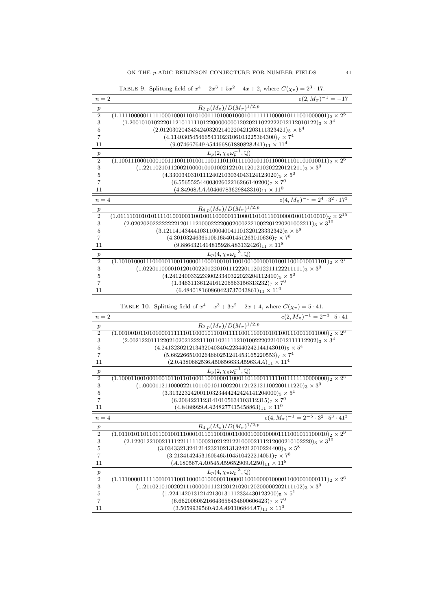# ON THE  $p\negthinspace$  ADIC BEILINSON CONJECTURE FOR NUMBER FIELDS  $41$

| $n=2$            | $e(2, M_{\pi})^{-1} = -17$                                                                            |
|------------------|-------------------------------------------------------------------------------------------------------|
| $\boldsymbol{p}$ | $R_{2,p}(M_{\pi})/D(M_{\pi})^{1/2,p}$                                                                 |
| $\overline{2}$   |                                                                                                       |
| 3                | $(1.20010101022201121011110122000000012020211022222012112010122)_3 \times 3^4$                        |
| 5                | $(2.01203020434342403202140220421203111323421)_5\times 5^4$                                           |
|                  | $(4.1140305454665411023106103225364300)_7 \times 7^4$                                                 |
| 11               | $(9.074667649A54466861880828A41)_{11}\times 11^4$                                                     |
| $\boldsymbol{p}$ | $L_p(2, \chi_\pi \omega_p^{-1}, \mathbb{Q})$                                                          |
| $\overline{2}$   |                                                                                                       |
| 3                | $(1.2211021011200210000101010021221011201210202220121211)_3\times 3^0$                                |
| 5                | $(4.33003403101112402103034043124123020)_5 \times 5^0$                                                |
|                  | $(6.55655254400302602216266140200)_7 \times 7^0$                                                      |
| 11               | $(4.84968AAA0466783629843316)_{11} \times 11^{0}$                                                     |
| $n=4$            | $e(4, M_{\pi})^{-1} = 2^4 \cdot 3^2 \cdot 17^3$                                                       |
| $\boldsymbol{p}$ | $R_{4,p}(M_{\pi})/D(M_{\pi})^{1/2,p}$                                                                 |
| $\overline{2}$   |                                                                                                       |
| 3                | $(2.0202020222222212011121000222200020002221002201220201002211)_3 \times 3^{10}$                      |
| 5                | $(3.121141434441031100040041101320123332342)_5 \times 5^8$                                            |
|                  | $(4.30103246365105165401451263010636)_7 \times 7^8$                                                   |
| 11               | $(9.8864321414815928A83132426)_{11} \times 11^8$                                                      |
| $\boldsymbol{p}$ | $L_p(4, \chi_\pi \omega_p^{-3}, \mathbb{Q})$                                                          |
| $\overline{2}$   |                                                                                                       |
| 3                | $(1.0220110000101201002201220101112220112012211122211111)_3 \times 3^0$                               |
| 5                |                                                                                                       |
|                  | $(4.24124003322330023340322023204112410)_5 \times 5^0$                                                |
|                  | $(1.34631136124161206563156313232)_7 \times 7^0$<br>$(6.484018160860423737043861)_{11} \times 11^{0}$ |

TABLE 9. Splitting field of  $x^4 - 2x^3 + 5x^2 - 4x + 2$ , where  $C(\chi_{\pi}) = 2^3 \cdot 17$ .

|  | TABLE 10. Splitting field of $x^4 - x^3 + 3x^2 - 2x + 4$ , where $C(\chi_{\pi}) = 5 \cdot 41$ . |  |
|--|-------------------------------------------------------------------------------------------------|--|
|--|-------------------------------------------------------------------------------------------------|--|

| $n=2$            | $e(2, M_{\pi})^{-1} = 2^{-3} \cdot 5 \cdot 41$                                                        |
|------------------|-------------------------------------------------------------------------------------------------------|
| $\boldsymbol{p}$ | $R_{2,p}(M_{\pi})/D(M_{\pi})^{1/2,p}$                                                                 |
| $\overline{2}$   |                                                                                                       |
| 3                | $(2.0021220111220210202122211101102111121010022202210012111112202)_3 \times 3^4$                      |
| 5                | $(4.2413230212134320403404223440242144143010)_5 \times 5^4$                                           |
|                  | $(5.6622665100264660251241453165220553)_7 \times 7^4$                                                 |
| 11               | $(2.0A380682536A50856633A5963AA)_{11} \times 11^4$                                                    |
|                  | $L_p(2, \chi_\pi \omega_p^{-1}, \mathbb{Q})$                                                          |
| $\frac{p}{2}$    |                                                                                                       |
| 3                | $(1.0000112110000221101100101100220112122121100200111220)_3 \times 3^0$                               |
| 5                | $(3.31322324200110323444242424141204000)_5 \times 5^1$                                                |
|                  | $(6.20642211231410105634103112315)_7 \times 7^0$                                                      |
| 11               | $(4.8488929AA248277415458863)_{11} \times 11^{0}$                                                     |
|                  |                                                                                                       |
| $n=4$            | $e(4, M_{\pi})^{-1} = 2^{-5} \cdot 3^2 \cdot 5^3 \cdot 41^3$                                          |
|                  | $R_{4,p}(M_{\pi})/D(M_{\pi})^{1/2,p}$                                                                 |
| $\frac{p}{2}$    |                                                                                                       |
| 3                | $(2.12201221002111122111110002102122122100002111212000210102220)_3 \times 3^{10}$                     |
| 5                | $(3.03433213241214232102131324212010224400)_5 \times 5^8$                                             |
|                  | $(3.21341424531605465104510422214051)_7 \times 7^8$                                                   |
| 11               | $(A.180567AA0545A59652909A250)_{11} \times 11^8$                                                      |
| $\boldsymbol{p}$ | $L_p(4, \chi_\pi \omega_p^{-3}, \mathbb{Q})$                                                          |
| $\overline{2}$   |                                                                                                       |
| 3                | $(1.2110210100202111000001112120121020120200000202111102)_3 \times 3^0$                               |
| 5                | $(1.22414201312142130131112334430123200)_5 \times 5^1$                                                |
|                  | $(6.66200605216643655434600606423)_7 \times 7^0$<br>$(3.5059939560A2AA91106844A7)_{11} \times 11^{0}$ |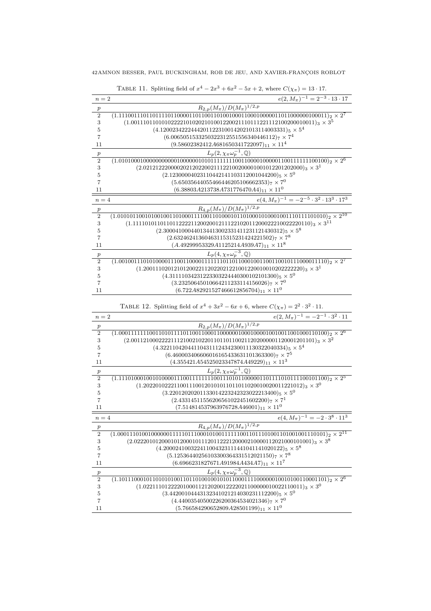$42\mathrm{AMNON}$ BESSER, PAUL BUCKINGHAM, ROB DE JEU, AND XAVIER-FRANÇOIS ROBLOT

| $n=2$            | $e(2, M_{\pi})^{-1} = 2^{-3} \cdot 13 \cdot 17$                                  |
|------------------|----------------------------------------------------------------------------------|
| $\boldsymbol{p}$ | $R_{2,p}(M_{\pi})/D(M_{\pi})^{1/2,p}$                                            |
| $\overline{2}$   |                                                                                  |
| 3                |                                                                                  |
| 5                | $(4.12002342224442011223100142021013114003331)_5 \times 5^4$                     |
|                  | $(6.0065051533250322312551556340446112)_7 \times 7^4$                            |
| 11               | $(9.58602382412A681650341722097)_{11} \times 11^4$                               |
| $\boldsymbol{p}$ | $L_p(2, \chi_\pi \omega_p^{-1}, \mathbb{Q})$                                     |
| $\overline{2}$   |                                                                                  |
| 3                |                                                                                  |
| 5                | $(2.12300004023110442141103112001044200)_5 \times 5^0$                           |
|                  | $(5.65035644055466446205106662353)_{7} \times 7^{0}$                             |
| 11               | $(6.38803A213738A731776470A4)_{11} \times 11^{0}$                                |
|                  |                                                                                  |
| $n=4$            | $e(4, M_{\pi})^{-1} = -2^{-5} \cdot 3^2 \cdot 13^3 \cdot 17^3$                   |
| $\boldsymbol{p}$ | $R_{4,p}(M_{\pi})/D(M_{\pi})^{1/2,p}$                                            |
| $\overline{2}$   |                                                                                  |
| 3                | $(1.1111010110110112222112002001211122102011200022210022220110)_3 \times 3^{11}$ |
| 5                | $(2.300041000440134413002331411231121430312)_5 \times 5^8$                       |
|                  | $(2.63246241360463115315231424221502)_7 \times 7^8$                              |
| 11               | $(A.49299953329A1125214A939A7)_{11} \times 11^8$                                 |
| $\boldsymbol{p}$ | $L_p(4, \chi_\pi \omega_p^{-3}, \mathbb{Q})$                                     |
| $\overline{2}$   |                                                                                  |
| 3                |                                                                                  |
| 5                | $(4.31111034231223303224440300102101300)_5 \times 5^0$                           |
|                  | $(3.23250645010664211233114156026)_7 \times 7^0$                                 |
| 11               | $(6.722A82921527466612856704)_{11} \times 11^{0}$                                |

TABLE 11. Splitting field of  $x^4 - 2x^3 + 6x^2 - 5x + 2$ , where  $C(\chi_{\pi}) = 13 \cdot 17$ .

| TABLE 12. Splitting field of $x^4 + 3x^2 - 6x + 6$ , where $C(\chi_{\pi}) = 2^2 \cdot 3^2 \cdot 11$ . |  |
|-------------------------------------------------------------------------------------------------------|--|
|-------------------------------------------------------------------------------------------------------|--|

| $n=2$            | $e(2, M_{\pi})^{-1} = -2^{-1} \cdot 3^2 \cdot 11$                               |
|------------------|---------------------------------------------------------------------------------|
| $\boldsymbol{p}$ | $R_{2,p}(M_{\pi})/D(M_{\pi})^{1/2,p}$                                           |
| $\overline{2}$   |                                                                                 |
| 3                | $(2.001121000222211121002102201101101100211202000001120001201101)_3 \times 3^2$ |
| 5                | $(4.32211042044110431112434230011130322040334)_5 \times 5^4$                    |
|                  | $(6.460003406606016165433631101363300)_7 \times 7^5$                            |
| 11               | $(4.355421A54525023347874A49229)_{11} \times 11^3$                              |
|                  | $L_p(2, \chi_\pi \omega_p^{-1}, \mathbb{Q})$                                    |
| $\frac{p}{2}$    |                                                                                 |
| 3                | $(1.2022010222110011100120101011011011020010020011221012)_3 \times 3^0$         |
| 5                | $(3.22012020201133014223242323022213400)_5 \times 5^0$                          |
|                  | $(2.43314511556206561022451602200)_7 \times 7^1$                                |
| 11               | $(7.514814537963976728A46001)_{11} \times 11^{0}$                               |
|                  |                                                                                 |
| $n=4$            | $e(4, M_{\pi})^{-1} = -2 \cdot 3^8 \cdot 11^3$                                  |
|                  | $R_{4,p}(M_{\pi})/D(M_{\pi})^{1/2,p}$                                           |
| $\frac{p}{2}$    |                                                                                 |
| 3                | $(2.0222010120001012000101112011222120000210000112021000101001)_3\times 3^8$    |
| 5                | $(4.200024100322411004323111441041141020122)_5 \times 5^8$                      |
|                  | $(5.12536440256103300364331512021150)_7 \times 7^8$                             |
| 11               | $(6.6966231827671A91984A434A7)_{11} \times 11^7$                                |
| $\boldsymbol{p}$ | $L_p(4, \chi_\pi \omega_p^{-3}, \mathbb{Q})$                                    |
| $\overline{2}$   |                                                                                 |
| 3                | $(1.022111012222010001121202001222202110000010022110011)_3 \times 3^0$          |
| 5                | $(3.44200104443132341021214030231112200)_5 \times 5^0$                          |
|                  | $(4.44003540500226200364534021346)_7 \times 7^0$                                |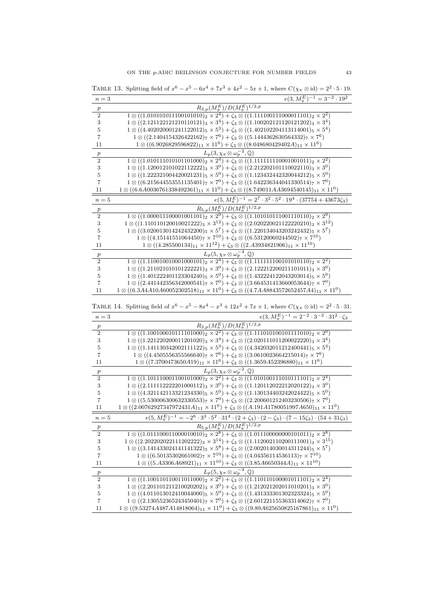TABLE 13. Splitting field of  $x^6 - x^5 - 6x^4 + 7x^3 + 4x^2 - 5x + 1$ , where  $C(\chi_{\pi} \otimes id) = 2^2 \cdot 5 \cdot 19$ .

| $n=3$            | $e(3, M_{\pi}^{E})^{-1} = 3^{-2} \cdot 19^{2}$                                                                                                                                                                                           |
|------------------|------------------------------------------------------------------------------------------------------------------------------------------------------------------------------------------------------------------------------------------|
|                  | $R_{3,p}(M_\pi^E)/D(M_\pi^E)^{1/2,p}$                                                                                                                                                                                                    |
| $\frac{p}{2}$    | $1 \otimes ((1.010101011100101010)_2 \times 2^4) + \zeta_3 \otimes ((1.111100111000011101)_2 \times 2^2)$                                                                                                                                |
| 3                | $1 \otimes ((2.121122121210110121)_3 \times 3^4) + \zeta_3 \otimes ((1.100202121120121202)_3 \times 3^4)$                                                                                                                                |
| 5                | $1 \otimes ((4.402020001241122012)_5 \times 5^3) + \zeta_3 \otimes ((1.402102204113114001)_5 \times 5^4)$                                                                                                                                |
| $\overline{7}$   | $1 \otimes ((2.1404154326422162)_{7} \times 7^{6}) + \zeta_{3} \otimes ((5.1444362630564332)_{7} \times 7^{6})$                                                                                                                          |
| 11               | $1 \otimes ((6.9026829596822)_{11} \times 11^6) + \zeta_3 \otimes ((8.048680429402A)_{11} \times 11^6)$                                                                                                                                  |
| $\boldsymbol{p}$ | $L_p(3, \chi_\pi \otimes \omega_p^{-2}, \mathbb{Q})$                                                                                                                                                                                     |
| $\overline{2}$   | $1 \otimes ((1.010111010101101000)_2 \times 2^4) + \zeta_3 \otimes ((1.111111110001001011)_2 \times 2^2)$                                                                                                                                |
| 3                | $1 \otimes ((1.120012101022112222)_3 \times 3^0) + \zeta_3 \otimes ((2.212202101110022110)_3 \times 3^0)$                                                                                                                                |
| $\overline{5}$   | $1 \otimes ((1.222321004420021231)_5 \times 5^0) + \zeta_3 \otimes ((1.123432442320044212)_5 \times 5^0)$                                                                                                                                |
| $\overline{7}$   | $1 \otimes ((6.215644553551135401)_7 \times 7^0) + \zeta_3 \otimes ((1.642236344041330514)_7 \times 7^0)$                                                                                                                                |
| 11               | $1 \otimes ((6.6A0036761338492361)_{11} \times 11^0) + \zeta_3 \otimes ((8.749011AA3694540145)_{11} \times 11^0)$                                                                                                                        |
|                  |                                                                                                                                                                                                                                          |
| $n=5$            | $e(5, M_{\pi}^{E})^{-1} = 2^{7} \cdot 3^{2} \cdot 5^{2} \cdot 19^{4} \cdot (37754 + 43673 \zeta_{3})$                                                                                                                                    |
| $\boldsymbol{p}$ | $R_{5,p}(M_{\pi}^{E})/D(M_{\pi}^{E})^{1/2,p}$                                                                                                                                                                                            |
| $\overline{2}$   | $1 \otimes ((1.000011100001001101)_2 \times 2^9) + \zeta_3 \otimes ((1.101010111001110110)_2 \times 2^9)$                                                                                                                                |
| 3                | $1 \otimes ((1.110110120010021222)_3 \times 3^{12}) + \zeta_3 \otimes ((2.020220021122220210)_3 \times 3^{12})$                                                                                                                          |
| 5                | $1 \otimes ((3.020013014242432200)_5 \times 5^7) + \zeta_3 \otimes ((1.220134043203242432)_5 \times 5^7)$                                                                                                                                |
| $\overline{7}$   | $1 \otimes ((4.15141551064450)_{7} \times 7^{10}) + \zeta_{3} \otimes ((6.53120060244502)_{7} \times 7^{10})$                                                                                                                            |
| 11               | $1 \otimes \left( (4.285500134)_{11} \times 11^{12} \right) + \zeta_3 \otimes \left( (2.43934821906)_{11} \times 11^{10} \right)$                                                                                                        |
|                  | $L_p(5, \chi_{\pi} \otimes \omega_p^{-4}, \mathbb{Q})$                                                                                                                                                                                   |
| $\frac{p}{2}$    | $1 \otimes ((1.11001001000100101)_2 \times 2^4) + \zeta_3 \otimes ((1.111111100101010110)_2 \times 2^2)$                                                                                                                                 |
| 3                | $1 \otimes ((1.21102101010122221)_3 \times 3^0) + \zeta_3 \otimes ((2.122212200211101011)_3 \times 3^0)$                                                                                                                                 |
| 5                | $1 \otimes ((1.401222401123304240)_5 \times 5^0) + \zeta_3 \otimes ((1.432224122043203014)_5 \times 5^0)$                                                                                                                                |
| $\overline{7}$   | $1 \otimes ((2.441442356342000541)_{7} \times 7^{0}) + \zeta_{3} \otimes ((3.664531413660053644)_{7} \times 7^{0})$<br>$1 \otimes ((6.3A4A10A60052302518)_{11} \times 11^0) + \zeta_3 \otimes ((4.7A48843572652457A4)_{11} \times 11^0)$ |

TABLE 14. Splitting field of  $x^6 - x^5 - 8x^4 - x^3 + 12x^2 + 7x + 1$ , where  $C(\chi_{\pi} \otimes id) = 2^2 \cdot 5 \cdot 31$ .  $e(3, M_{\pi}^{E})^{-1} = 2^{-2} \cdot 3^{-2} \cdot 31^{2} \cdot \zeta_{3}$ 

| $n = 3$          | $e(3, M_{\pi}^{-})^{-1} = 2^{-1} \cdot 3^{-1} \cdot 31^{-1} \cdot 3$                                                                                                                                                                     |
|------------------|------------------------------------------------------------------------------------------------------------------------------------------------------------------------------------------------------------------------------------------|
| $\boldsymbol{p}$ | $R_{3,p}(M_{\pi}^{E})/D(M_{\pi}^{E})^{1/2,p}$                                                                                                                                                                                            |
| $\overline{2}$   | $1 \otimes ((1.100100010111101000)_2 \times 2^2) + \zeta_3 \otimes ((1.111010100101111010)_2 \times 2^0)$                                                                                                                                |
| 3                | $1 \otimes ((1.221220200011201020)_3 \times 3^4) + \zeta_3 \otimes ((2.020111011200022220)_3 \times 3^4)$                                                                                                                                |
| 5                | $1 \otimes ((1.141130342002111122)_5 \times 5^3) + \zeta_3 \otimes ((4.342032011212400441)_5 \times 5^3)$                                                                                                                                |
| 7                | $1 \otimes ((4.450555635556640)_{7} \times 7^{6}) + \zeta_{3} \otimes ((3.0610023664215014)_{7} \times 7^{6})$                                                                                                                           |
| 11               | $1 \otimes ((7.3700473650A19)_{11} \times 11^6) + \zeta_3 \otimes ((1.3659A52396880)_{11} \times 11^6)$                                                                                                                                  |
| $\frac{p}{2}$    | $L_p(3, \chi_{\pi} \otimes \omega_p^{-2}, \mathbb{Q})$                                                                                                                                                                                   |
|                  | $1 \otimes ((1.101110001100101000)_{2} \times 2^{2}) + \zeta_{3} \otimes ((1.010100111010111101)_{2} \times 2^{4})$                                                                                                                      |
| 3                | $1 \otimes ((2.111112222201000112)_3 \times 3^0) + \zeta_3 \otimes ((1.120112022212020122)_3 \times 3^0)$                                                                                                                                |
| 5                | $1 \otimes ((4.321142113321234330)_5 \times 5^0) + \zeta_3 \otimes ((1.130134403242024422)_5 \times 5^0)$                                                                                                                                |
| 7                | $1 \otimes ((5.530006300632330553)_{7} \times 7^{0}) + \zeta_{3} \otimes ((2.200601212403230506)_{7} \times 7^{0})$                                                                                                                      |
| 11               | $1 \otimes ((2.00762927347972431A)_{11} \times 11^0) + \zeta_3 \otimes ((A.191A1780051997A650)_{11} \times 11^0)$                                                                                                                        |
|                  |                                                                                                                                                                                                                                          |
| $n=5$            | $e(5, M_{\pi}^{E})^{-1} = -2^{6} \cdot 3^{3} \cdot 5^{2} \cdot 31^{4} \cdot (2 + \zeta_{3}) \cdot (2 - \zeta_{3}) \cdot (7 - 15\zeta_{3}) \cdot (54 + 31\zeta_{3})$                                                                      |
| $\boldsymbol{p}$ | $R_{5,p}(M_{\pi}^{E})/D(M_{\pi}^{E})^{1/2,p}$                                                                                                                                                                                            |
| $\overline{2}$   | $1 \otimes ((1.011100011000010010)_2 \times 2^8) + \zeta_3 \otimes ((1.01110000000101011)_2 \times 2^8)$                                                                                                                                 |
| 3                | $1 \otimes ((2.20220202111202222)_3 \times 3^{14}) + \zeta_3 \otimes ((1.112002110200111001)_3 \times 3^{15})$                                                                                                                           |
| 5                | $1 \otimes ((3.141433024141141322)_5 \times 5^8) + \zeta_3 \otimes ((2.002014030014311244)_5 \times 5^7)$                                                                                                                                |
| 7                | $1 \otimes ((6.50135302661002)_{7} \times 7^{10}) + \zeta_{3} \otimes ((4.04356114536113)_{7} \times 7^{10})$                                                                                                                            |
| 11               | $1 \otimes ((5. A3306A68921)_{11} \times 11^{10}) + \zeta_3 \otimes ((3.85A6650344A)_{11} \times 11^{10})$                                                                                                                               |
| $\boldsymbol{p}$ | $L_p(5, \chi_{\pi} \otimes \omega_p^{-4}, \mathbb{Q})$                                                                                                                                                                                   |
| $\overline{2}$   | $1 \otimes ((1.100110110011011000)_2 \times 2^2) + \zeta_3 \otimes ((1.110110100001011101)_2 \times 2^4)$                                                                                                                                |
| 3                | $1 \otimes ((2.201101211210020202)_3 \times 3^0) + \zeta_3 \otimes ((1.212021202011010201)_3 \times 3^0)$                                                                                                                                |
| $\overline{5}$   | $1 \otimes ((4.011013012410044000)_5 \times 5^0) + \zeta_3 \otimes ((1.431333301302323324)_5 \times 5^0)$                                                                                                                                |
| 7                | $1 \otimes ((2.130552365243450401)_{7} \times 7^{0}) + \zeta_{3} \otimes ((2.601221155363314062)_{7} \times 7^{0})$<br>$1 \otimes ((9.53274A487A14818064)_{11} \times 11^0) + \zeta_3 \otimes ((9.89A625650825167861)_{11} \times 11^0)$ |